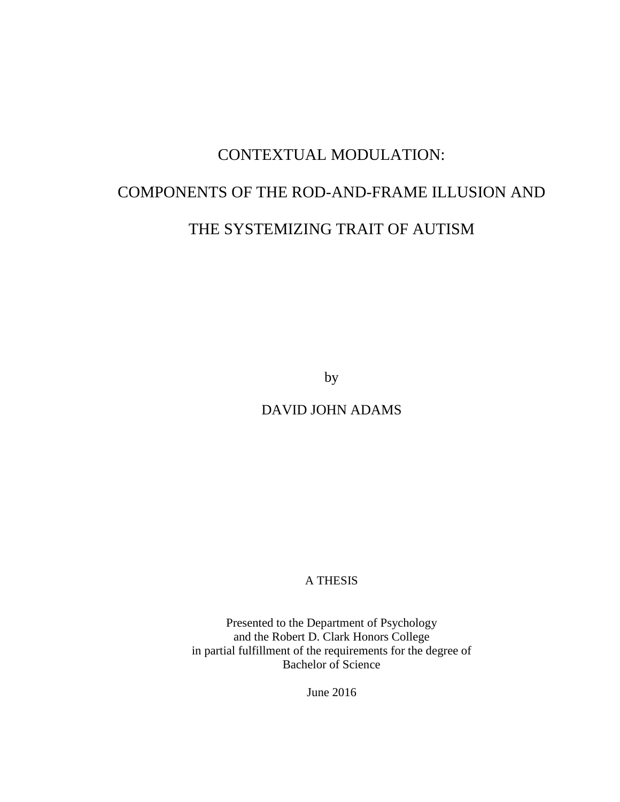# CONTEXTUAL MODULATION:

# COMPONENTS OF THE ROD-AND-FRAME ILLUSION AND

# THE SYSTEMIZING TRAIT OF AUTISM

by

DAVID JOHN ADAMS

# A THESIS

Presented to the Department of Psychology and the Robert D. Clark Honors College in partial fulfillment of the requirements for the degree of Bachelor of Science

June 2016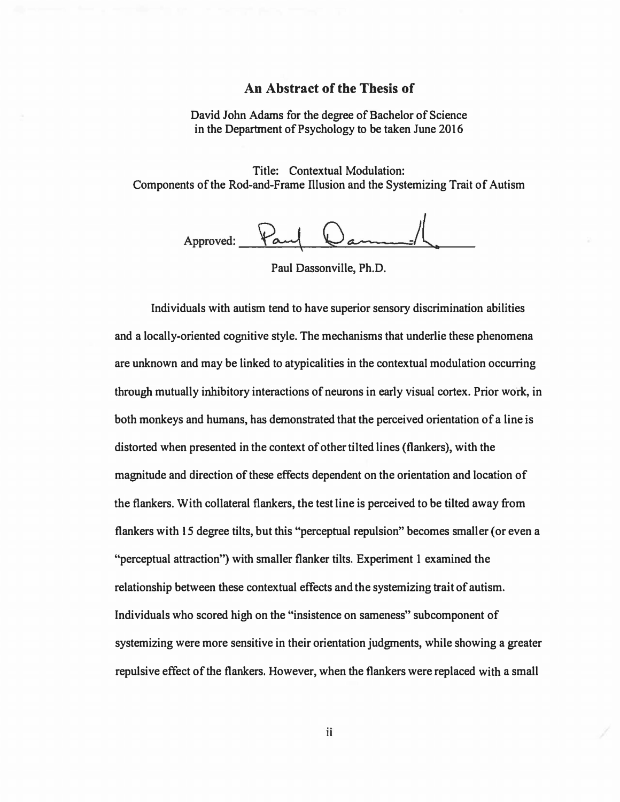#### **An Abstract of the Thesis of**

**David John Adams for the degree of Bachelor of Science in the Department of Psychology to be taken June 2016** 

**Title: Contextual Modulation: Components of the Rod-and-Frame Illusion and the Systemizing Trait of Autism** 

Approved:  $\overleftrightarrow{a}$ 

**Paul Dassonville, Ph.D.** 

**Individuals with autism tend to have superior sensory discrimination abilities and a locally-oriented cognitive style. The mechanisms that underlie these phenomena are unknown and may be linked to atypicalities in the contextual modulation occurring**  through mutually inhibitory interactions of neurons in early visual cortex. Prior work, in **both monkeys and humans, has demonstrated that the perceived orientation of a line is distorted when presented in the context of other tilted lines (flankers), with the magnitude and direction of these effects dependent on the orientation and location of the flankers. With collateral flankers, the test line is perceived to be tilted away from flankers with 15 degree tilts, but this "perceptual repulsion" becomes smaller (or even a "perceptual attraction") with smaller flanker tilts. Experiment I examined the relationship between these contextual effects and the systemizing trait of autism. Individuals who scored high on the "insistence on sameness" subcomponent of systemizing were more sensitive in their orientation judgments, while showing a greater repulsive effect of the flankers. However, when the flankers were replaced with a small**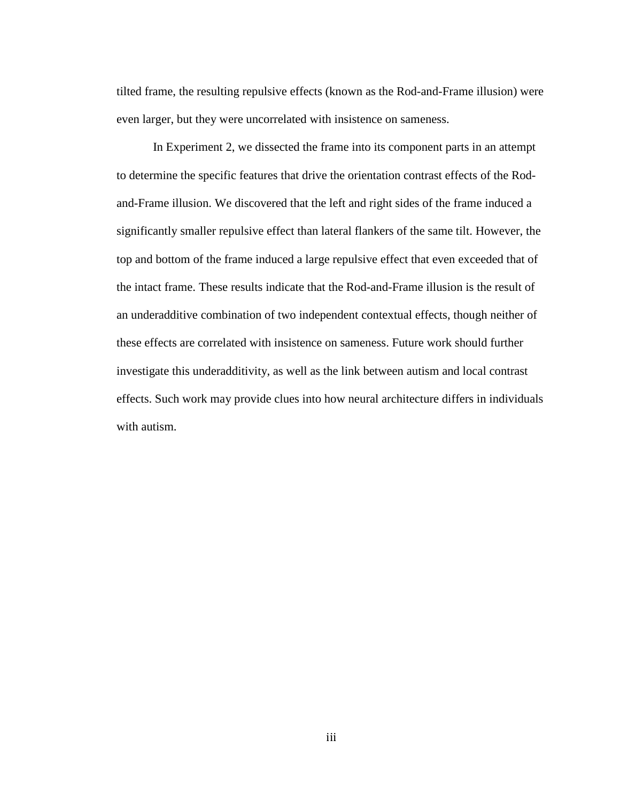tilted frame, the resulting repulsive effects (known as the Rod-and-Frame illusion) were even larger, but they were uncorrelated with insistence on sameness.

In Experiment 2, we dissected the frame into its component parts in an attempt to determine the specific features that drive the orientation contrast effects of the Rodand-Frame illusion. We discovered that the left and right sides of the frame induced a significantly smaller repulsive effect than lateral flankers of the same tilt. However, the top and bottom of the frame induced a large repulsive effect that even exceeded that of the intact frame. These results indicate that the Rod-and-Frame illusion is the result of an underadditive combination of two independent contextual effects, though neither of these effects are correlated with insistence on sameness. Future work should further investigate this underadditivity, as well as the link between autism and local contrast effects. Such work may provide clues into how neural architecture differs in individuals with autism.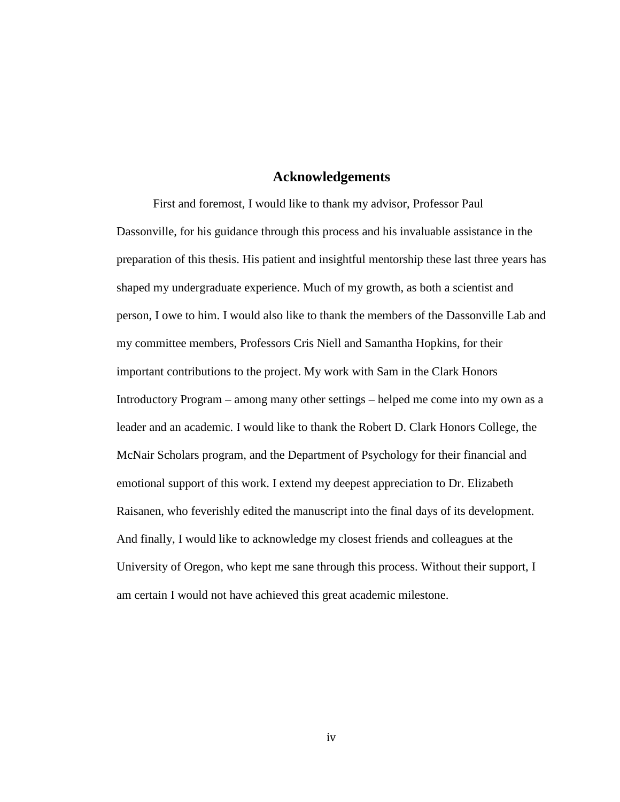#### **Acknowledgements**

First and foremost, I would like to thank my advisor, Professor Paul Dassonville, for his guidance through this process and his invaluable assistance in the preparation of this thesis. His patient and insightful mentorship these last three years has shaped my undergraduate experience. Much of my growth, as both a scientist and person, I owe to him. I would also like to thank the members of the Dassonville Lab and my committee members, Professors Cris Niell and Samantha Hopkins, for their important contributions to the project. My work with Sam in the Clark Honors Introductory Program – among many other settings – helped me come into my own as a leader and an academic. I would like to thank the Robert D. Clark Honors College, the McNair Scholars program, and the Department of Psychology for their financial and emotional support of this work. I extend my deepest appreciation to Dr. Elizabeth Raisanen, who feverishly edited the manuscript into the final days of its development. And finally, I would like to acknowledge my closest friends and colleagues at the University of Oregon, who kept me sane through this process. Without their support, I am certain I would not have achieved this great academic milestone.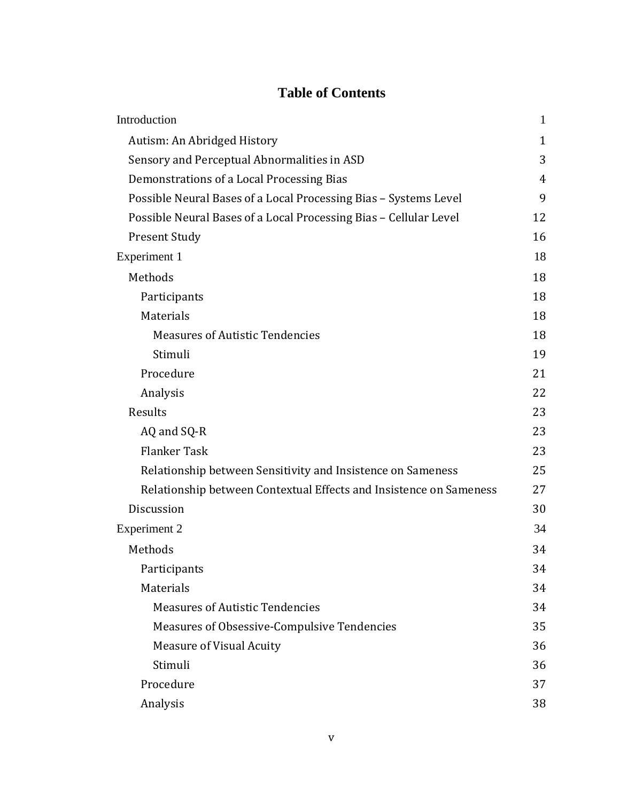# **Table of Contents**

| Introduction                                                       | $\mathbf{1}$ |
|--------------------------------------------------------------------|--------------|
| Autism: An Abridged History                                        | $\mathbf{1}$ |
| Sensory and Perceptual Abnormalities in ASD                        | 3            |
| Demonstrations of a Local Processing Bias                          | 4            |
| Possible Neural Bases of a Local Processing Bias - Systems Level   | 9            |
| Possible Neural Bases of a Local Processing Bias - Cellular Level  | 12           |
| <b>Present Study</b>                                               | 16           |
| Experiment 1                                                       | 18           |
| Methods                                                            | 18           |
| Participants                                                       | 18           |
| Materials                                                          | 18           |
| <b>Measures of Autistic Tendencies</b>                             | 18           |
| Stimuli                                                            | 19           |
| Procedure                                                          | 21           |
| Analysis                                                           | 22           |
| Results                                                            | 23           |
| AQ and SQ-R                                                        | 23           |
| <b>Flanker Task</b>                                                | 23           |
| Relationship between Sensitivity and Insistence on Sameness        | 25           |
| Relationship between Contextual Effects and Insistence on Sameness | 27           |
| Discussion                                                         | 30           |
| <b>Experiment 2</b>                                                | 34           |
| Methods                                                            | 34           |
| Participants                                                       | 34           |
| Materials                                                          | 34           |
| <b>Measures of Autistic Tendencies</b>                             | 34           |
| Measures of Obsessive-Compulsive Tendencies                        | 35           |
| <b>Measure of Visual Acuity</b>                                    | 36           |
| Stimuli                                                            | 36           |
| Procedure                                                          | 37           |
| Analysis                                                           | 38           |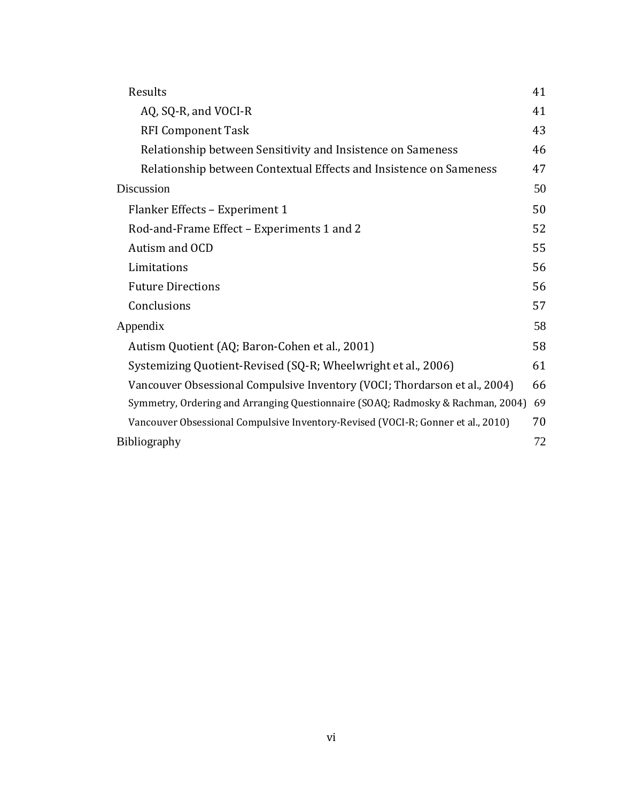| Results                                                                          | 41 |
|----------------------------------------------------------------------------------|----|
| AQ, SQ-R, and VOCI-R                                                             | 41 |
| <b>RFI Component Task</b>                                                        | 43 |
| Relationship between Sensitivity and Insistence on Sameness                      | 46 |
| Relationship between Contextual Effects and Insistence on Sameness               | 47 |
| Discussion                                                                       | 50 |
| Flanker Effects - Experiment 1                                                   | 50 |
| Rod-and-Frame Effect - Experiments 1 and 2                                       | 52 |
| Autism and OCD                                                                   | 55 |
| Limitations                                                                      | 56 |
| <b>Future Directions</b>                                                         | 56 |
| Conclusions                                                                      | 57 |
| Appendix                                                                         | 58 |
| Autism Quotient (AQ; Baron-Cohen et al., 2001)                                   | 58 |
| Systemizing Quotient-Revised (SQ-R; Wheelwright et al., 2006)                    | 61 |
| Vancouver Obsessional Compulsive Inventory (VOCI; Thordarson et al., 2004)       | 66 |
| Symmetry, Ordering and Arranging Questionnaire (SOAQ; Radmosky & Rachman, 2004)  | 69 |
| Vancouver Obsessional Compulsive Inventory-Revised (VOCI-R; Gonner et al., 2010) | 70 |
| Bibliography                                                                     | 72 |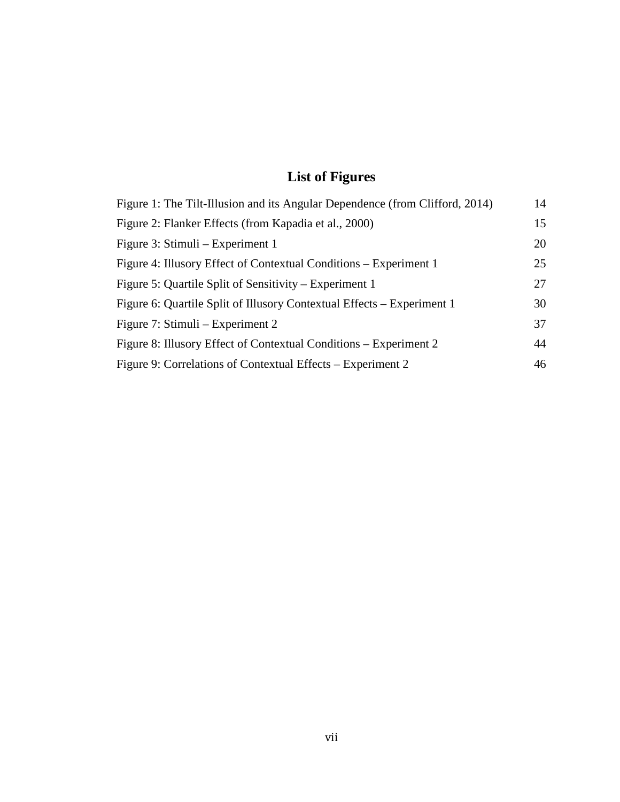# **List of Figures**

| Figure 1: The Tilt-Illusion and its Angular Dependence (from Clifford, 2014) | 14 |
|------------------------------------------------------------------------------|----|
| Figure 2: Flanker Effects (from Kapadia et al., 2000)                        | 15 |
| Figure 3: Stimuli – Experiment 1                                             | 20 |
| Figure 4: Illusory Effect of Contextual Conditions – Experiment 1            | 25 |
| Figure 5: Quartile Split of Sensitivity – Experiment 1                       | 27 |
| Figure 6: Quartile Split of Illusory Contextual Effects – Experiment 1       | 30 |
| Figure 7: Stimuli – Experiment 2                                             | 37 |
| Figure 8: Illusory Effect of Contextual Conditions – Experiment 2            | 44 |
| Figure 9: Correlations of Contextual Effects – Experiment 2                  | 46 |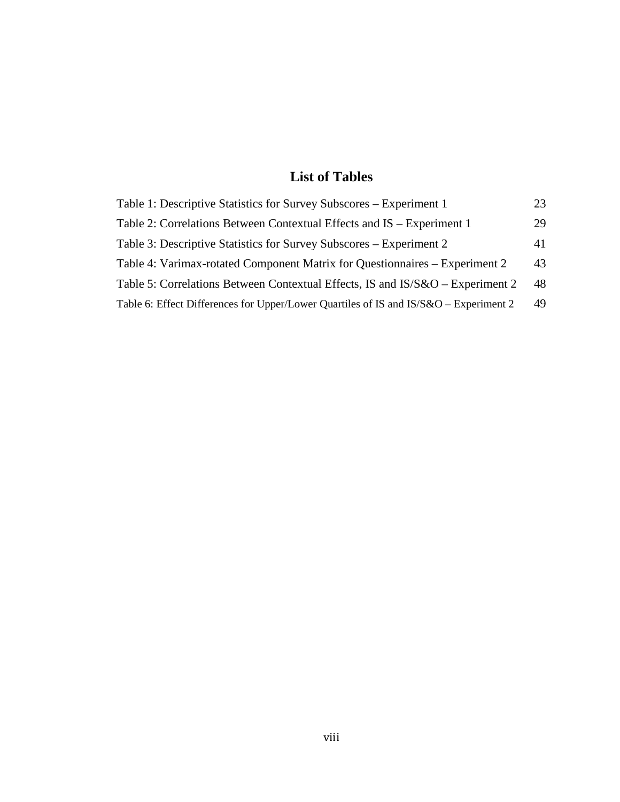# **List of Tables**

| Table 1: Descriptive Statistics for Survey Subscores – Experiment 1                   | 23 |
|---------------------------------------------------------------------------------------|----|
| Table 2: Correlations Between Contextual Effects and IS – Experiment 1                | 29 |
| Table 3: Descriptive Statistics for Survey Subscores – Experiment 2                   | 41 |
| Table 4: Varimax-rotated Component Matrix for Questionnaires – Experiment 2           | 43 |
| Table 5: Correlations Between Contextual Effects, IS and IS/S&O – Experiment 2        | 48 |
| Table 6: Effect Differences for Upper/Lower Quartiles of IS and IS/S&O – Experiment 2 | 49 |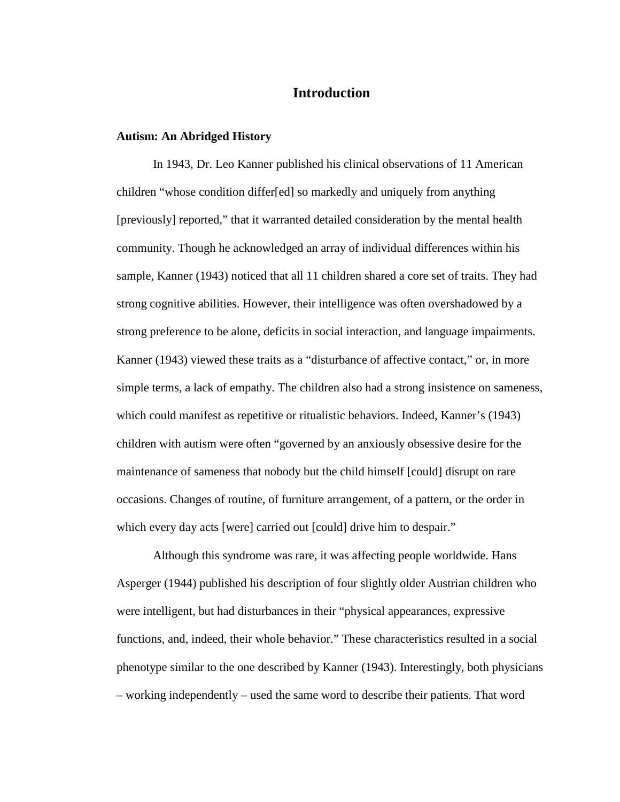# **Introduction**

#### **Autism: An Abridged History**

In 1943, Dr. Leo Kanner published his clinical observations of 11 American children "whose condition differ[ed] so markedly and uniquely from anything [previously] reported," that it warranted detailed consideration by the mental health community. Though he acknowledged an array of individual differences within his sample, Kanner (1943) noticed that all 11 children shared a core set of traits. They had strong cognitive abilities. However, their intelligence was often overshadowed by a strong preference to be alone, deficits in social interaction, and language impairments. Kanner (1943) viewed these traits as a "disturbance of affective contact," or, in more simple terms, a lack of empathy. The children also had a strong insistence on sameness, which could manifest as repetitive or ritualistic behaviors. Indeed, Kanner's (1943) children with autism were often "governed by an anxiously obsessive desire for the maintenance of sameness that nobody but the child himself [could] disrupt on rare occasions. Changes of routine, of furniture arrangement, of a pattern, or the order in which every day acts [were] carried out [could] drive him to despair."

Although this syndrome was rare, it was affecting people worldwide. Hans Asperger (1944) published his description of four slightly older Austrian children who were intelligent, but had disturbances in their "physical appearances, expressive functions, and, indeed, their whole behavior." These characteristics resulted in a social phenotype similar to the one described by Kanner (1943). Interestingly, both physicians – working independently – used the same word to describe their patients. That word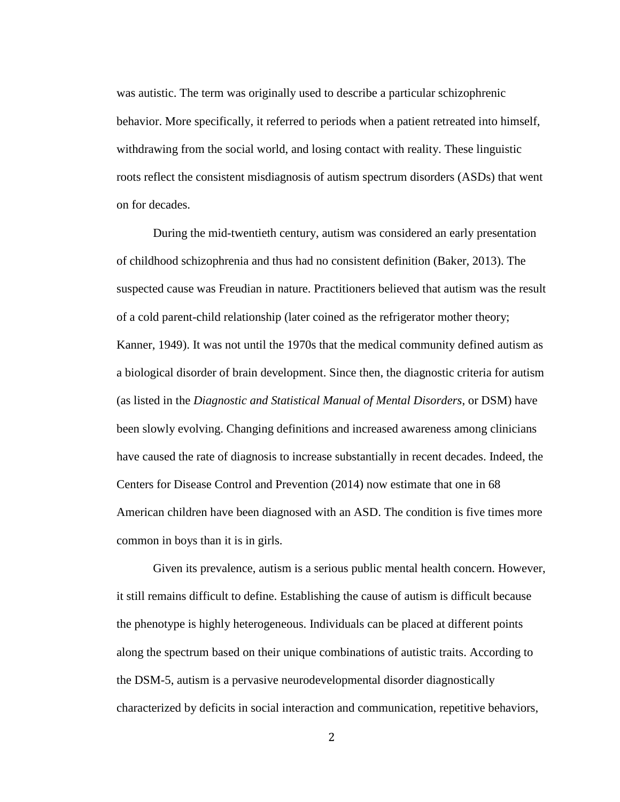was autistic. The term was originally used to describe a particular schizophrenic behavior. More specifically, it referred to periods when a patient retreated into himself, withdrawing from the social world, and losing contact with reality. These linguistic roots reflect the consistent misdiagnosis of autism spectrum disorders (ASDs) that went on for decades.

During the mid-twentieth century, autism was considered an early presentation of childhood schizophrenia and thus had no consistent definition (Baker, 2013). The suspected cause was Freudian in nature. Practitioners believed that autism was the result of a cold parent-child relationship (later coined as the refrigerator mother theory; Kanner, 1949). It was not until the 1970s that the medical community defined autism as a biological disorder of brain development. Since then, the diagnostic criteria for autism (as listed in the *Diagnostic and Statistical Manual of Mental Disorders*, or DSM) have been slowly evolving. Changing definitions and increased awareness among clinicians have caused the rate of diagnosis to increase substantially in recent decades. Indeed, the Centers for Disease Control and Prevention (2014) now estimate that one in 68 American children have been diagnosed with an ASD. The condition is five times more common in boys than it is in girls.

Given its prevalence, autism is a serious public mental health concern. However, it still remains difficult to define. Establishing the cause of autism is difficult because the phenotype is highly heterogeneous. Individuals can be placed at different points along the spectrum based on their unique combinations of autistic traits. According to the DSM-5, autism is a pervasive neurodevelopmental disorder diagnostically characterized by deficits in social interaction and communication, repetitive behaviors,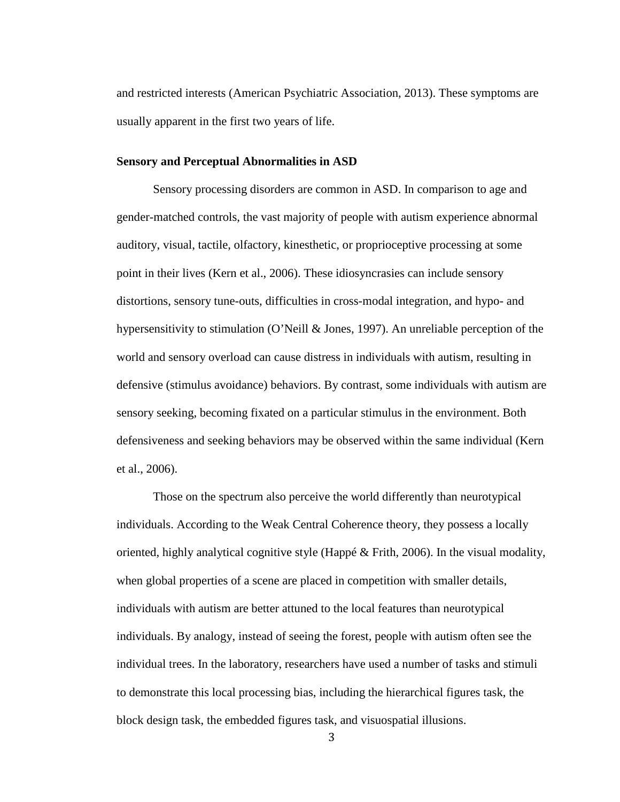and restricted interests (American Psychiatric Association, 2013). These symptoms are usually apparent in the first two years of life.

## **Sensory and Perceptual Abnormalities in ASD**

Sensory processing disorders are common in ASD. In comparison to age and gender-matched controls, the vast majority of people with autism experience abnormal auditory, visual, tactile, olfactory, kinesthetic, or proprioceptive processing at some point in their lives (Kern et al., 2006). These idiosyncrasies can include sensory distortions, sensory tune-outs, difficulties in cross-modal integration, and hypo- and hypersensitivity to stimulation (O'Neill & Jones, 1997). An unreliable perception of the world and sensory overload can cause distress in individuals with autism, resulting in defensive (stimulus avoidance) behaviors. By contrast, some individuals with autism are sensory seeking, becoming fixated on a particular stimulus in the environment. Both defensiveness and seeking behaviors may be observed within the same individual (Kern et al., 2006).

Those on the spectrum also perceive the world differently than neurotypical individuals. According to the Weak Central Coherence theory, they possess a locally oriented, highly analytical cognitive style (Happé & Frith, 2006). In the visual modality, when global properties of a scene are placed in competition with smaller details, individuals with autism are better attuned to the local features than neurotypical individuals. By analogy, instead of seeing the forest, people with autism often see the individual trees. In the laboratory, researchers have used a number of tasks and stimuli to demonstrate this local processing bias, including the hierarchical figures task, the block design task, the embedded figures task, and visuospatial illusions.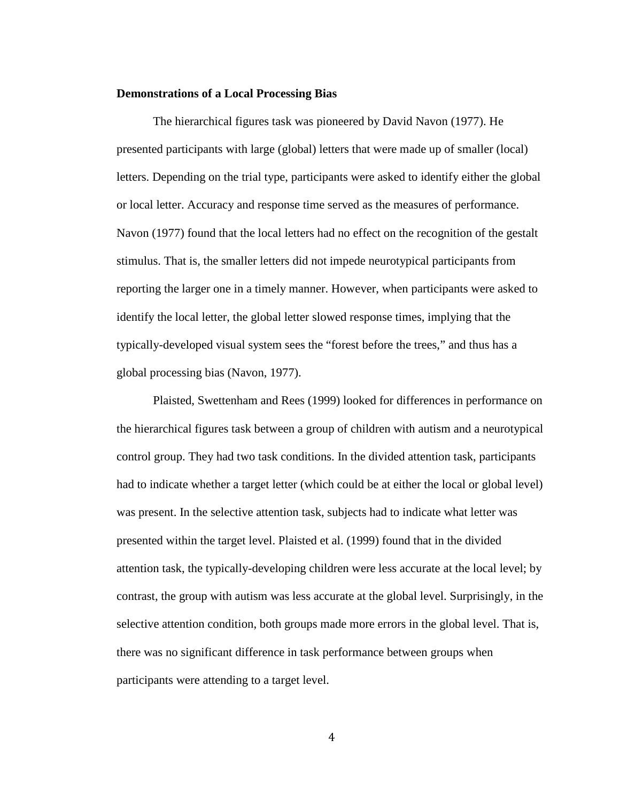#### **Demonstrations of a Local Processing Bias**

The hierarchical figures task was pioneered by David Navon (1977). He presented participants with large (global) letters that were made up of smaller (local) letters. Depending on the trial type, participants were asked to identify either the global or local letter. Accuracy and response time served as the measures of performance. Navon (1977) found that the local letters had no effect on the recognition of the gestalt stimulus. That is, the smaller letters did not impede neurotypical participants from reporting the larger one in a timely manner. However, when participants were asked to identify the local letter, the global letter slowed response times, implying that the typically-developed visual system sees the "forest before the trees," and thus has a global processing bias (Navon, 1977).

Plaisted, Swettenham and Rees (1999) looked for differences in performance on the hierarchical figures task between a group of children with autism and a neurotypical control group. They had two task conditions. In the divided attention task, participants had to indicate whether a target letter (which could be at either the local or global level) was present. In the selective attention task, subjects had to indicate what letter was presented within the target level. Plaisted et al. (1999) found that in the divided attention task, the typically-developing children were less accurate at the local level; by contrast, the group with autism was less accurate at the global level. Surprisingly, in the selective attention condition, both groups made more errors in the global level. That is, there was no significant difference in task performance between groups when participants were attending to a target level.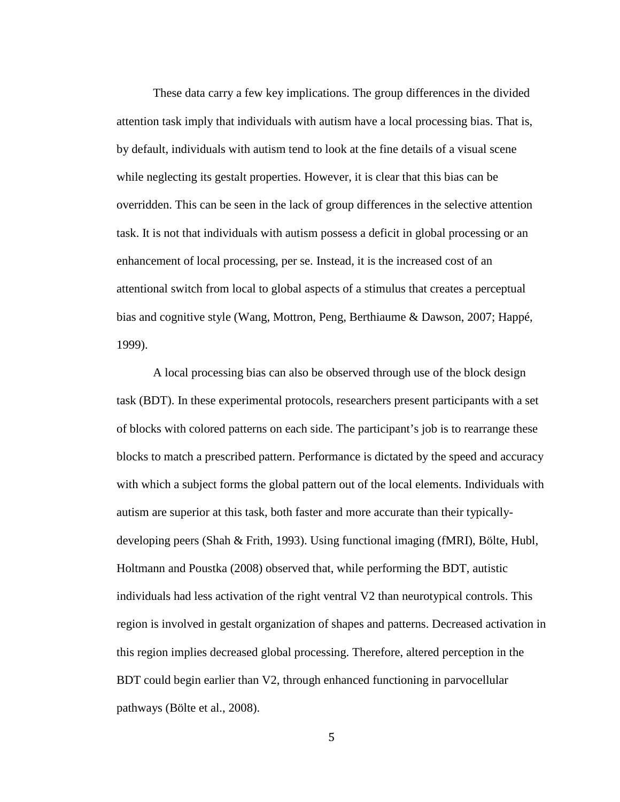These data carry a few key implications. The group differences in the divided attention task imply that individuals with autism have a local processing bias. That is, by default, individuals with autism tend to look at the fine details of a visual scene while neglecting its gestalt properties. However, it is clear that this bias can be overridden. This can be seen in the lack of group differences in the selective attention task. It is not that individuals with autism possess a deficit in global processing or an enhancement of local processing, per se. Instead, it is the increased cost of an attentional switch from local to global aspects of a stimulus that creates a perceptual bias and cognitive style (Wang, Mottron, Peng, Berthiaume & Dawson, 2007; Happé, 1999).

A local processing bias can also be observed through use of the block design task (BDT). In these experimental protocols, researchers present participants with a set of blocks with colored patterns on each side. The participant's job is to rearrange these blocks to match a prescribed pattern. Performance is dictated by the speed and accuracy with which a subject forms the global pattern out of the local elements. Individuals with autism are superior at this task, both faster and more accurate than their typicallydeveloping peers (Shah & Frith, 1993). Using functional imaging (fMRI), Bölte, Hubl, Holtmann and Poustka (2008) observed that, while performing the BDT, autistic individuals had less activation of the right ventral V2 than neurotypical controls. This region is involved in gestalt organization of shapes and patterns. Decreased activation in this region implies decreased global processing. Therefore, altered perception in the BDT could begin earlier than V2, through enhanced functioning in parvocellular pathways (Bölte et al., 2008).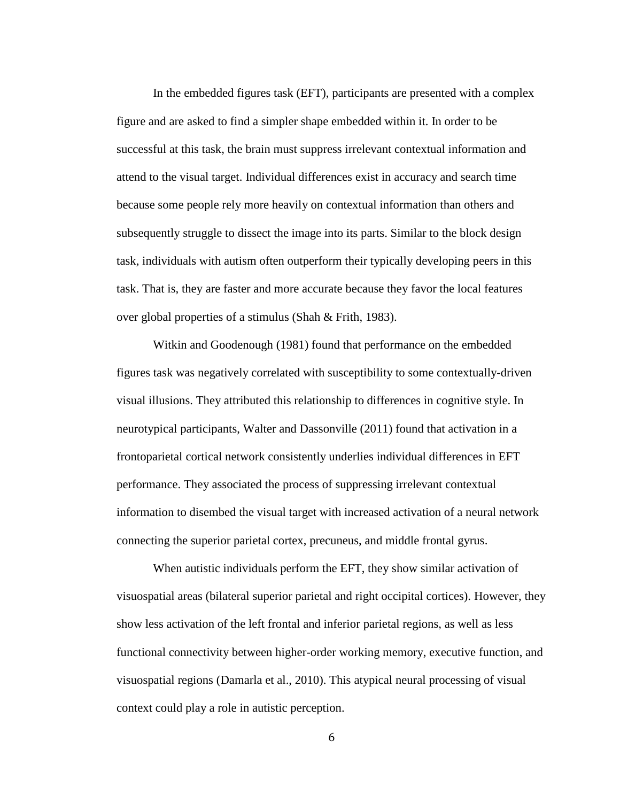In the embedded figures task (EFT), participants are presented with a complex figure and are asked to find a simpler shape embedded within it. In order to be successful at this task, the brain must suppress irrelevant contextual information and attend to the visual target. Individual differences exist in accuracy and search time because some people rely more heavily on contextual information than others and subsequently struggle to dissect the image into its parts. Similar to the block design task, individuals with autism often outperform their typically developing peers in this task. That is, they are faster and more accurate because they favor the local features over global properties of a stimulus (Shah & Frith, 1983).

Witkin and Goodenough (1981) found that performance on the embedded figures task was negatively correlated with susceptibility to some contextually-driven visual illusions. They attributed this relationship to differences in cognitive style. In neurotypical participants, Walter and Dassonville (2011) found that activation in a frontoparietal cortical network consistently underlies individual differences in EFT performance. They associated the process of suppressing irrelevant contextual information to disembed the visual target with increased activation of a neural network connecting the superior parietal cortex, precuneus, and middle frontal gyrus.

When autistic individuals perform the EFT, they show similar activation of visuospatial areas (bilateral superior parietal and right occipital cortices). However, they show less activation of the left frontal and inferior parietal regions, as well as less functional connectivity between higher-order working memory, executive function, and visuospatial regions (Damarla et al., 2010). This atypical neural processing of visual context could play a role in autistic perception.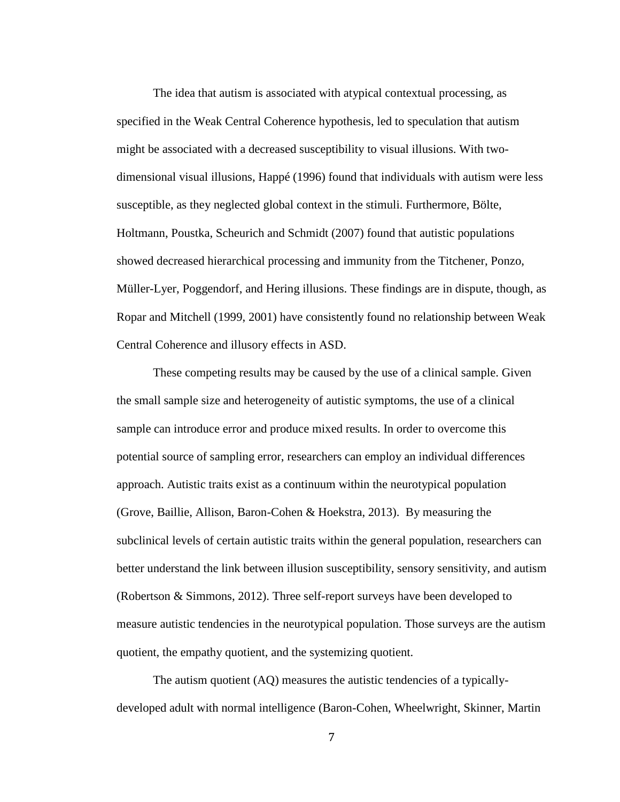The idea that autism is associated with atypical contextual processing, as specified in the Weak Central Coherence hypothesis, led to speculation that autism might be associated with a decreased susceptibility to visual illusions. With twodimensional visual illusions, Happé (1996) found that individuals with autism were less susceptible, as they neglected global context in the stimuli. Furthermore, Bölte, Holtmann, Poustka, Scheurich and Schmidt (2007) found that autistic populations showed decreased hierarchical processing and immunity from the Titchener, Ponzo, Müller-Lyer, Poggendorf, and Hering illusions. These findings are in dispute, though, as Ropar and Mitchell (1999, 2001) have consistently found no relationship between Weak Central Coherence and illusory effects in ASD.

These competing results may be caused by the use of a clinical sample. Given the small sample size and heterogeneity of autistic symptoms, the use of a clinical sample can introduce error and produce mixed results. In order to overcome this potential source of sampling error, researchers can employ an individual differences approach. Autistic traits exist as a continuum within the neurotypical population (Grove, Baillie, Allison, Baron-Cohen & Hoekstra, 2013). By measuring the subclinical levels of certain autistic traits within the general population, researchers can better understand the link between illusion susceptibility, sensory sensitivity, and autism (Robertson & Simmons, 2012). Three self-report surveys have been developed to measure autistic tendencies in the neurotypical population. Those surveys are the autism quotient, the empathy quotient, and the systemizing quotient.

The autism quotient (AQ) measures the autistic tendencies of a typicallydeveloped adult with normal intelligence (Baron-Cohen, Wheelwright, Skinner, Martin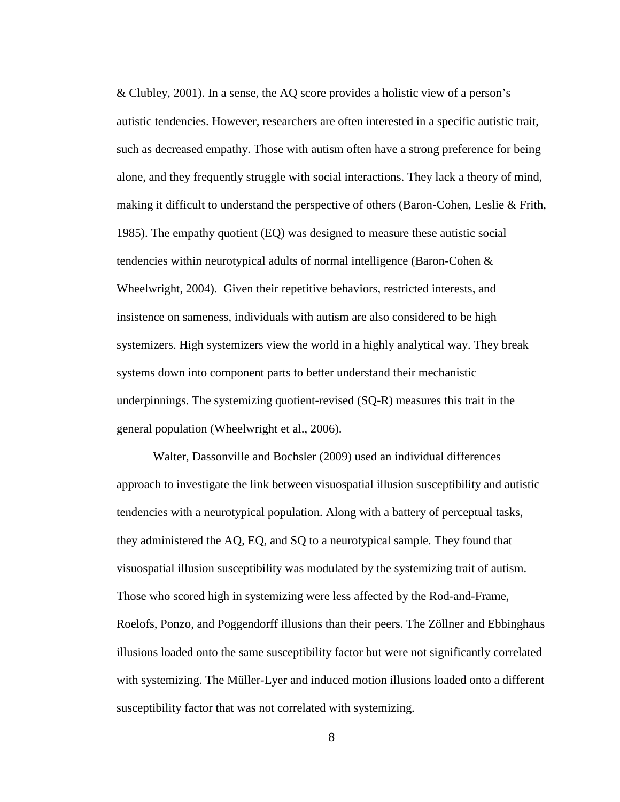& Clubley, 2001). In a sense, the AQ score provides a holistic view of a person's autistic tendencies. However, researchers are often interested in a specific autistic trait, such as decreased empathy. Those with autism often have a strong preference for being alone, and they frequently struggle with social interactions. They lack a theory of mind, making it difficult to understand the perspective of others (Baron-Cohen, Leslie & Frith, 1985). The empathy quotient (EQ) was designed to measure these autistic social tendencies within neurotypical adults of normal intelligence (Baron-Cohen & Wheelwright, 2004). Given their repetitive behaviors, restricted interests, and insistence on sameness, individuals with autism are also considered to be high systemizers. High systemizers view the world in a highly analytical way. They break systems down into component parts to better understand their mechanistic underpinnings. The systemizing quotient-revised (SQ-R) measures this trait in the general population (Wheelwright et al., 2006).

Walter, Dassonville and Bochsler (2009) used an individual differences approach to investigate the link between visuospatial illusion susceptibility and autistic tendencies with a neurotypical population. Along with a battery of perceptual tasks, they administered the AQ, EQ, and SQ to a neurotypical sample. They found that visuospatial illusion susceptibility was modulated by the systemizing trait of autism. Those who scored high in systemizing were less affected by the Rod-and-Frame, Roelofs, Ponzo, and Poggendorff illusions than their peers. The Zöllner and Ebbinghaus illusions loaded onto the same susceptibility factor but were not significantly correlated with systemizing. The Müller-Lyer and induced motion illusions loaded onto a different susceptibility factor that was not correlated with systemizing.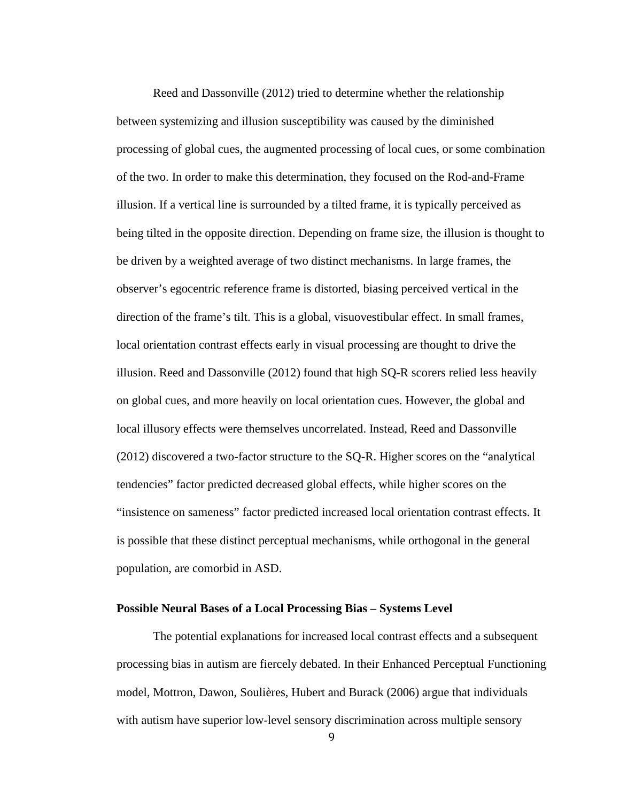Reed and Dassonville (2012) tried to determine whether the relationship between systemizing and illusion susceptibility was caused by the diminished processing of global cues, the augmented processing of local cues, or some combination of the two. In order to make this determination, they focused on the Rod-and-Frame illusion. If a vertical line is surrounded by a tilted frame, it is typically perceived as being tilted in the opposite direction. Depending on frame size, the illusion is thought to be driven by a weighted average of two distinct mechanisms. In large frames, the observer's egocentric reference frame is distorted, biasing perceived vertical in the direction of the frame's tilt. This is a global, visuovestibular effect. In small frames, local orientation contrast effects early in visual processing are thought to drive the illusion. Reed and Dassonville (2012) found that high SQ-R scorers relied less heavily on global cues, and more heavily on local orientation cues. However, the global and local illusory effects were themselves uncorrelated. Instead, Reed and Dassonville (2012) discovered a two-factor structure to the SQ-R. Higher scores on the "analytical tendencies" factor predicted decreased global effects, while higher scores on the "insistence on sameness" factor predicted increased local orientation contrast effects. It is possible that these distinct perceptual mechanisms, while orthogonal in the general population, are comorbid in ASD.

#### **Possible Neural Bases of a Local Processing Bias – Systems Level**

The potential explanations for increased local contrast effects and a subsequent processing bias in autism are fiercely debated. In their Enhanced Perceptual Functioning model, Mottron, Dawon, Soulières, Hubert and Burack (2006) argue that individuals with autism have superior low-level sensory discrimination across multiple sensory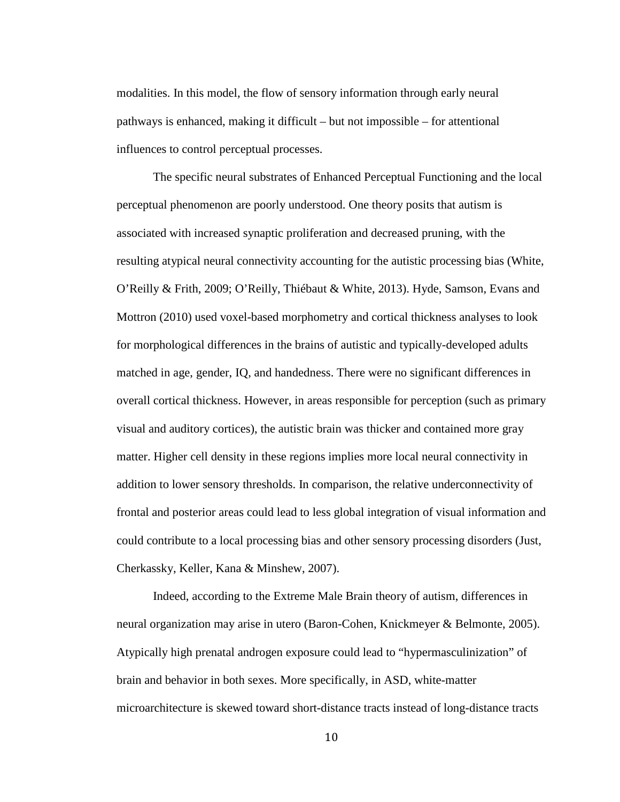modalities. In this model, the flow of sensory information through early neural pathways is enhanced, making it difficult – but not impossible – for attentional influences to control perceptual processes.

The specific neural substrates of Enhanced Perceptual Functioning and the local perceptual phenomenon are poorly understood. One theory posits that autism is associated with increased synaptic proliferation and decreased pruning, with the resulting atypical neural connectivity accounting for the autistic processing bias (White, O'Reilly & Frith, 2009; O'Reilly, Thiébaut & White, 2013). Hyde, Samson, Evans and Mottron (2010) used voxel-based morphometry and cortical thickness analyses to look for morphological differences in the brains of autistic and typically-developed adults matched in age, gender, IQ, and handedness. There were no significant differences in overall cortical thickness. However, in areas responsible for perception (such as primary visual and auditory cortices), the autistic brain was thicker and contained more gray matter. Higher cell density in these regions implies more local neural connectivity in addition to lower sensory thresholds. In comparison, the relative underconnectivity of frontal and posterior areas could lead to less global integration of visual information and could contribute to a local processing bias and other sensory processing disorders (Just, Cherkassky, Keller, Kana & Minshew, 2007).

Indeed, according to the Extreme Male Brain theory of autism, differences in neural organization may arise in utero (Baron-Cohen, Knickmeyer & Belmonte, 2005). Atypically high prenatal androgen exposure could lead to "hypermasculinization" of brain and behavior in both sexes. More specifically, in ASD, white-matter microarchitecture is skewed toward short-distance tracts instead of long-distance tracts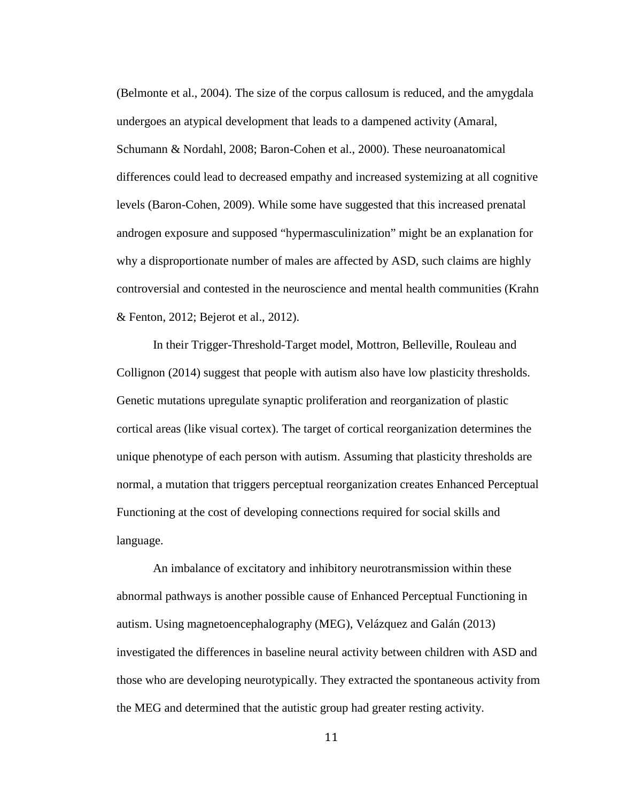(Belmonte et al., 2004). The size of the corpus callosum is reduced, and the amygdala undergoes an atypical development that leads to a dampened activity (Amaral, Schumann & Nordahl, 2008; Baron-Cohen et al., 2000). These neuroanatomical differences could lead to decreased empathy and increased systemizing at all cognitive levels (Baron-Cohen, 2009). While some have suggested that this increased prenatal androgen exposure and supposed "hypermasculinization" might be an explanation for why a disproportionate number of males are affected by ASD, such claims are highly controversial and contested in the neuroscience and mental health communities (Krahn & Fenton, 2012; Bejerot et al., 2012).

In their Trigger-Threshold-Target model, Mottron, Belleville, Rouleau and Collignon (2014) suggest that people with autism also have low plasticity thresholds. Genetic mutations upregulate synaptic proliferation and reorganization of plastic cortical areas (like visual cortex). The target of cortical reorganization determines the unique phenotype of each person with autism. Assuming that plasticity thresholds are normal, a mutation that triggers perceptual reorganization creates Enhanced Perceptual Functioning at the cost of developing connections required for social skills and language.

An imbalance of excitatory and inhibitory neurotransmission within these abnormal pathways is another possible cause of Enhanced Perceptual Functioning in autism. Using magnetoencephalography (MEG), Velázquez and Galán (2013) investigated the differences in baseline neural activity between children with ASD and those who are developing neurotypically. They extracted the spontaneous activity from the MEG and determined that the autistic group had greater resting activity.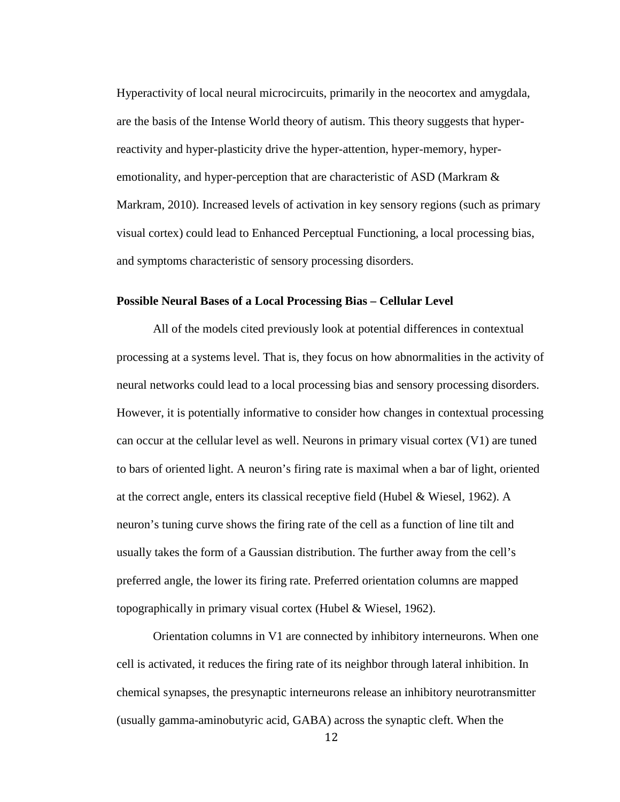Hyperactivity of local neural microcircuits, primarily in the neocortex and amygdala, are the basis of the Intense World theory of autism. This theory suggests that hyperreactivity and hyper-plasticity drive the hyper-attention, hyper-memory, hyperemotionality, and hyper-perception that are characteristic of ASD (Markram & Markram, 2010). Increased levels of activation in key sensory regions (such as primary visual cortex) could lead to Enhanced Perceptual Functioning, a local processing bias, and symptoms characteristic of sensory processing disorders.

#### **Possible Neural Bases of a Local Processing Bias – Cellular Level**

All of the models cited previously look at potential differences in contextual processing at a systems level. That is, they focus on how abnormalities in the activity of neural networks could lead to a local processing bias and sensory processing disorders. However, it is potentially informative to consider how changes in contextual processing can occur at the cellular level as well. Neurons in primary visual cortex (V1) are tuned to bars of oriented light. A neuron's firing rate is maximal when a bar of light, oriented at the correct angle, enters its classical receptive field (Hubel & Wiesel, 1962). A neuron's tuning curve shows the firing rate of the cell as a function of line tilt and usually takes the form of a Gaussian distribution. The further away from the cell's preferred angle, the lower its firing rate. Preferred orientation columns are mapped topographically in primary visual cortex (Hubel & Wiesel, 1962).

Orientation columns in V1 are connected by inhibitory interneurons. When one cell is activated, it reduces the firing rate of its neighbor through lateral inhibition. In chemical synapses, the presynaptic interneurons release an inhibitory neurotransmitter (usually gamma-aminobutyric acid, GABA) across the synaptic cleft. When the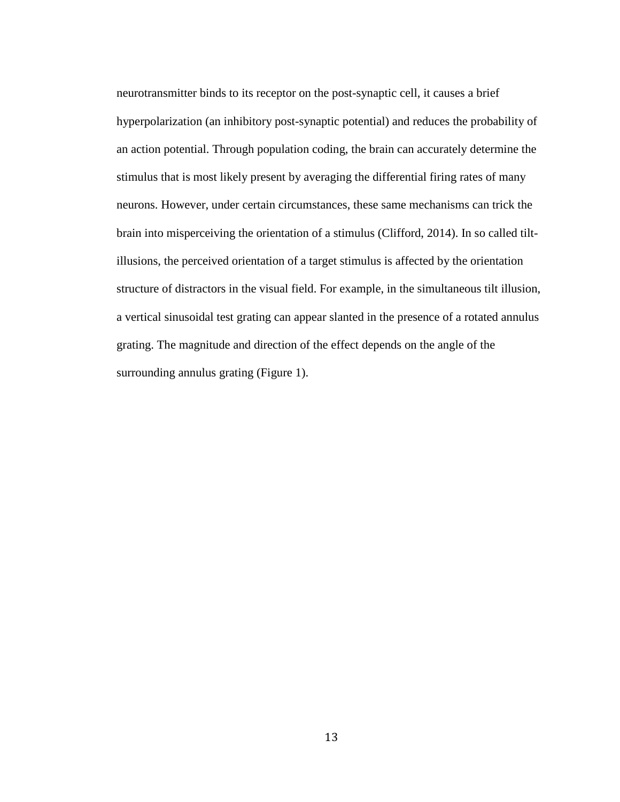neurotransmitter binds to its receptor on the post-synaptic cell, it causes a brief hyperpolarization (an inhibitory post-synaptic potential) and reduces the probability of an action potential. Through population coding, the brain can accurately determine the stimulus that is most likely present by averaging the differential firing rates of many neurons. However, under certain circumstances, these same mechanisms can trick the brain into misperceiving the orientation of a stimulus (Clifford, 2014). In so called tiltillusions, the perceived orientation of a target stimulus is affected by the orientation structure of distractors in the visual field. For example, in the simultaneous tilt illusion, a vertical sinusoidal test grating can appear slanted in the presence of a rotated annulus grating. The magnitude and direction of the effect depends on the angle of the surrounding annulus grating (Figure 1).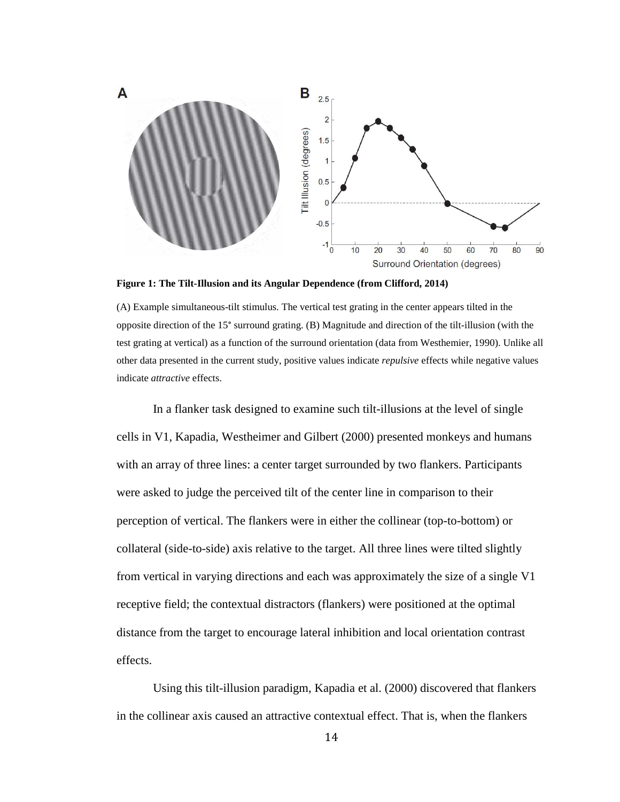

<span id="page-21-0"></span>**Figure 1: The Tilt-Illusion and its Angular Dependence (from Clifford, 2014)**

(A) Example simultaneous-tilt stimulus. The vertical test grating in the center appears tilted in the opposite direction of the 15° surround grating. (B) Magnitude and direction of the tilt-illusion (with the test grating at vertical) as a function of the surround orientation (data from Westhemier, 1990). Unlike all other data presented in the current study, positive values indicate *repulsive* effects while negative values indicate *attractive* effects.

In a flanker task designed to examine such tilt-illusions at the level of single cells in V1, Kapadia, Westheimer and Gilbert (2000) presented monkeys and humans with an array of three lines: a center target surrounded by two flankers. Participants were asked to judge the perceived tilt of the center line in comparison to their perception of vertical. The flankers were in either the collinear (top-to-bottom) or collateral (side-to-side) axis relative to the target. All three lines were tilted slightly from vertical in varying directions and each was approximately the size of a single V1 receptive field; the contextual distractors (flankers) were positioned at the optimal distance from the target to encourage lateral inhibition and local orientation contrast effects.

Using this tilt-illusion paradigm, Kapadia et al. (2000) discovered that flankers in the collinear axis caused an attractive contextual effect. That is, when the flankers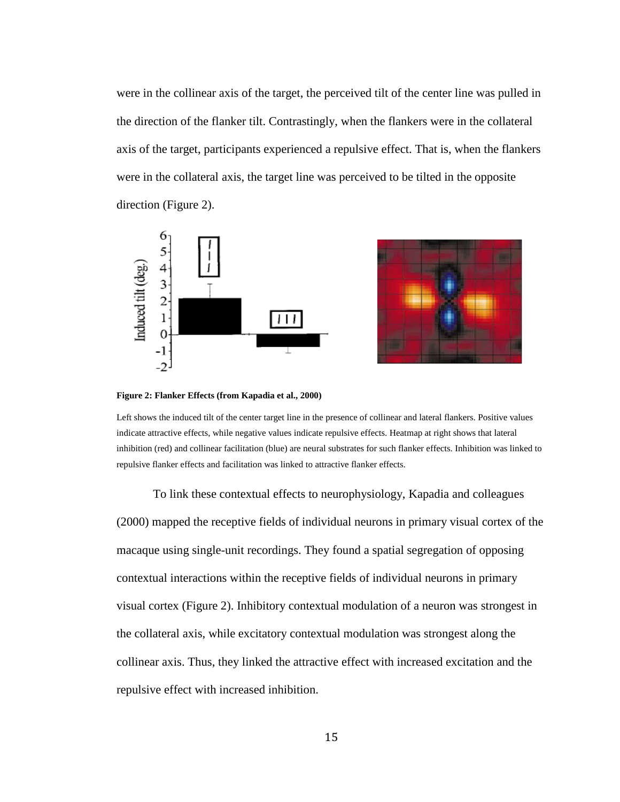were in the collinear axis of the target, the perceived tilt of the center line was pulled in the direction of the flanker tilt. Contrastingly, when the flankers were in the collateral axis of the target, participants experienced a repulsive effect. That is, when the flankers were in the collateral axis, the target line was perceived to be tilted in the opposite direction (Figure 2).





<span id="page-22-0"></span>**Figure 2: Flanker Effects (from Kapadia et al., 2000)**

Left shows the induced tilt of the center target line in the presence of collinear and lateral flankers. Positive values indicate attractive effects, while negative values indicate repulsive effects. Heatmap at right shows that lateral inhibition (red) and collinear facilitation (blue) are neural substrates for such flanker effects. Inhibition was linked to repulsive flanker effects and facilitation was linked to attractive flanker effects.

To link these contextual effects to neurophysiology, Kapadia and colleagues (2000) mapped the receptive fields of individual neurons in primary visual cortex of the macaque using single-unit recordings. They found a spatial segregation of opposing contextual interactions within the receptive fields of individual neurons in primary visual cortex (Figure 2). Inhibitory contextual modulation of a neuron was strongest in the collateral axis, while excitatory contextual modulation was strongest along the collinear axis. Thus, they linked the attractive effect with increased excitation and the repulsive effect with increased inhibition.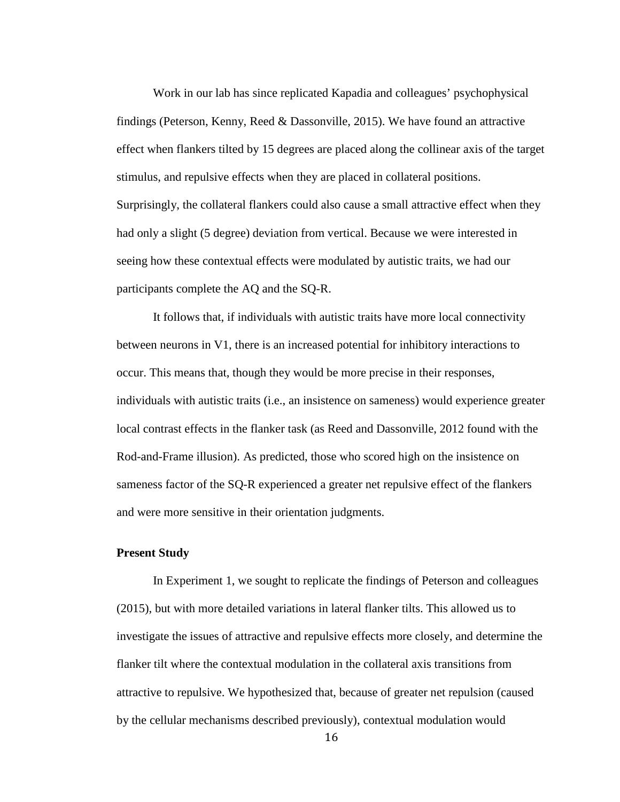Work in our lab has since replicated Kapadia and colleagues' psychophysical findings (Peterson, Kenny, Reed & Dassonville, 2015). We have found an attractive effect when flankers tilted by 15 degrees are placed along the collinear axis of the target stimulus, and repulsive effects when they are placed in collateral positions. Surprisingly, the collateral flankers could also cause a small attractive effect when they had only a slight (5 degree) deviation from vertical. Because we were interested in seeing how these contextual effects were modulated by autistic traits, we had our participants complete the AQ and the SQ-R.

It follows that, if individuals with autistic traits have more local connectivity between neurons in V1, there is an increased potential for inhibitory interactions to occur. This means that, though they would be more precise in their responses, individuals with autistic traits (i.e., an insistence on sameness) would experience greater local contrast effects in the flanker task (as Reed and Dassonville, 2012 found with the Rod-and-Frame illusion). As predicted, those who scored high on the insistence on sameness factor of the SQ-R experienced a greater net repulsive effect of the flankers and were more sensitive in their orientation judgments.

#### **Present Study**

In Experiment 1, we sought to replicate the findings of Peterson and colleagues (2015), but with more detailed variations in lateral flanker tilts. This allowed us to investigate the issues of attractive and repulsive effects more closely, and determine the flanker tilt where the contextual modulation in the collateral axis transitions from attractive to repulsive. We hypothesized that, because of greater net repulsion (caused by the cellular mechanisms described previously), contextual modulation would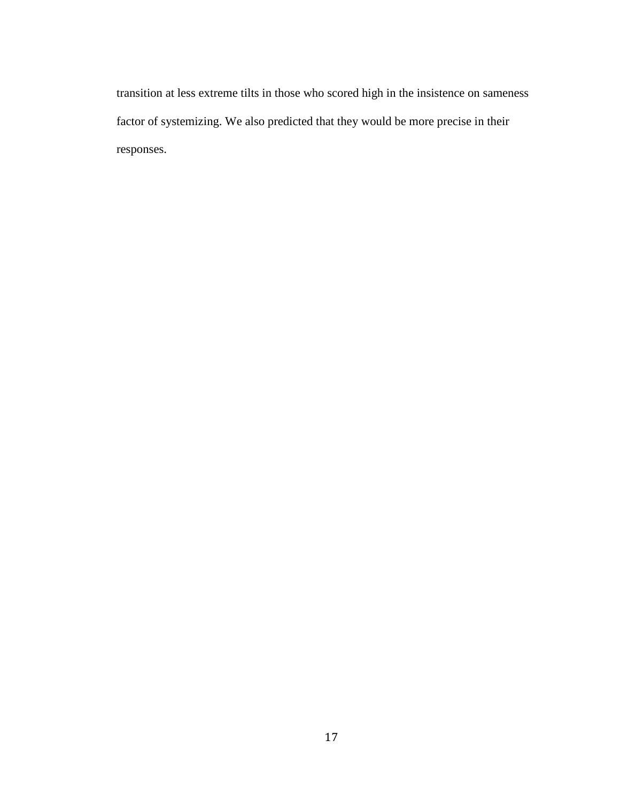transition at less extreme tilts in those who scored high in the insistence on sameness factor of systemizing. We also predicted that they would be more precise in their responses.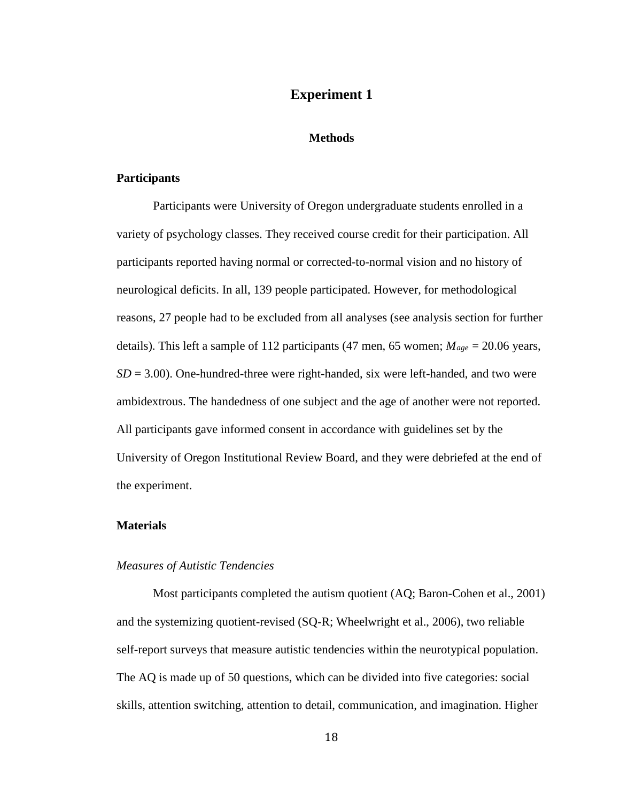# **Experiment 1**

#### **Methods**

## **Participants**

Participants were University of Oregon undergraduate students enrolled in a variety of psychology classes. They received course credit for their participation. All participants reported having normal or corrected-to-normal vision and no history of neurological deficits. In all, 139 people participated. However, for methodological reasons, 27 people had to be excluded from all analyses (see analysis section for further details). This left a sample of 112 participants (47 men, 65 women; *Mage* = 20.06 years,  $SD = 3.00$ ). One-hundred-three were right-handed, six were left-handed, and two were ambidextrous. The handedness of one subject and the age of another were not reported. All participants gave informed consent in accordance with guidelines set by the University of Oregon Institutional Review Board, and they were debriefed at the end of the experiment.

#### **Materials**

## *Measures of Autistic Tendencies*

Most participants completed the autism quotient (AQ; Baron-Cohen et al., 2001) and the systemizing quotient-revised (SQ-R; Wheelwright et al., 2006), two reliable self-report surveys that measure autistic tendencies within the neurotypical population. The AQ is made up of 50 questions, which can be divided into five categories: social skills, attention switching, attention to detail, communication, and imagination. Higher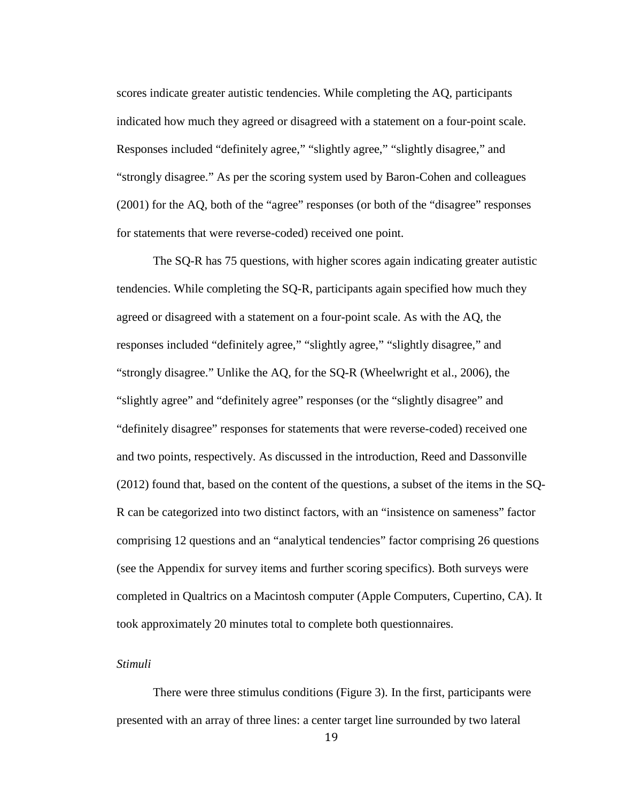scores indicate greater autistic tendencies. While completing the AQ, participants indicated how much they agreed or disagreed with a statement on a four-point scale. Responses included "definitely agree," "slightly agree," "slightly disagree," and "strongly disagree." As per the scoring system used by Baron-Cohen and colleagues (2001) for the AQ, both of the "agree" responses (or both of the "disagree" responses for statements that were reverse-coded) received one point.

The SQ-R has 75 questions, with higher scores again indicating greater autistic tendencies. While completing the SQ-R, participants again specified how much they agreed or disagreed with a statement on a four-point scale. As with the AQ, the responses included "definitely agree," "slightly agree," "slightly disagree," and "strongly disagree." Unlike the AQ, for the SQ-R (Wheelwright et al., 2006), the "slightly agree" and "definitely agree" responses (or the "slightly disagree" and "definitely disagree" responses for statements that were reverse-coded) received one and two points, respectively. As discussed in the introduction, Reed and Dassonville (2012) found that, based on the content of the questions, a subset of the items in the SQ-R can be categorized into two distinct factors, with an "insistence on sameness" factor comprising 12 questions and an "analytical tendencies" factor comprising 26 questions (see the Appendix for survey items and further scoring specifics). Both surveys were completed in Qualtrics on a Macintosh computer (Apple Computers, Cupertino, CA). It took approximately 20 minutes total to complete both questionnaires.

# *Stimuli*

There were three stimulus conditions (Figure 3). In the first, participants were presented with an array of three lines: a center target line surrounded by two lateral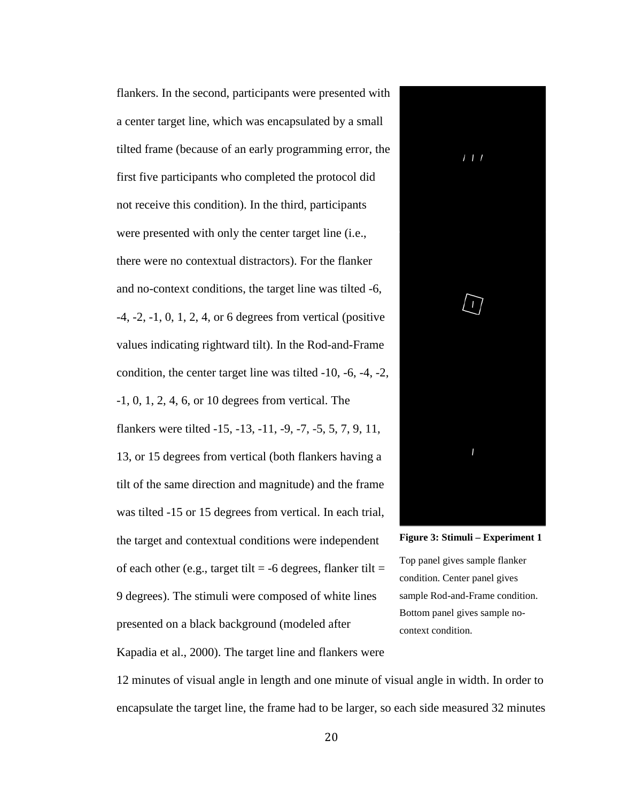flankers. In the second, participants were presented with a center target line, which was encapsulated by a small tilted frame (because of an early programming error, the first five participants who completed the protocol did not receive this condition). In the third, participants were presented with only the center target line (i.e., there were no contextual distractors). For the flanker and no-context conditions, the target line was tilted -6, -4, -2, -1, 0, 1, 2, 4, or 6 degrees from vertical (positive values indicating rightward tilt). In the Rod-and-Frame condition, the center target line was tilted -10, -6, -4, -2, -1, 0, 1, 2, 4, 6, or 10 degrees from vertical. The flankers were tilted -15, -13, -11, -9, -7, -5, 5, 7, 9, 11, 13, or 15 degrees from vertical (both flankers having a tilt of the same direction and magnitude) and the frame was tilted -15 or 15 degrees from vertical. In each trial, the target and contextual conditions were independent of each other (e.g., target tilt  $=$  -6 degrees, flanker tilt  $=$ 9 degrees). The stimuli were composed of white lines presented on a black background (modeled after





Kapadia et al., 2000). The target line and flankers were

12 minutes of visual angle in length and one minute of visual angle in width. In order to encapsulate the target line, the frame had to be larger, so each side measured 32 minutes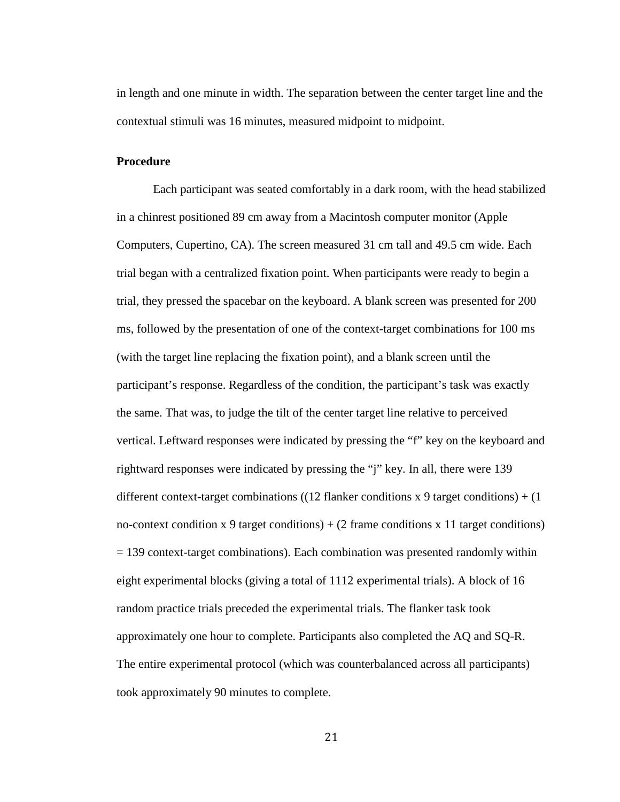in length and one minute in width. The separation between the center target line and the contextual stimuli was 16 minutes, measured midpoint to midpoint.

## **Procedure**

Each participant was seated comfortably in a dark room, with the head stabilized in a chinrest positioned 89 cm away from a Macintosh computer monitor (Apple Computers, Cupertino, CA). The screen measured 31 cm tall and 49.5 cm wide. Each trial began with a centralized fixation point. When participants were ready to begin a trial, they pressed the spacebar on the keyboard. A blank screen was presented for 200 ms, followed by the presentation of one of the context-target combinations for 100 ms (with the target line replacing the fixation point), and a blank screen until the participant's response. Regardless of the condition, the participant's task was exactly the same. That was, to judge the tilt of the center target line relative to perceived vertical. Leftward responses were indicated by pressing the "f" key on the keyboard and rightward responses were indicated by pressing the "j" key. In all, there were 139 different context-target combinations ((12 flanker conditions  $x$  9 target conditions) + (1) no-context condition x 9 target conditions) +  $(2 \text{ frame conditions x 11 target conditions})$  $= 139$  context-target combinations). Each combination was presented randomly within eight experimental blocks (giving a total of 1112 experimental trials). A block of 16 random practice trials preceded the experimental trials. The flanker task took approximately one hour to complete. Participants also completed the AQ and SQ-R. The entire experimental protocol (which was counterbalanced across all participants) took approximately 90 minutes to complete.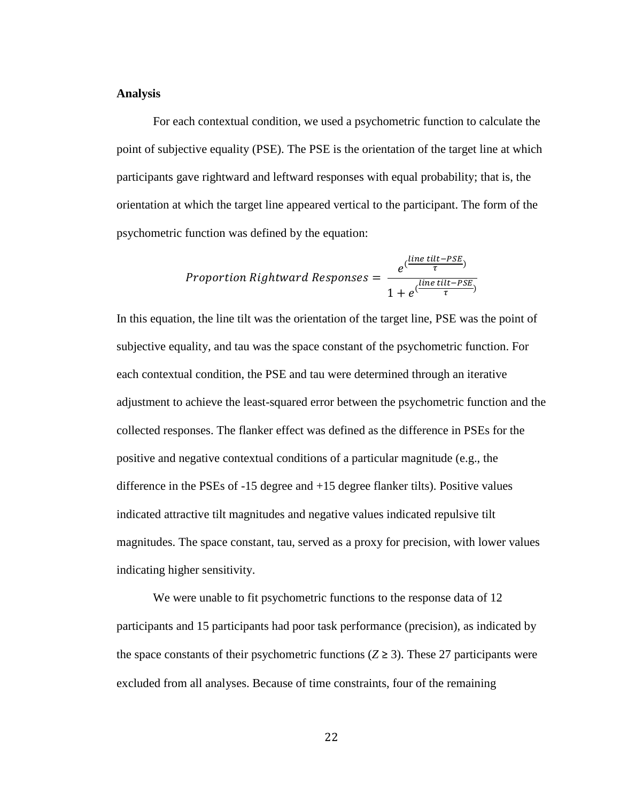#### **Analysis**

For each contextual condition, we used a psychometric function to calculate the point of subjective equality (PSE). The PSE is the orientation of the target line at which participants gave rightward and leftward responses with equal probability; that is, the orientation at which the target line appeared vertical to the participant. The form of the psychometric function was defined by the equation:

$$
Proportion Rightward \nResponse s = \frac{e^{(\frac{line \ tilt - PSE}{\tau})}}{1 + e^{(\frac{line \ tilt - PSE}{\tau})}}
$$

In this equation, the line tilt was the orientation of the target line, PSE was the point of subjective equality, and tau was the space constant of the psychometric function. For each contextual condition, the PSE and tau were determined through an iterative adjustment to achieve the least-squared error between the psychometric function and the collected responses. The flanker effect was defined as the difference in PSEs for the positive and negative contextual conditions of a particular magnitude (e.g., the difference in the PSEs of -15 degree and +15 degree flanker tilts). Positive values indicated attractive tilt magnitudes and negative values indicated repulsive tilt magnitudes. The space constant, tau, served as a proxy for precision, with lower values indicating higher sensitivity.

We were unable to fit psychometric functions to the response data of 12 participants and 15 participants had poor task performance (precision), as indicated by the space constants of their psychometric functions  $(Z \ge 3)$ . These 27 participants were excluded from all analyses. Because of time constraints, four of the remaining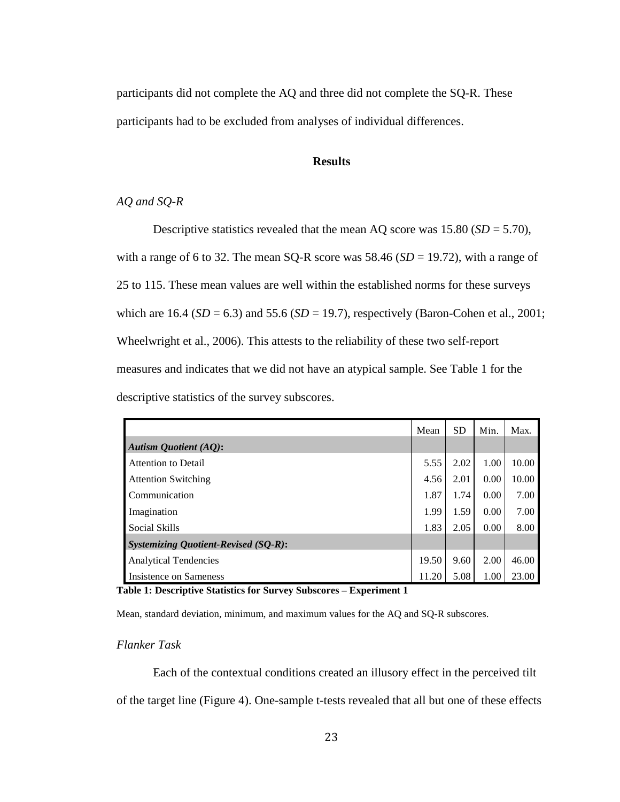participants did not complete the AQ and three did not complete the SQ-R. These participants had to be excluded from analyses of individual differences.

## **Results**

# *AQ and SQ-R*

Descriptive statistics revealed that the mean AQ score was  $15.80$  (*SD* = 5.70), with a range of 6 to 32. The mean SQ-R score was  $58.46$  (*SD* = 19.72), with a range of 25 to 115. These mean values are well within the established norms for these surveys which are 16.4 ( $SD = 6.3$ ) and 55.6 ( $SD = 19.7$ ), respectively (Baron-Cohen et al., 2001; Wheelwright et al., 2006). This attests to the reliability of these two self-report measures and indicates that we did not have an atypical sample. See Table 1 for the descriptive statistics of the survey subscores.

|                                             | Mean  | <b>SD</b> | Min. | Max.  |
|---------------------------------------------|-------|-----------|------|-------|
| <b>Autism Quotient (AQ):</b>                |       |           |      |       |
| Attention to Detail                         | 5.55  | 2.02      | 1.00 | 10.00 |
| <b>Attention Switching</b>                  | 4.56  | 2.01      | 0.00 | 10.00 |
| Communication                               | 1.87  | 1.74      | 0.00 | 7.00  |
| Imagination                                 | 1.99  | 1.59      | 0.00 | 7.00  |
| <b>Social Skills</b>                        | 1.83  | 2.05      | 0.00 | 8.00  |
| <b>Systemizing Quotient-Revised (SQ-R):</b> |       |           |      |       |
| <b>Analytical Tendencies</b>                | 19.50 | 9.60      | 2.00 | 46.00 |
| Insistence on Sameness                      | 11.20 | 5.08      | 1.00 | 23.00 |

<span id="page-30-0"></span>**Table 1: Descriptive Statistics for Survey Subscores – Experiment 1**

Mean, standard deviation, minimum, and maximum values for the AQ and SQ-R subscores.

#### *Flanker Task*

Each of the contextual conditions created an illusory effect in the perceived tilt of the target line (Figure 4). One-sample t-tests revealed that all but one of these effects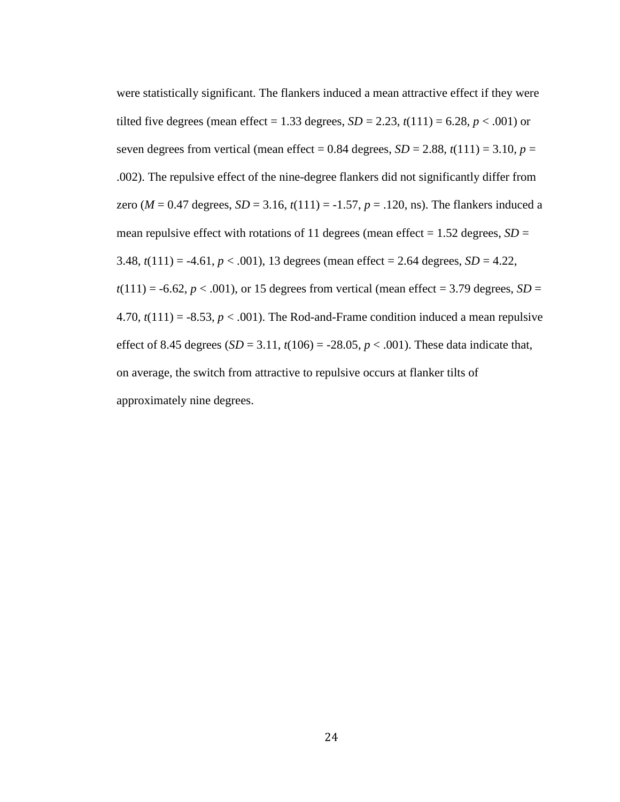were statistically significant. The flankers induced a mean attractive effect if they were tilted five degrees (mean effect = 1.33 degrees,  $SD = 2.23$ ,  $t(111) = 6.28$ ,  $p < .001$ ) or seven degrees from vertical (mean effect =  $0.84$  degrees,  $SD = 2.88$ ,  $t(111) = 3.10$ ,  $p =$ .002). The repulsive effect of the nine-degree flankers did not significantly differ from zero ( $M = 0.47$  degrees,  $SD = 3.16$ ,  $t(111) = -1.57$ ,  $p = .120$ , ns). The flankers induced a mean repulsive effect with rotations of 11 degrees (mean effect  $= 1.52$  degrees,  $SD =$ 3.48,  $t(111) = -4.61$ ,  $p < .001$ ), 13 degrees (mean effect = 2.64 degrees,  $SD = 4.22$ ,  $t(111) = -6.62$ ,  $p < .001$ ), or 15 degrees from vertical (mean effect = 3.79 degrees, *SD* = 4.70,  $t(111) = -8.53$ ,  $p < .001$ ). The Rod-and-Frame condition induced a mean repulsive effect of 8.45 degrees  $(SD = 3.11, t(106) = -28.05, p < .001)$ . These data indicate that, on average, the switch from attractive to repulsive occurs at flanker tilts of approximately nine degrees.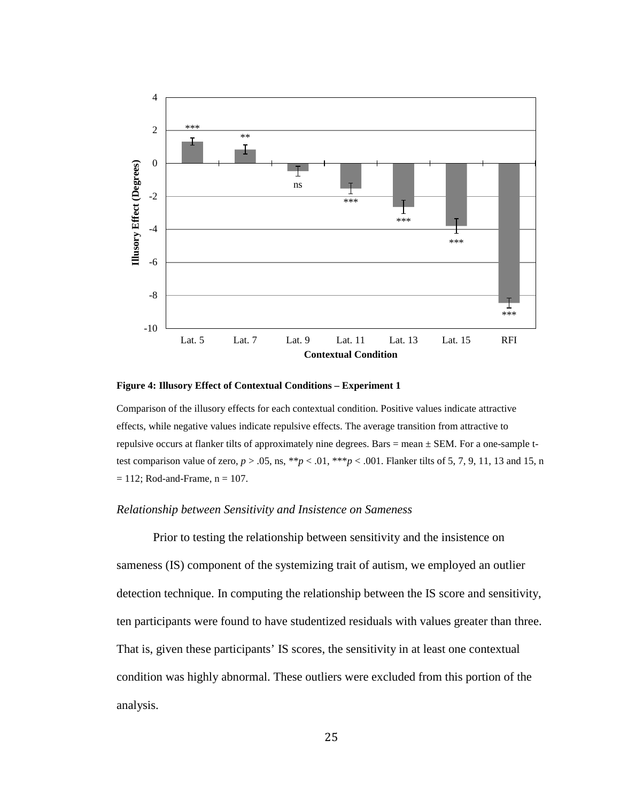

<span id="page-32-0"></span>**Figure 4: Illusory Effect of Contextual Conditions – Experiment 1**

Comparison of the illusory effects for each contextual condition. Positive values indicate attractive effects, while negative values indicate repulsive effects. The average transition from attractive to repulsive occurs at flanker tilts of approximately nine degrees. Bars = mean ± SEM. For a one-sample ttest comparison value of zero,  $p > .05$ , ns, \*\* $p < .01$ , \*\*\* $p < .001$ . Flanker tilts of 5, 7, 9, 11, 13 and 15, n  $= 112$ ; Rod-and-Frame,  $n = 107$ .

#### *Relationship between Sensitivity and Insistence on Sameness*

Prior to testing the relationship between sensitivity and the insistence on sameness (IS) component of the systemizing trait of autism, we employed an outlier detection technique. In computing the relationship between the IS score and sensitivity, ten participants were found to have studentized residuals with values greater than three. That is, given these participants' IS scores, the sensitivity in at least one contextual condition was highly abnormal. These outliers were excluded from this portion of the analysis.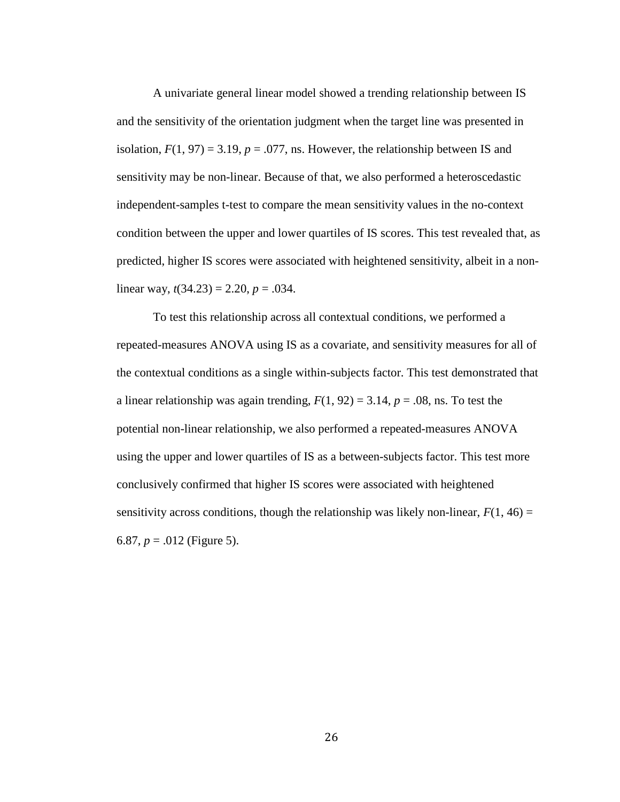A univariate general linear model showed a trending relationship between IS and the sensitivity of the orientation judgment when the target line was presented in isolation,  $F(1, 97) = 3.19$ ,  $p = .077$ , ns. However, the relationship between IS and sensitivity may be non-linear. Because of that, we also performed a heteroscedastic independent-samples t-test to compare the mean sensitivity values in the no-context condition between the upper and lower quartiles of IS scores. This test revealed that, as predicted, higher IS scores were associated with heightened sensitivity, albeit in a nonlinear way,  $t(34.23) = 2.20$ ,  $p = .034$ .

To test this relationship across all contextual conditions, we performed a repeated-measures ANOVA using IS as a covariate, and sensitivity measures for all of the contextual conditions as a single within-subjects factor. This test demonstrated that a linear relationship was again trending,  $F(1, 92) = 3.14$ ,  $p = .08$ , ns. To test the potential non-linear relationship, we also performed a repeated-measures ANOVA using the upper and lower quartiles of IS as a between-subjects factor. This test more conclusively confirmed that higher IS scores were associated with heightened sensitivity across conditions, though the relationship was likely non-linear,  $F(1, 46) =$ 6.87,  $p = .012$  (Figure 5).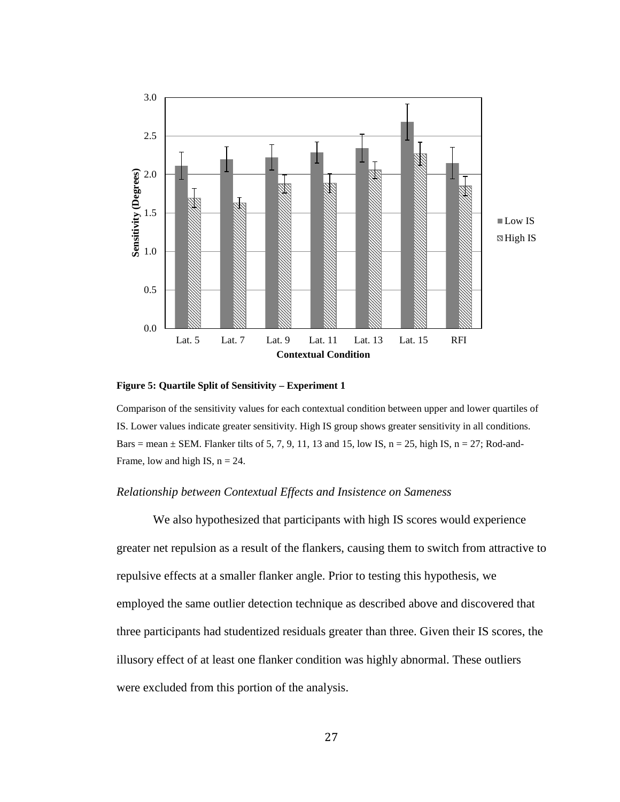

<span id="page-34-0"></span>**Figure 5: Quartile Split of Sensitivity – Experiment 1**

Comparison of the sensitivity values for each contextual condition between upper and lower quartiles of IS. Lower values indicate greater sensitivity. High IS group shows greater sensitivity in all conditions. Bars = mean  $\pm$  SEM. Flanker tilts of 5, 7, 9, 11, 13 and 15, low IS, n = 25, high IS, n = 27; Rod-and-Frame, low and high IS,  $n = 24$ .

#### *Relationship between Contextual Effects and Insistence on Sameness*

We also hypothesized that participants with high IS scores would experience greater net repulsion as a result of the flankers, causing them to switch from attractive to repulsive effects at a smaller flanker angle. Prior to testing this hypothesis, we employed the same outlier detection technique as described above and discovered that three participants had studentized residuals greater than three. Given their IS scores, the illusory effect of at least one flanker condition was highly abnormal. These outliers were excluded from this portion of the analysis.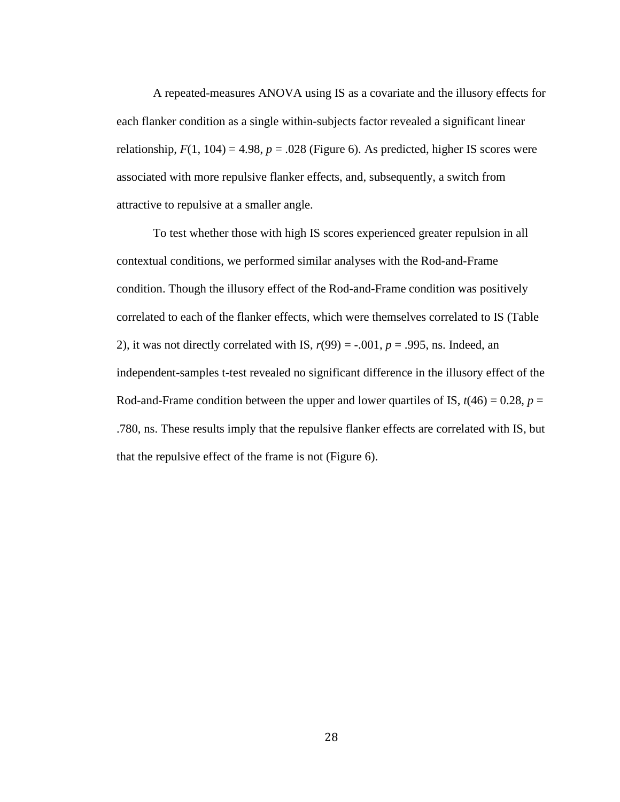A repeated-measures ANOVA using IS as a covariate and the illusory effects for each flanker condition as a single within-subjects factor revealed a significant linear relationship,  $F(1, 104) = 4.98$ ,  $p = .028$  (Figure 6). As predicted, higher IS scores were associated with more repulsive flanker effects, and, subsequently, a switch from attractive to repulsive at a smaller angle.

To test whether those with high IS scores experienced greater repulsion in all contextual conditions, we performed similar analyses with the Rod-and-Frame condition. Though the illusory effect of the Rod-and-Frame condition was positively correlated to each of the flanker effects, which were themselves correlated to IS (Table 2), it was not directly correlated with IS,  $r(99) = -0.001$ ,  $p = 0.995$ , ns. Indeed, an independent-samples t-test revealed no significant difference in the illusory effect of the Rod-and-Frame condition between the upper and lower quartiles of IS,  $t(46) = 0.28$ ,  $p =$ .780, ns. These results imply that the repulsive flanker effects are correlated with IS, but that the repulsive effect of the frame is not (Figure 6).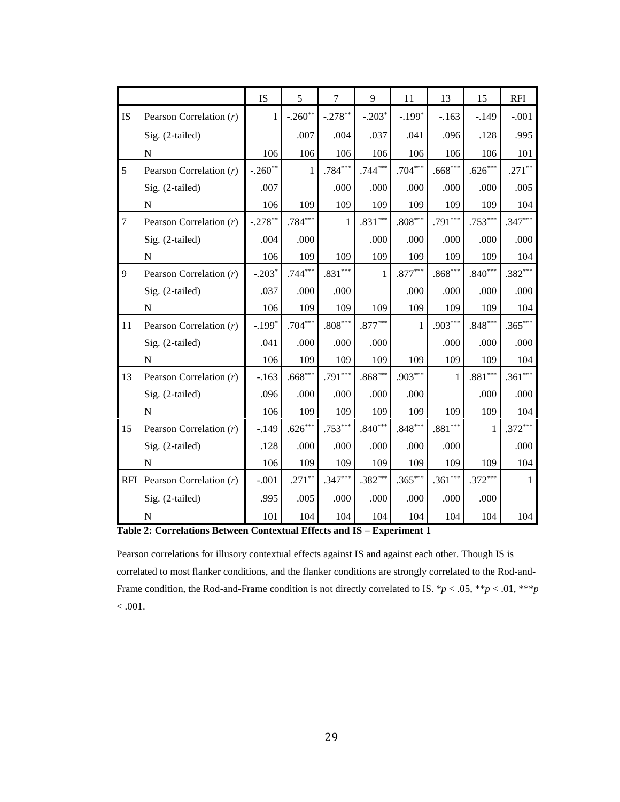|                |                               | <b>IS</b>    | 5            | $\tau$    | 9         | 11           | 13                    | 15        | <b>RFI</b>   |
|----------------|-------------------------------|--------------|--------------|-----------|-----------|--------------|-----------------------|-----------|--------------|
| <b>IS</b>      | Pearson Correlation $(r)$     | $\mathbf{1}$ | $-.260**$    | $-.278**$ | $-.203*$  | $-.199*$     | $-.163$               | $-.149$   | $-.001$      |
|                | Sig. (2-tailed)               |              | .007         | .004      | .037      | .041         | .096                  | .128      | .995         |
|                | $\mathbf N$                   | 106          | 106          | 106       | 106       | 106          | 106                   | 106       | 101          |
| 5              | Pearson Correlation $(r)$     | $-.260**$    | $\mathbf{1}$ | $.784***$ | $.744***$ | $.704***$    | $.668***$             | $.626***$ | $.271***$    |
|                | Sig. (2-tailed)               | .007         |              | .000      | .000      | .000         | .000                  | .000      | .005         |
|                | $\mathbf N$                   | 106          | 109          | 109       | 109       | 109          | 109                   | 109       | 104          |
| $\overline{7}$ | Pearson Correlation $(r)$     | $-.278**$    | $.784***$    | 1         | $.831***$ | $.808***$    | $.791***$             | $.753***$ | $.347***$    |
|                | Sig. (2-tailed)               | .004         | .000         |           | .000      | .000         | .000                  | .000      | .000         |
|                | N                             | 106          | 109          | 109       | 109       | 109          | 109                   | 109       | 104          |
| 9              | Pearson Correlation $(r)$     | $-.203*$     | $.744***$    | $.831***$ | 1         | $.877***$    | $.868***$             | $.840***$ | $.382***$    |
|                | Sig. (2-tailed)               | .037         | .000         | .000      |           | .000         | .000                  | .000      | .000         |
|                | N                             | 106          | 109          | 109       | 109       | 109          | 109                   | 109       | 104          |
| 11             | Pearson Correlation $(r)$     | $-.199*$     | $.704***$    | $.808***$ | $.877***$ | $\mathbf{1}$ | $.903***$             | $.848***$ | $.365***$    |
|                | Sig. (2-tailed)               | .041         | .000         | .000      | .000      |              | .000                  | .000      | .000         |
|                | ${\bf N}$                     | 106          | 109          | 109       | 109       | 109          | 109                   | 109       | 104          |
| 13             | Pearson Correlation $(r)$     | $-.163$      | $.668***$    | $.791***$ | $.868***$ | $.903***$    | $\mathbf{1}$          | $.881***$ | $.361***$    |
|                | Sig. (2-tailed)               | .096         | .000         | .000      | .000      | .000         |                       | .000      | .000         |
|                | N                             | 106          | 109          | 109       | 109       | 109          | 109                   | 109       | 104          |
| 15             | Pearson Correlation $(r)$     | $-.149$      | $.626***$    | $.753***$ | $.840***$ | $.848***$    | $.881^{\ast\ast\ast}$ | 1         | $.372***$    |
|                | Sig. (2-tailed)               | .128         | .000         | .000      | .000      | .000         | .000                  |           | .000         |
|                | ${\bf N}$                     | 106          | 109          | 109       | 109       | 109          | 109                   | 109       | 104          |
|                | RFI Pearson Correlation $(r)$ | $-.001$      | $.271***$    | $.347***$ | $.382***$ | $.365***$    | $.361***$             | $.372***$ | $\mathbf{1}$ |
|                | Sig. (2-tailed)               | .995         | .005         | .000      | .000      | .000         | .000                  | .000      |              |
|                | ${\bf N}$                     | 101          | 104          | 104       | 104       | 104          | 104                   | 104       | 104          |

**Table 2: Correlations Between Contextual Effects and IS – Experiment 1**

Pearson correlations for illusory contextual effects against IS and against each other. Though IS is correlated to most flanker conditions, and the flanker conditions are strongly correlated to the Rod-and-Frame condition, the Rod-and-Frame condition is not directly correlated to IS. \**p* < .05, \*\**p* < .01, \*\*\**p*  $< .001.$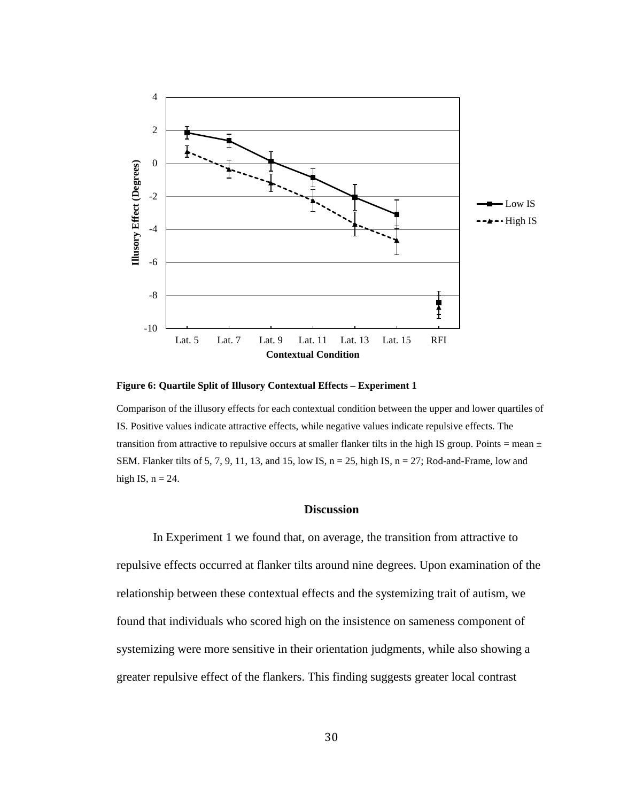

**Figure 6: Quartile Split of Illusory Contextual Effects – Experiment 1**

Comparison of the illusory effects for each contextual condition between the upper and lower quartiles of IS. Positive values indicate attractive effects, while negative values indicate repulsive effects. The transition from attractive to repulsive occurs at smaller flanker tilts in the high IS group. Points = mean  $\pm$ SEM. Flanker tilts of 5, 7, 9, 11, 13, and 15, low IS,  $n = 25$ , high IS,  $n = 27$ ; Rod-and-Frame, low and high IS,  $n = 24$ .

# **Discussion**

In Experiment 1 we found that, on average, the transition from attractive to repulsive effects occurred at flanker tilts around nine degrees. Upon examination of the relationship between these contextual effects and the systemizing trait of autism, we found that individuals who scored high on the insistence on sameness component of systemizing were more sensitive in their orientation judgments, while also showing a greater repulsive effect of the flankers. This finding suggests greater local contrast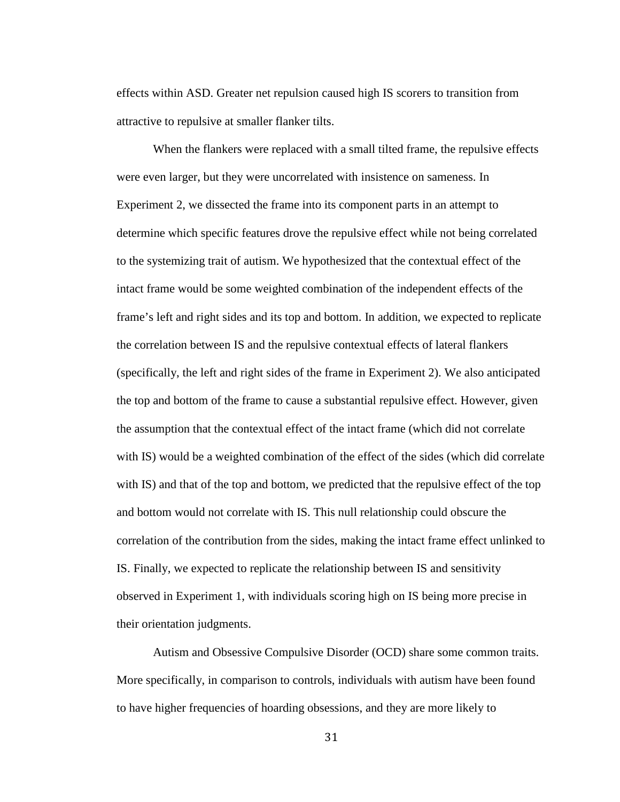effects within ASD. Greater net repulsion caused high IS scorers to transition from attractive to repulsive at smaller flanker tilts.

When the flankers were replaced with a small tilted frame, the repulsive effects were even larger, but they were uncorrelated with insistence on sameness. In Experiment 2, we dissected the frame into its component parts in an attempt to determine which specific features drove the repulsive effect while not being correlated to the systemizing trait of autism. We hypothesized that the contextual effect of the intact frame would be some weighted combination of the independent effects of the frame's left and right sides and its top and bottom. In addition, we expected to replicate the correlation between IS and the repulsive contextual effects of lateral flankers (specifically, the left and right sides of the frame in Experiment 2). We also anticipated the top and bottom of the frame to cause a substantial repulsive effect. However, given the assumption that the contextual effect of the intact frame (which did not correlate with IS) would be a weighted combination of the effect of the sides (which did correlate with IS) and that of the top and bottom, we predicted that the repulsive effect of the top and bottom would not correlate with IS. This null relationship could obscure the correlation of the contribution from the sides, making the intact frame effect unlinked to IS. Finally, we expected to replicate the relationship between IS and sensitivity observed in Experiment 1, with individuals scoring high on IS being more precise in their orientation judgments.

Autism and Obsessive Compulsive Disorder (OCD) share some common traits. More specifically, in comparison to controls, individuals with autism have been found to have higher frequencies of hoarding obsessions, and they are more likely to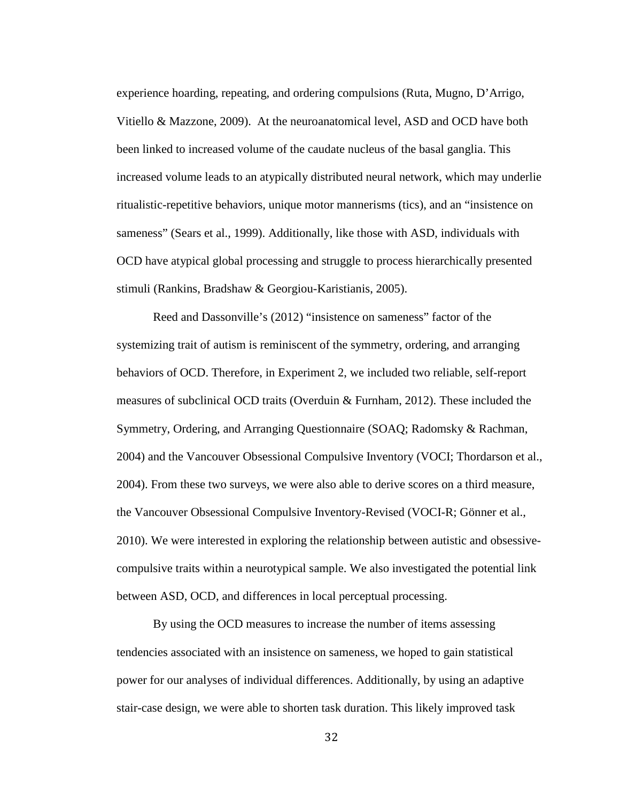experience hoarding, repeating, and ordering compulsions (Ruta, Mugno, D'Arrigo, Vitiello & Mazzone, 2009). At the neuroanatomical level, ASD and OCD have both been linked to increased volume of the caudate nucleus of the basal ganglia. This increased volume leads to an atypically distributed neural network, which may underlie ritualistic-repetitive behaviors, unique motor mannerisms (tics), and an "insistence on sameness" (Sears et al., 1999). Additionally, like those with ASD, individuals with OCD have atypical global processing and struggle to process hierarchically presented stimuli (Rankins, Bradshaw & Georgiou-Karistianis, 2005).

Reed and Dassonville's (2012) "insistence on sameness" factor of the systemizing trait of autism is reminiscent of the symmetry, ordering, and arranging behaviors of OCD. Therefore, in Experiment 2, we included two reliable, self-report measures of subclinical OCD traits (Overduin & Furnham, 2012). These included the Symmetry, Ordering, and Arranging Questionnaire (SOAQ; Radomsky & Rachman, 2004) and the Vancouver Obsessional Compulsive Inventory (VOCI; Thordarson et al., 2004). From these two surveys, we were also able to derive scores on a third measure, the Vancouver Obsessional Compulsive Inventory-Revised (VOCI-R; Gönner et al., 2010). We were interested in exploring the relationship between autistic and obsessivecompulsive traits within a neurotypical sample. We also investigated the potential link between ASD, OCD, and differences in local perceptual processing.

By using the OCD measures to increase the number of items assessing tendencies associated with an insistence on sameness, we hoped to gain statistical power for our analyses of individual differences. Additionally, by using an adaptive stair-case design, we were able to shorten task duration. This likely improved task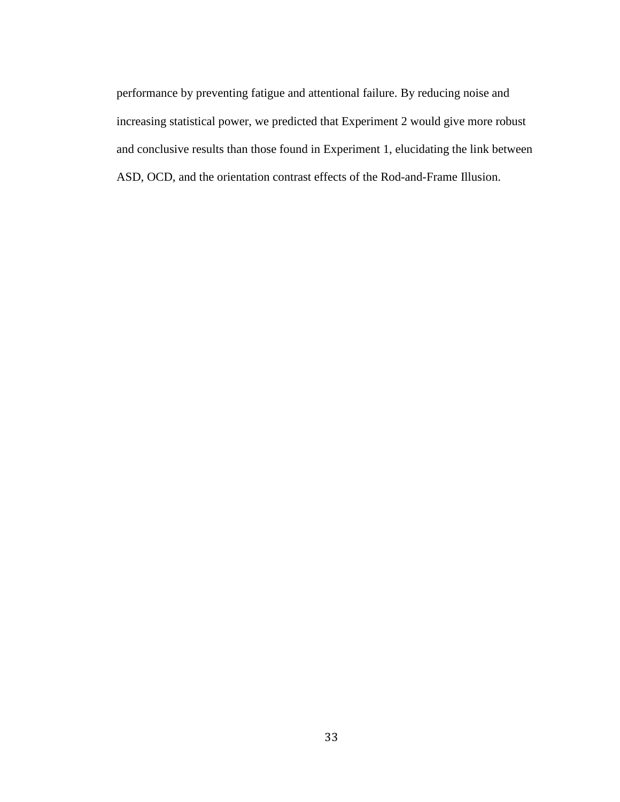performance by preventing fatigue and attentional failure. By reducing noise and increasing statistical power, we predicted that Experiment 2 would give more robust and conclusive results than those found in Experiment 1, elucidating the link between ASD, OCD, and the orientation contrast effects of the Rod-and-Frame Illusion.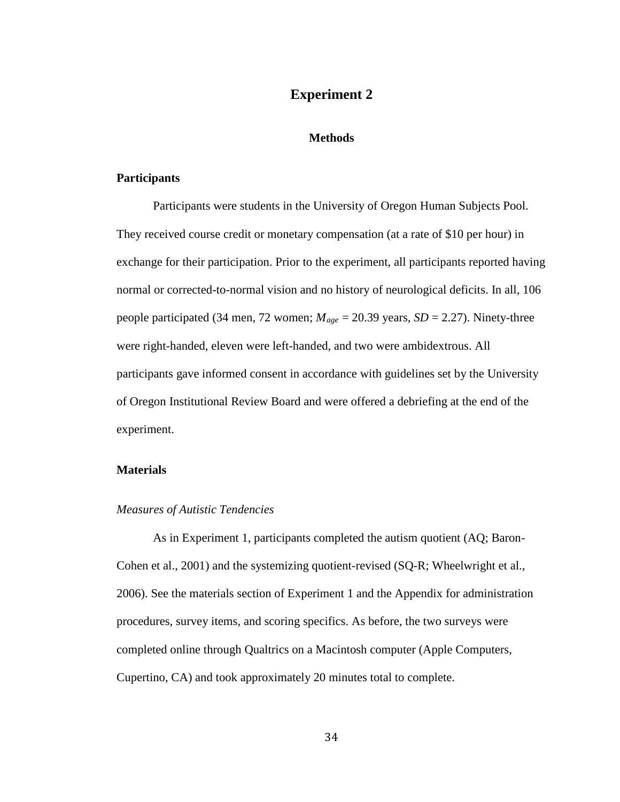# **Experiment 2**

### **Methods**

# **Participants**

Participants were students in the University of Oregon Human Subjects Pool. They received course credit or monetary compensation (at a rate of \$10 per hour) in exchange for their participation. Prior to the experiment, all participants reported having normal or corrected-to-normal vision and no history of neurological deficits. In all, 106 people participated (34 men, 72 women; *Mage* = 20.39 years, *SD* = 2.27). Ninety-three were right-handed, eleven were left-handed, and two were ambidextrous. All participants gave informed consent in accordance with guidelines set by the University of Oregon Institutional Review Board and were offered a debriefing at the end of the experiment.

## **Materials**

### *Measures of Autistic Tendencies*

As in Experiment 1, participants completed the autism quotient (AQ; Baron-Cohen et al., 2001) and the systemizing quotient-revised (SQ-R; Wheelwright et al., 2006). See the materials section of Experiment 1 and the Appendix for administration procedures, survey items, and scoring specifics. As before, the two surveys were completed online through Qualtrics on a Macintosh computer (Apple Computers, Cupertino, CA) and took approximately 20 minutes total to complete.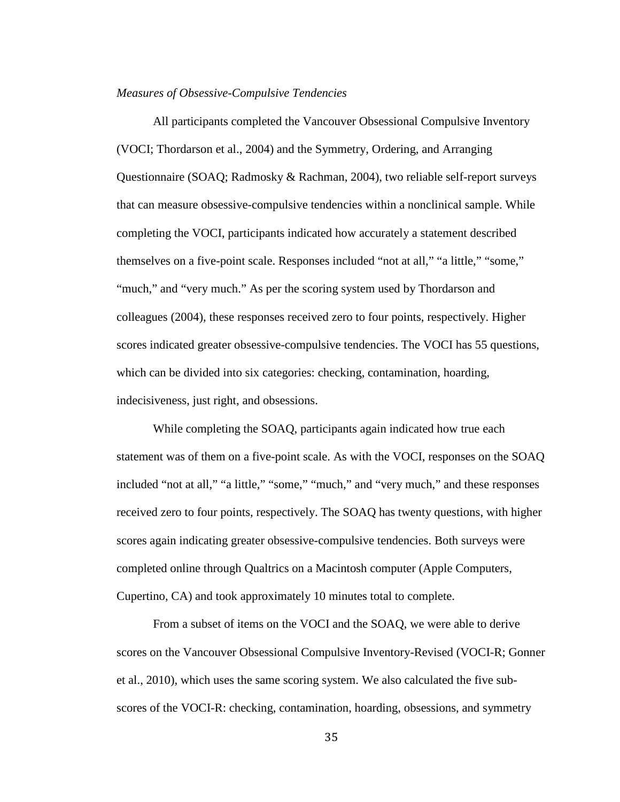#### *Measures of Obsessive-Compulsive Tendencies*

All participants completed the Vancouver Obsessional Compulsive Inventory (VOCI; Thordarson et al., 2004) and the Symmetry, Ordering, and Arranging Questionnaire (SOAQ; Radmosky & Rachman, 2004), two reliable self-report surveys that can measure obsessive-compulsive tendencies within a nonclinical sample. While completing the VOCI, participants indicated how accurately a statement described themselves on a five-point scale. Responses included "not at all," "a little," "some," "much," and "very much." As per the scoring system used by Thordarson and colleagues (2004), these responses received zero to four points, respectively. Higher scores indicated greater obsessive-compulsive tendencies. The VOCI has 55 questions, which can be divided into six categories: checking, contamination, hoarding, indecisiveness, just right, and obsessions.

While completing the SOAQ, participants again indicated how true each statement was of them on a five-point scale. As with the VOCI, responses on the SOAQ included "not at all," "a little," "some," "much," and "very much," and these responses received zero to four points, respectively. The SOAQ has twenty questions, with higher scores again indicating greater obsessive-compulsive tendencies. Both surveys were completed online through Qualtrics on a Macintosh computer (Apple Computers, Cupertino, CA) and took approximately 10 minutes total to complete.

From a subset of items on the VOCI and the SOAQ, we were able to derive scores on the Vancouver Obsessional Compulsive Inventory-Revised (VOCI-R; Gonner et al., 2010), which uses the same scoring system. We also calculated the five subscores of the VOCI-R: checking, contamination, hoarding, obsessions, and symmetry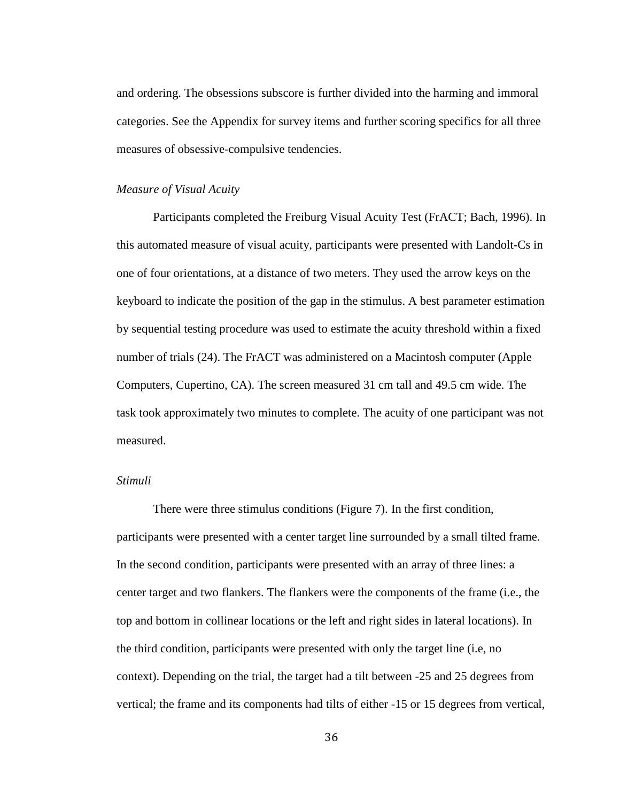and ordering. The obsessions subscore is further divided into the harming and immoral categories. See the Appendix for survey items and further scoring specifics for all three measures of obsessive-compulsive tendencies.

## *Measure of Visual Acuity*

Participants completed the Freiburg Visual Acuity Test (FrACT; Bach, 1996). In this automated measure of visual acuity, participants were presented with Landolt-Cs in one of four orientations, at a distance of two meters. They used the arrow keys on the keyboard to indicate the position of the gap in the stimulus. A best parameter estimation by sequential testing procedure was used to estimate the acuity threshold within a fixed number of trials (24). The FrACT was administered on a Macintosh computer (Apple Computers, Cupertino, CA). The screen measured 31 cm tall and 49.5 cm wide. The task took approximately two minutes to complete. The acuity of one participant was not measured.

#### *Stimuli*

There were three stimulus conditions (Figure 7). In the first condition, participants were presented with a center target line surrounded by a small tilted frame. In the second condition, participants were presented with an array of three lines: a center target and two flankers. The flankers were the components of the frame (i.e., the top and bottom in collinear locations or the left and right sides in lateral locations). In the third condition, participants were presented with only the target line (i.e, no context). Depending on the trial, the target had a tilt between -25 and 25 degrees from vertical; the frame and its components had tilts of either -15 or 15 degrees from vertical,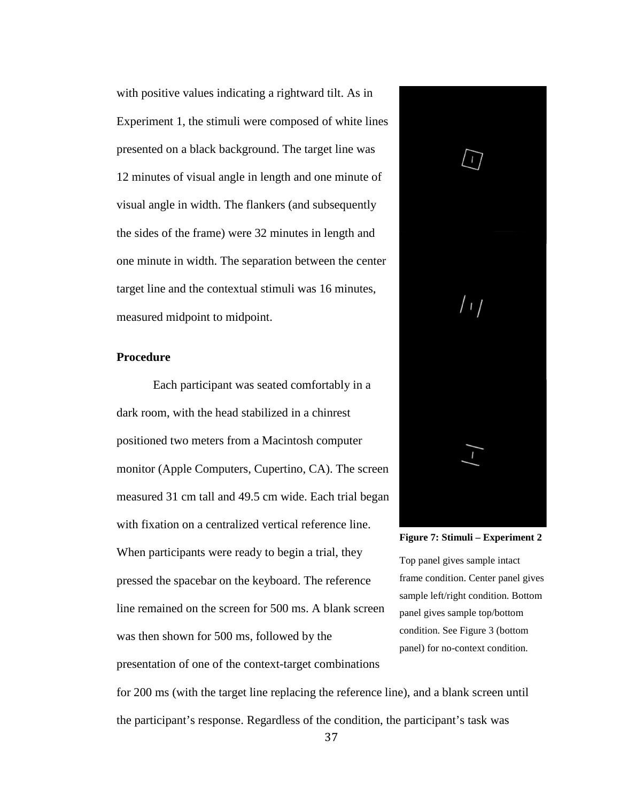with positive values indicating a rightward tilt. As in Experiment 1, the stimuli were composed of white lines presented on a black background. The target line was 12 minutes of visual angle in length and one minute of visual angle in width. The flankers (and subsequently the sides of the frame) were 32 minutes in length and one minute in width. The separation between the center target line and the contextual stimuli was 16 minutes, measured midpoint to midpoint.

## **Procedure**

Each participant was seated comfortably in a dark room, with the head stabilized in a chinrest positioned two meters from a Macintosh computer monitor (Apple Computers, Cupertino, CA). The screen measured 31 cm tall and 49.5 cm wide. Each trial began with fixation on a centralized vertical reference line. When participants were ready to begin a trial, they pressed the spacebar on the keyboard. The reference line remained on the screen for 500 ms. A blank screen was then shown for 500 ms, followed by the

presentation of one of the context-target combinations



**Figure 7: Stimuli – Experiment 2**

Top panel gives sample intact frame condition. Center panel gives sample left/right condition. Bottom panel gives sample top/bottom condition. See Figure 3 (bottom panel) for no-context condition.

for 200 ms (with the target line replacing the reference line), and a blank screen until the participant's response. Regardless of the condition, the participant's task was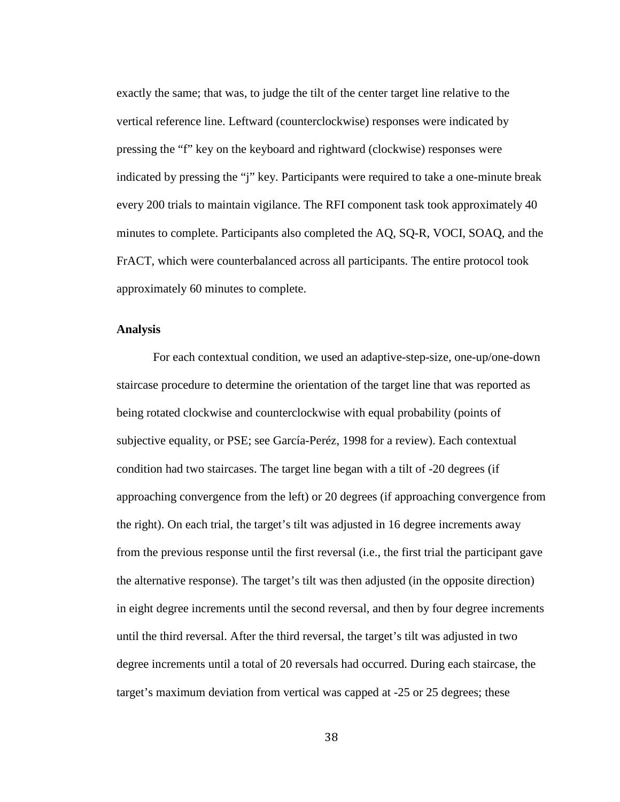exactly the same; that was, to judge the tilt of the center target line relative to the vertical reference line. Leftward (counterclockwise) responses were indicated by pressing the "f" key on the keyboard and rightward (clockwise) responses were indicated by pressing the "j" key. Participants were required to take a one-minute break every 200 trials to maintain vigilance. The RFI component task took approximately 40 minutes to complete. Participants also completed the AQ, SQ-R, VOCI, SOAQ, and the FrACT, which were counterbalanced across all participants. The entire protocol took approximately 60 minutes to complete.

## **Analysis**

For each contextual condition, we used an adaptive-step-size, one-up/one-down staircase procedure to determine the orientation of the target line that was reported as being rotated clockwise and counterclockwise with equal probability (points of subjective equality, or PSE; see García-Peréz, 1998 for a review). Each contextual condition had two staircases. The target line began with a tilt of -20 degrees (if approaching convergence from the left) or 20 degrees (if approaching convergence from the right). On each trial, the target's tilt was adjusted in 16 degree increments away from the previous response until the first reversal (i.e., the first trial the participant gave the alternative response). The target's tilt was then adjusted (in the opposite direction) in eight degree increments until the second reversal, and then by four degree increments until the third reversal. After the third reversal, the target's tilt was adjusted in two degree increments until a total of 20 reversals had occurred. During each staircase, the target's maximum deviation from vertical was capped at -25 or 25 degrees; these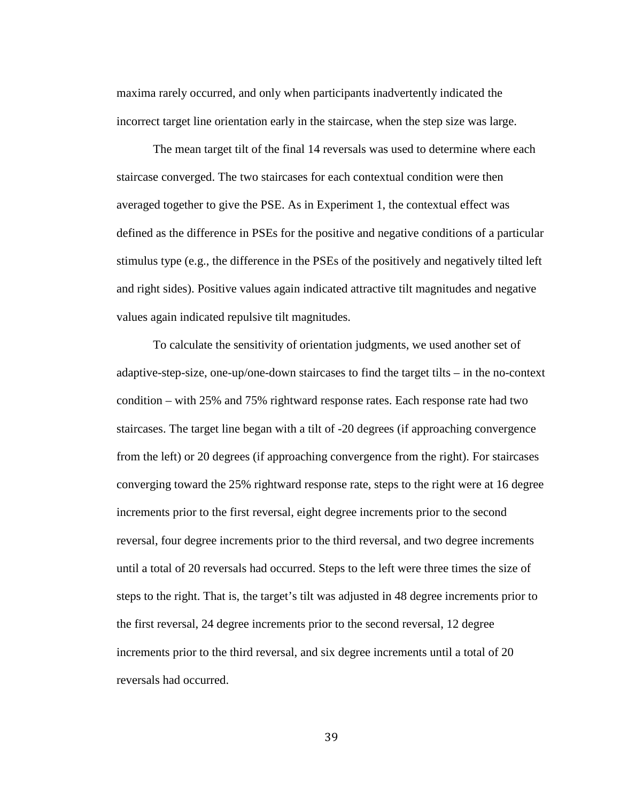maxima rarely occurred, and only when participants inadvertently indicated the incorrect target line orientation early in the staircase, when the step size was large.

The mean target tilt of the final 14 reversals was used to determine where each staircase converged. The two staircases for each contextual condition were then averaged together to give the PSE. As in Experiment 1, the contextual effect was defined as the difference in PSEs for the positive and negative conditions of a particular stimulus type (e.g., the difference in the PSEs of the positively and negatively tilted left and right sides). Positive values again indicated attractive tilt magnitudes and negative values again indicated repulsive tilt magnitudes.

To calculate the sensitivity of orientation judgments, we used another set of adaptive-step-size, one-up/one-down staircases to find the target tilts – in the no-context condition – with 25% and 75% rightward response rates. Each response rate had two staircases. The target line began with a tilt of -20 degrees (if approaching convergence from the left) or 20 degrees (if approaching convergence from the right). For staircases converging toward the 25% rightward response rate, steps to the right were at 16 degree increments prior to the first reversal, eight degree increments prior to the second reversal, four degree increments prior to the third reversal, and two degree increments until a total of 20 reversals had occurred. Steps to the left were three times the size of steps to the right. That is, the target's tilt was adjusted in 48 degree increments prior to the first reversal, 24 degree increments prior to the second reversal, 12 degree increments prior to the third reversal, and six degree increments until a total of 20 reversals had occurred.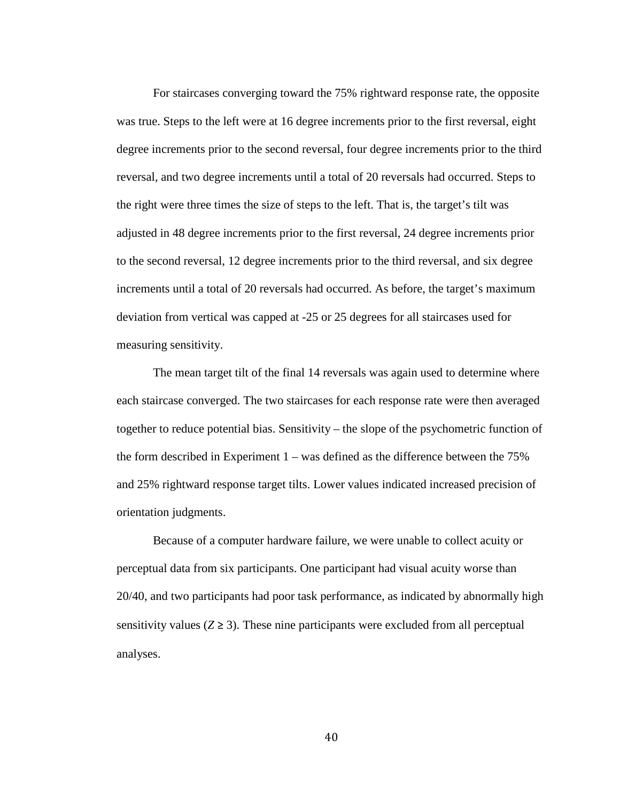For staircases converging toward the 75% rightward response rate, the opposite was true. Steps to the left were at 16 degree increments prior to the first reversal, eight degree increments prior to the second reversal, four degree increments prior to the third reversal, and two degree increments until a total of 20 reversals had occurred. Steps to the right were three times the size of steps to the left. That is, the target's tilt was adjusted in 48 degree increments prior to the first reversal, 24 degree increments prior to the second reversal, 12 degree increments prior to the third reversal, and six degree increments until a total of 20 reversals had occurred. As before, the target's maximum deviation from vertical was capped at -25 or 25 degrees for all staircases used for measuring sensitivity.

The mean target tilt of the final 14 reversals was again used to determine where each staircase converged. The two staircases for each response rate were then averaged together to reduce potential bias. Sensitivity – the slope of the psychometric function of the form described in Experiment 1 – was defined as the difference between the 75% and 25% rightward response target tilts. Lower values indicated increased precision of orientation judgments.

Because of a computer hardware failure, we were unable to collect acuity or perceptual data from six participants. One participant had visual acuity worse than 20/40, and two participants had poor task performance, as indicated by abnormally high sensitivity values  $(Z \ge 3)$ . These nine participants were excluded from all perceptual analyses.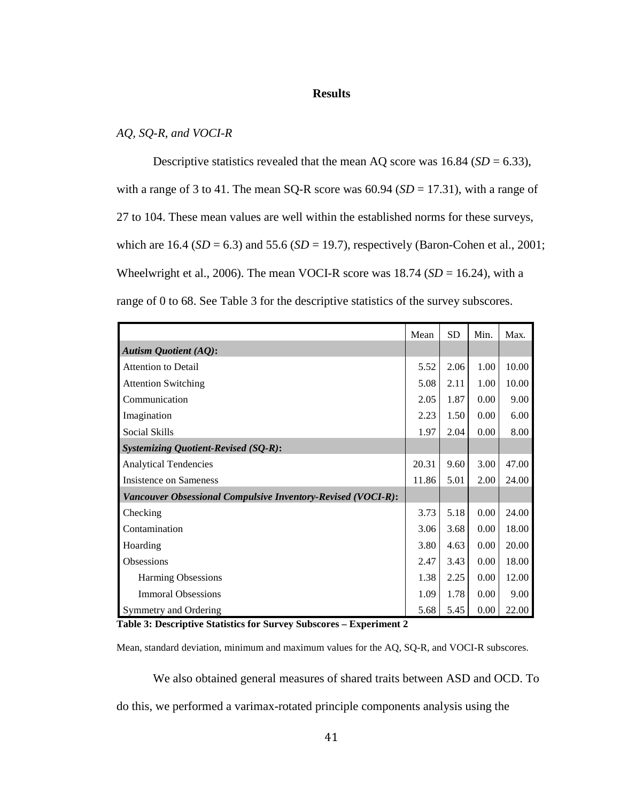#### **Results**

# *AQ, SQ-R, and VOCI-R*

Descriptive statistics revealed that the mean AQ score was  $16.84$  (*SD* = 6.33), with a range of 3 to 41. The mean SQ-R score was  $60.94$  ( $SD = 17.31$ ), with a range of 27 to 104. These mean values are well within the established norms for these surveys, which are  $16.4$  (*SD* = 6.3) and 55.6 (*SD* = 19.7), respectively (Baron-Cohen et al., 2001; Wheelwright et al., 2006). The mean VOCI-R score was  $18.74$  ( $SD = 16.24$ ), with a range of 0 to 68. See Table 3 for the descriptive statistics of the survey subscores.

|                                                              | Mean  | <b>SD</b> | Min. | Max.  |
|--------------------------------------------------------------|-------|-----------|------|-------|
| <b>Autism Quotient (AQ):</b>                                 |       |           |      |       |
| <b>Attention to Detail</b>                                   | 5.52  | 2.06      | 1.00 | 10.00 |
| <b>Attention Switching</b>                                   | 5.08  | 2.11      | 1.00 | 10.00 |
| Communication                                                | 2.05  | 1.87      | 0.00 | 9.00  |
| Imagination                                                  | 2.23  | 1.50      | 0.00 | 6.00  |
| Social Skills                                                | 1.97  | 2.04      | 0.00 | 8.00  |
| <b>Systemizing Quotient-Revised (SQ-R):</b>                  |       |           |      |       |
| <b>Analytical Tendencies</b>                                 | 20.31 | 9.60      | 3.00 | 47.00 |
| <b>Insistence on Sameness</b>                                | 11.86 | 5.01      | 2.00 | 24.00 |
| Vancouver Obsessional Compulsive Inventory-Revised (VOCI-R): |       |           |      |       |
| Checking                                                     | 3.73  | 5.18      | 0.00 | 24.00 |
| Contamination                                                | 3.06  | 3.68      | 0.00 | 18.00 |
| Hoarding                                                     | 3.80  | 4.63      | 0.00 | 20.00 |
| Obsessions                                                   | 2.47  | 3.43      | 0.00 | 18.00 |
| <b>Harming Obsessions</b>                                    | 1.38  | 2.25      | 0.00 | 12.00 |
| <b>Immoral Obsessions</b>                                    | 1.09  | 1.78      | 0.00 | 9.00  |
| Symmetry and Ordering                                        | 5.68  | 5.45      | 0.00 | 22.00 |

**Table 3: Descriptive Statistics for Survey Subscores – Experiment 2**

Mean, standard deviation, minimum and maximum values for the AQ, SQ-R, and VOCI-R subscores.

We also obtained general measures of shared traits between ASD and OCD. To do this, we performed a varimax-rotated principle components analysis using the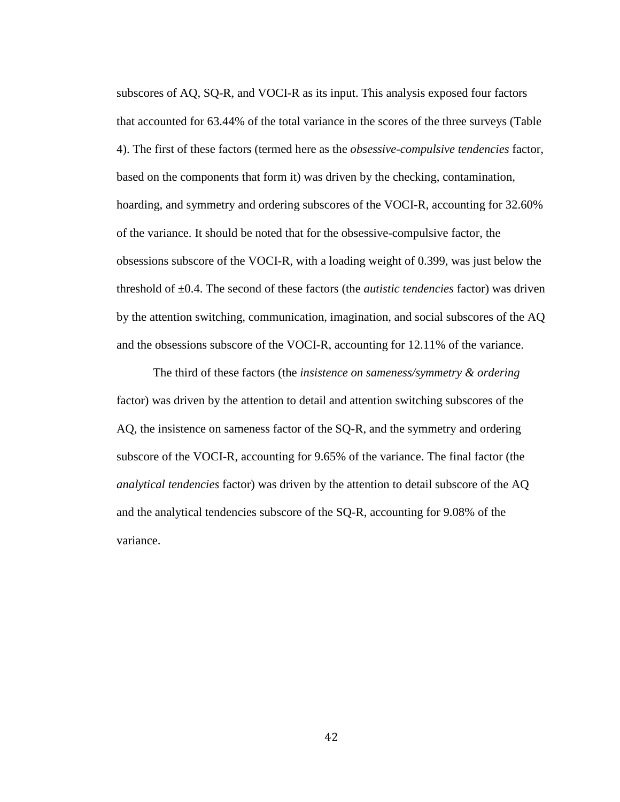subscores of AQ, SQ-R, and VOCI-R as its input. This analysis exposed four factors that accounted for 63.44% of the total variance in the scores of the three surveys (Table 4). The first of these factors (termed here as the *obsessive-compulsive tendencies* factor, based on the components that form it) was driven by the checking, contamination, hoarding, and symmetry and ordering subscores of the VOCI-R, accounting for 32.60% of the variance. It should be noted that for the obsessive-compulsive factor, the obsessions subscore of the VOCI-R, with a loading weight of 0.399, was just below the threshold of ±0.4. The second of these factors (the *autistic tendencies* factor) was driven by the attention switching, communication, imagination, and social subscores of the AQ and the obsessions subscore of the VOCI-R, accounting for 12.11% of the variance.

The third of these factors (the *insistence on sameness/symmetry & ordering* factor) was driven by the attention to detail and attention switching subscores of the AQ, the insistence on sameness factor of the SQ-R, and the symmetry and ordering subscore of the VOCI-R, accounting for 9.65% of the variance. The final factor (the *analytical tendencies* factor) was driven by the attention to detail subscore of the AQ and the analytical tendencies subscore of the SQ-R, accounting for 9.08% of the variance.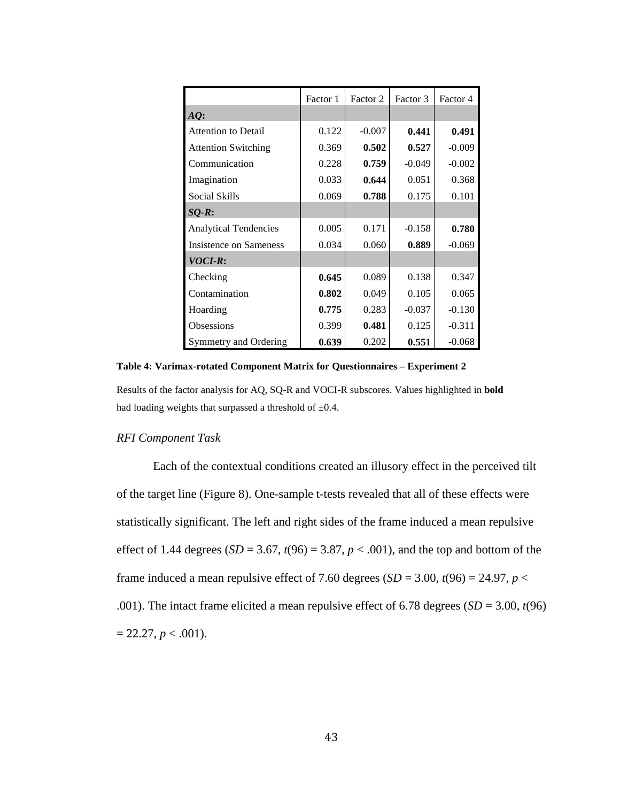|                               | Factor 1 | Factor 2 | Factor 3 | Factor 4 |
|-------------------------------|----------|----------|----------|----------|
| $AQ$ :                        |          |          |          |          |
| <b>Attention to Detail</b>    | 0.122    | $-0.007$ | 0.441    | 0.491    |
| <b>Attention Switching</b>    | 0.369    | 0.502    | 0.527    | $-0.009$ |
| Communication                 | 0.228    | 0.759    | $-0.049$ | $-0.002$ |
| Imagination                   | 0.033    | 0.644    | 0.051    | 0.368    |
| Social Skills                 | 0.069    | 0.788    | 0.175    | 0.101    |
| $SQ-R$ :                      |          |          |          |          |
| <b>Analytical Tendencies</b>  | 0.005    | 0.171    | $-0.158$ | 0.780    |
| <b>Insistence on Sameness</b> | 0.034    | 0.060    | 0.889    | $-0.069$ |
| VOCI-R:                       |          |          |          |          |
| Checking                      | 0.645    | 0.089    | 0.138    | 0.347    |
| Contamination                 | 0.802    | 0.049    | 0.105    | 0.065    |
| Hoarding                      | 0.775    | 0.283    | $-0.037$ | $-0.130$ |
| Obsessions                    | 0.399    | 0.481    | 0.125    | $-0.311$ |
| Symmetry and Ordering         | 0.639    | 0.202    | 0.551    | $-0.068$ |

**Table 4: Varimax-rotated Component Matrix for Questionnaires – Experiment 2**

Results of the factor analysis for AQ, SQ-R and VOCI-R subscores. Values highlighted in **bold** had loading weights that surpassed a threshold of  $\pm 0.4$ .

#### *RFI Component Task*

Each of the contextual conditions created an illusory effect in the perceived tilt of the target line (Figure 8). One-sample t-tests revealed that all of these effects were statistically significant. The left and right sides of the frame induced a mean repulsive effect of 1.44 degrees  $(SD = 3.67, t(96) = 3.87, p < .001)$ , and the top and bottom of the frame induced a mean repulsive effect of 7.60 degrees ( $SD = 3.00$ ,  $t(96) = 24.97$ ,  $p <$ .001). The intact frame elicited a mean repulsive effect of 6.78 degrees  $(SD = 3.00, t(96))$  $= 22.27, p < .001$ ).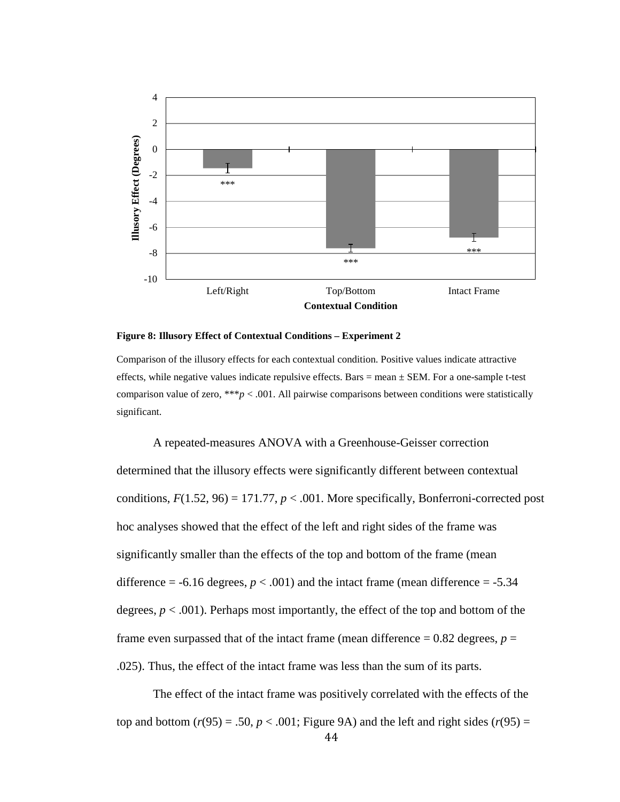

**Figure 8: Illusory Effect of Contextual Conditions – Experiment 2**

Comparison of the illusory effects for each contextual condition. Positive values indicate attractive effects, while negative values indicate repulsive effects. Bars  $=$  mean  $\pm$  SEM. For a one-sample t-test comparison value of zero, \*\*\* $p < .001$ . All pairwise comparisons between conditions were statistically significant.

A repeated-measures ANOVA with a Greenhouse-Geisser correction determined that the illusory effects were significantly different between contextual conditions,  $F(1.52, 96) = 171.77$ ,  $p < .001$ . More specifically, Bonferroni-corrected post hoc analyses showed that the effect of the left and right sides of the frame was significantly smaller than the effects of the top and bottom of the frame (mean difference  $= -6.16$  degrees,  $p < .001$ ) and the intact frame (mean difference  $= -5.34$ ) degrees,  $p < .001$ ). Perhaps most importantly, the effect of the top and bottom of the frame even surpassed that of the intact frame (mean difference  $= 0.82$  degrees,  $p =$ .025). Thus, the effect of the intact frame was less than the sum of its parts.

The effect of the intact frame was positively correlated with the effects of the top and bottom  $(r(95) = .50, p < .001$ ; Figure 9A) and the left and right sides  $(r(95) =$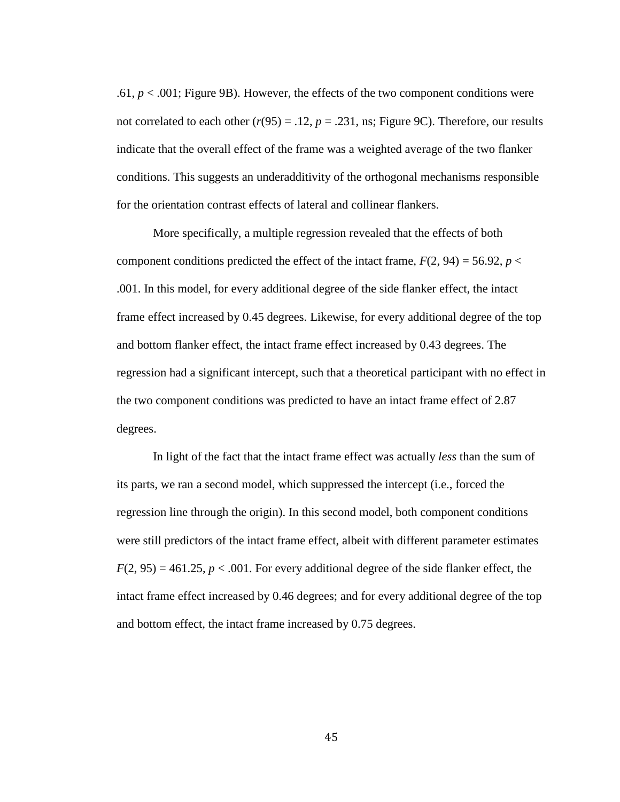.61,  $p < .001$ ; Figure 9B). However, the effects of the two component conditions were not correlated to each other  $(r(95) = .12, p = .231, ns$ ; Figure 9C). Therefore, our results indicate that the overall effect of the frame was a weighted average of the two flanker conditions. This suggests an underadditivity of the orthogonal mechanisms responsible for the orientation contrast effects of lateral and collinear flankers.

More specifically, a multiple regression revealed that the effects of both component conditions predicted the effect of the intact frame,  $F(2, 94) = 56.92$ ,  $p <$ .001. In this model, for every additional degree of the side flanker effect, the intact frame effect increased by 0.45 degrees. Likewise, for every additional degree of the top and bottom flanker effect, the intact frame effect increased by 0.43 degrees. The regression had a significant intercept, such that a theoretical participant with no effect in the two component conditions was predicted to have an intact frame effect of 2.87 degrees.

In light of the fact that the intact frame effect was actually *less* than the sum of its parts, we ran a second model, which suppressed the intercept (i.e., forced the regression line through the origin). In this second model, both component conditions were still predictors of the intact frame effect, albeit with different parameter estimates  $F(2, 95) = 461.25, p < .001$ . For every additional degree of the side flanker effect, the intact frame effect increased by 0.46 degrees; and for every additional degree of the top and bottom effect, the intact frame increased by 0.75 degrees.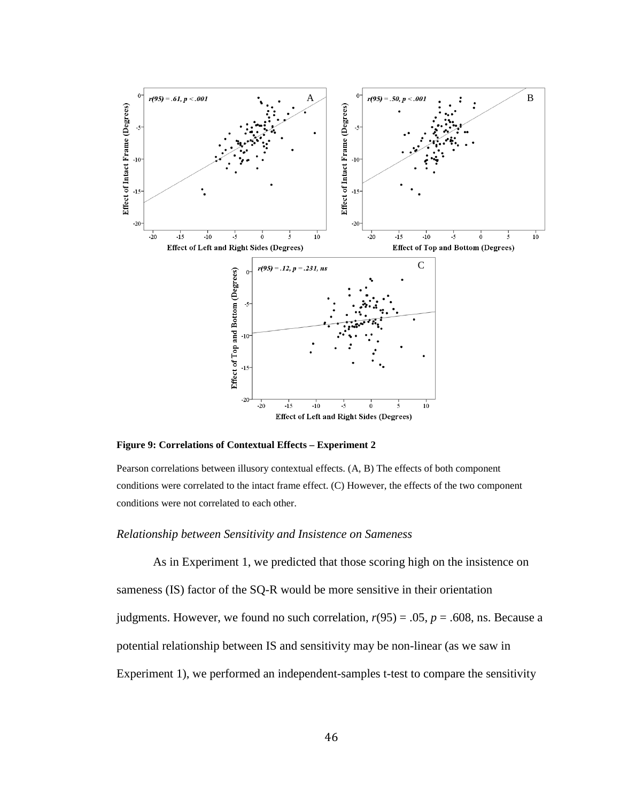

**Figure 9: Correlations of Contextual Effects – Experiment 2**

Pearson correlations between illusory contextual effects. (A, B) The effects of both component conditions were correlated to the intact frame effect. (C) However, the effects of the two component conditions were not correlated to each other.

### *Relationship between Sensitivity and Insistence on Sameness*

As in Experiment 1, we predicted that those scoring high on the insistence on sameness (IS) factor of the SQ-R would be more sensitive in their orientation judgments. However, we found no such correlation,  $r(95) = .05$ ,  $p = .608$ , ns. Because a potential relationship between IS and sensitivity may be non-linear (as we saw in Experiment 1), we performed an independent-samples t-test to compare the sensitivity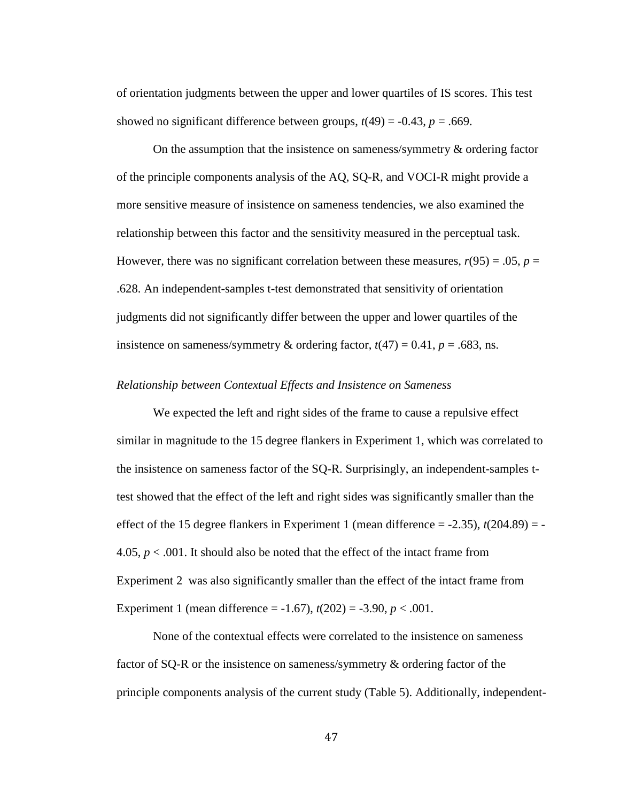of orientation judgments between the upper and lower quartiles of IS scores. This test showed no significant difference between groups,  $t(49) = -0.43$ ,  $p = .669$ .

On the assumption that the insistence on sameness/symmetry & ordering factor of the principle components analysis of the AQ, SQ-R, and VOCI-R might provide a more sensitive measure of insistence on sameness tendencies, we also examined the relationship between this factor and the sensitivity measured in the perceptual task. However, there was no significant correlation between these measures,  $r(95) = .05$ ,  $p =$ .628. An independent-samples t-test demonstrated that sensitivity of orientation judgments did not significantly differ between the upper and lower quartiles of the insistence on sameness/symmetry & ordering factor,  $t(47) = 0.41$ ,  $p = .683$ , ns.

### *Relationship between Contextual Effects and Insistence on Sameness*

We expected the left and right sides of the frame to cause a repulsive effect similar in magnitude to the 15 degree flankers in Experiment 1, which was correlated to the insistence on sameness factor of the SQ-R. Surprisingly, an independent-samples ttest showed that the effect of the left and right sides was significantly smaller than the effect of the 15 degree flankers in Experiment 1 (mean difference  $= -2.35$ ),  $t(204.89) = -$ 4.05, *p* < .001. It should also be noted that the effect of the intact frame from Experiment 2 was also significantly smaller than the effect of the intact frame from Experiment 1 (mean difference =  $-1.67$ ),  $t(202) = -3.90$ ,  $p < .001$ .

None of the contextual effects were correlated to the insistence on sameness factor of SQ-R or the insistence on sameness/symmetry & ordering factor of the principle components analysis of the current study (Table 5). Additionally, independent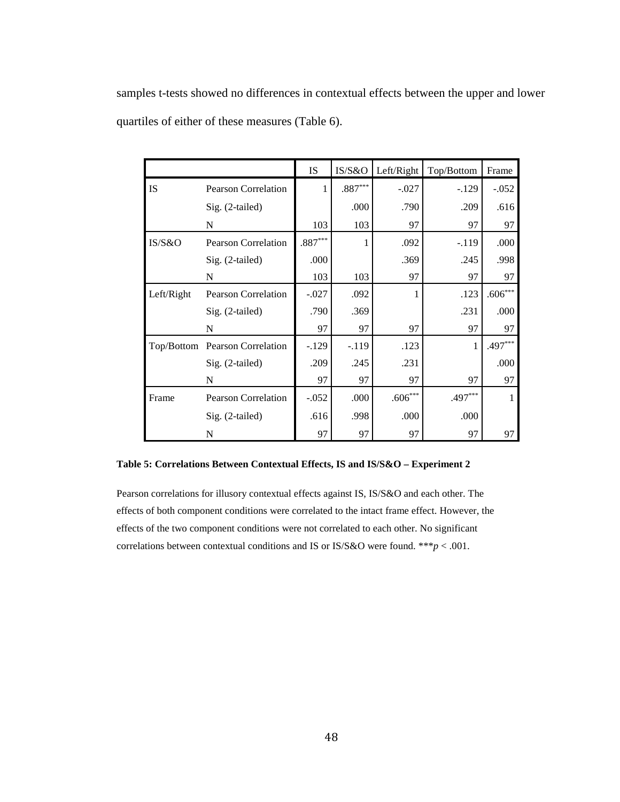samples t-tests showed no differences in contextual effects between the upper and lower quartiles of either of these measures (Table 6).

|            |                            | <b>IS</b> | IS/S&O    | Left/Right   | Top/Bottom | Frame        |
|------------|----------------------------|-----------|-----------|--------------|------------|--------------|
| IS         | <b>Pearson Correlation</b> | 1         | $.887***$ | $-.027$      | $-129$     | $-.052$      |
|            | Sig. (2-tailed)            |           | .000      | .790         | .209       | .616         |
|            | N                          | 103       | 103       | 97           | 97         | 97           |
| IS/S&O     | <b>Pearson Correlation</b> | $.887***$ | 1         | .092         | $-119$     | .000         |
|            | Sig. (2-tailed)            | .000      |           | .369         | .245       | .998         |
|            | N                          | 103       | 103       | 97           | 97         | 97           |
| Left/Right | <b>Pearson Correlation</b> | $-.027$   | .092      | 1            | .123       | $.606^{***}$ |
|            | Sig. (2-tailed)            | .790      | .369      |              | .231       | .000         |
|            | N                          | 97        | 97        | 97           | 97         | 97           |
| Top/Bottom | Pearson Correlation        | $-.129$   | $-119$    | .123         | 1          | $.497***$    |
|            | Sig. (2-tailed)            | .209      | .245      | .231         |            | .000         |
|            | N                          | 97        | 97        | 97           | 97         | 97           |
| Frame      | <b>Pearson Correlation</b> | $-.052$   | .000      | $.606^{***}$ | $.497***$  |              |
|            | Sig. (2-tailed)            | .616      | .998      | .000         | .000       |              |
|            | N                          | 97        | 97        | 97           | 97         | 97           |

#### **Table 5: Correlations Between Contextual Effects, IS and IS/S&O – Experiment 2**

Pearson correlations for illusory contextual effects against IS, IS/S&O and each other. The effects of both component conditions were correlated to the intact frame effect. However, the effects of the two component conditions were not correlated to each other. No significant correlations between contextual conditions and IS or IS/S&O were found. \*\*\**p* < .001.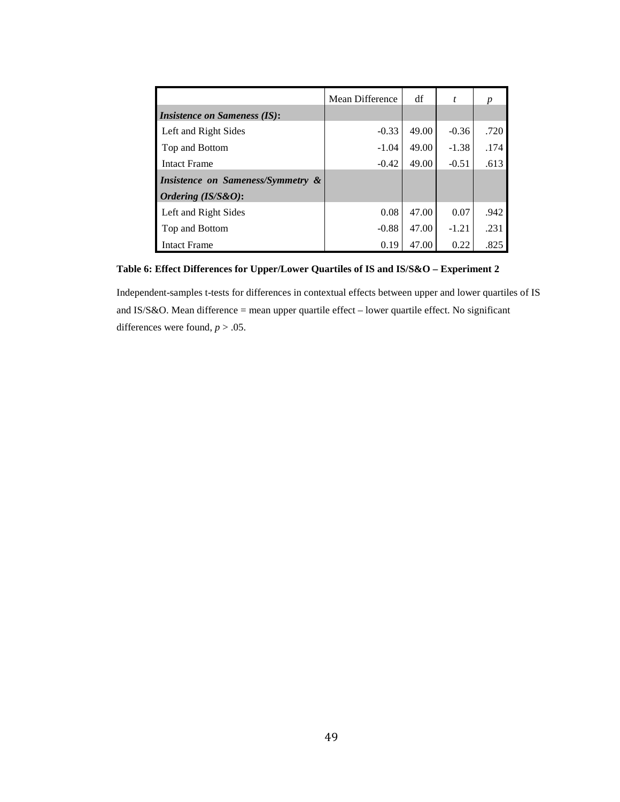|                                     | Mean Difference | df    | t       |      |
|-------------------------------------|-----------------|-------|---------|------|
| <i>Insistence on Sameness (IS):</i> |                 |       |         |      |
| Left and Right Sides                | $-0.33$         | 49.00 | $-0.36$ | .720 |
| Top and Bottom                      | $-1.04$         | 49.00 | $-1.38$ | .174 |
| <b>Intact Frame</b>                 | $-0.42$         | 49.00 | $-0.51$ | .613 |
| Insistence on Sameness/Symmetry &   |                 |       |         |      |
| Ordering (IS/S&O):                  |                 |       |         |      |
| Left and Right Sides                | 0.08            | 47.00 | 0.07    | .942 |
| Top and Bottom                      | $-0.88$         | 47.00 | $-1.21$ | .231 |
| <b>Intact Frame</b>                 | 0.19            | 47.00 | 0.22    | .825 |

**Table 6: Effect Differences for Upper/Lower Quartiles of IS and IS/S&O – Experiment 2**

Independent-samples t-tests for differences in contextual effects between upper and lower quartiles of IS and IS/S&O. Mean difference = mean upper quartile effect – lower quartile effect. No significant differences were found, *p* > .05.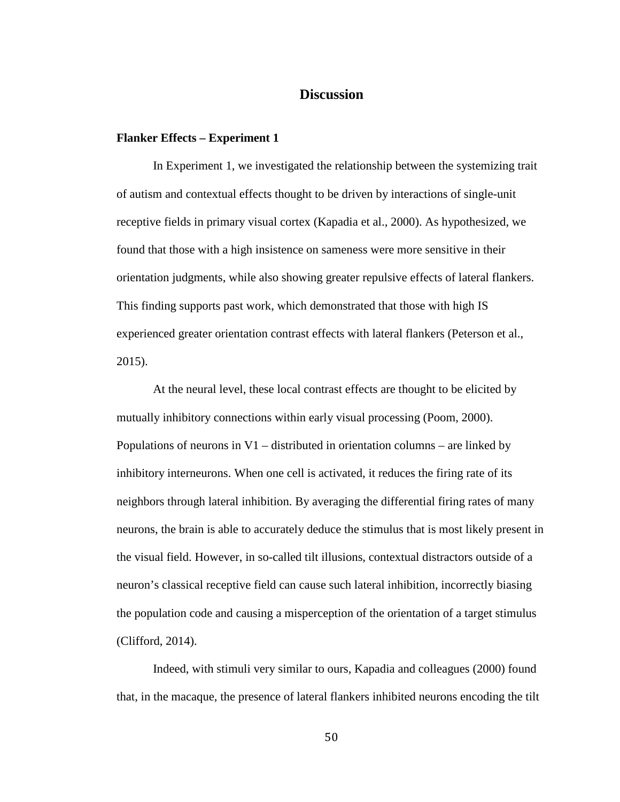# **Discussion**

#### **Flanker Effects – Experiment 1**

In Experiment 1, we investigated the relationship between the systemizing trait of autism and contextual effects thought to be driven by interactions of single-unit receptive fields in primary visual cortex (Kapadia et al., 2000). As hypothesized, we found that those with a high insistence on sameness were more sensitive in their orientation judgments, while also showing greater repulsive effects of lateral flankers. This finding supports past work, which demonstrated that those with high IS experienced greater orientation contrast effects with lateral flankers (Peterson et al., 2015).

At the neural level, these local contrast effects are thought to be elicited by mutually inhibitory connections within early visual processing (Poom, 2000). Populations of neurons in V1 – distributed in orientation columns – are linked by inhibitory interneurons. When one cell is activated, it reduces the firing rate of its neighbors through lateral inhibition. By averaging the differential firing rates of many neurons, the brain is able to accurately deduce the stimulus that is most likely present in the visual field. However, in so-called tilt illusions, contextual distractors outside of a neuron's classical receptive field can cause such lateral inhibition, incorrectly biasing the population code and causing a misperception of the orientation of a target stimulus (Clifford, 2014).

Indeed, with stimuli very similar to ours, Kapadia and colleagues (2000) found that, in the macaque, the presence of lateral flankers inhibited neurons encoding the tilt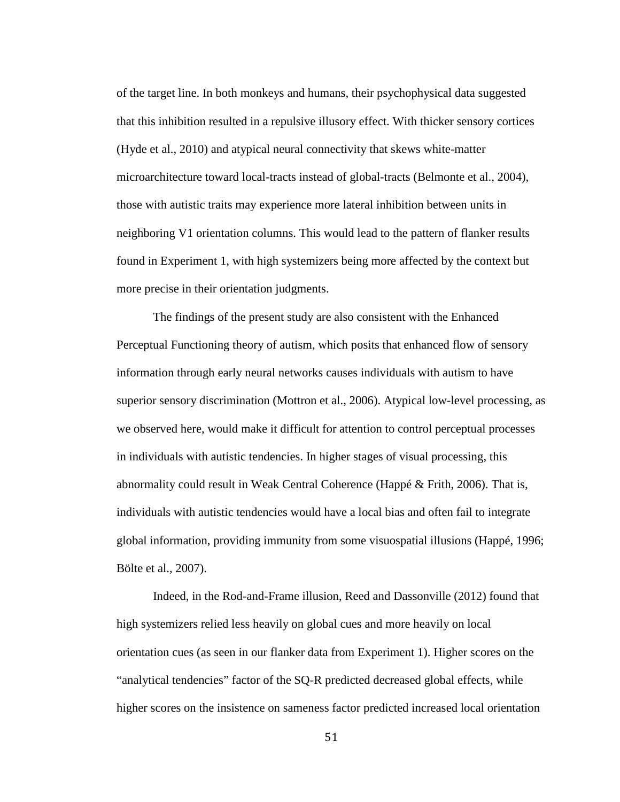of the target line. In both monkeys and humans, their psychophysical data suggested that this inhibition resulted in a repulsive illusory effect. With thicker sensory cortices (Hyde et al., 2010) and atypical neural connectivity that skews white-matter microarchitecture toward local-tracts instead of global-tracts (Belmonte et al., 2004), those with autistic traits may experience more lateral inhibition between units in neighboring V1 orientation columns. This would lead to the pattern of flanker results found in Experiment 1, with high systemizers being more affected by the context but more precise in their orientation judgments.

The findings of the present study are also consistent with the Enhanced Perceptual Functioning theory of autism, which posits that enhanced flow of sensory information through early neural networks causes individuals with autism to have superior sensory discrimination (Mottron et al., 2006). Atypical low-level processing, as we observed here, would make it difficult for attention to control perceptual processes in individuals with autistic tendencies. In higher stages of visual processing, this abnormality could result in Weak Central Coherence (Happé & Frith, 2006). That is, individuals with autistic tendencies would have a local bias and often fail to integrate global information, providing immunity from some visuospatial illusions (Happé, 1996; Bölte et al., 2007).

Indeed, in the Rod-and-Frame illusion, Reed and Dassonville (2012) found that high systemizers relied less heavily on global cues and more heavily on local orientation cues (as seen in our flanker data from Experiment 1). Higher scores on the "analytical tendencies" factor of the SQ-R predicted decreased global effects, while higher scores on the insistence on sameness factor predicted increased local orientation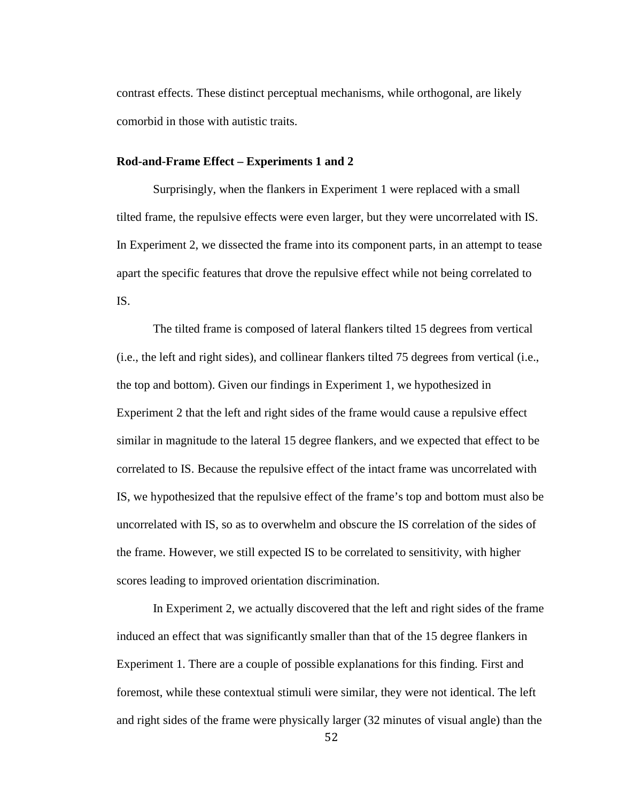contrast effects. These distinct perceptual mechanisms, while orthogonal, are likely comorbid in those with autistic traits.

## **Rod-and-Frame Effect – Experiments 1 and 2**

Surprisingly, when the flankers in Experiment 1 were replaced with a small tilted frame, the repulsive effects were even larger, but they were uncorrelated with IS. In Experiment 2, we dissected the frame into its component parts, in an attempt to tease apart the specific features that drove the repulsive effect while not being correlated to IS.

The tilted frame is composed of lateral flankers tilted 15 degrees from vertical (i.e., the left and right sides), and collinear flankers tilted 75 degrees from vertical (i.e., the top and bottom). Given our findings in Experiment 1, we hypothesized in Experiment 2 that the left and right sides of the frame would cause a repulsive effect similar in magnitude to the lateral 15 degree flankers, and we expected that effect to be correlated to IS. Because the repulsive effect of the intact frame was uncorrelated with IS, we hypothesized that the repulsive effect of the frame's top and bottom must also be uncorrelated with IS, so as to overwhelm and obscure the IS correlation of the sides of the frame. However, we still expected IS to be correlated to sensitivity, with higher scores leading to improved orientation discrimination.

In Experiment 2, we actually discovered that the left and right sides of the frame induced an effect that was significantly smaller than that of the 15 degree flankers in Experiment 1. There are a couple of possible explanations for this finding. First and foremost, while these contextual stimuli were similar, they were not identical. The left and right sides of the frame were physically larger (32 minutes of visual angle) than the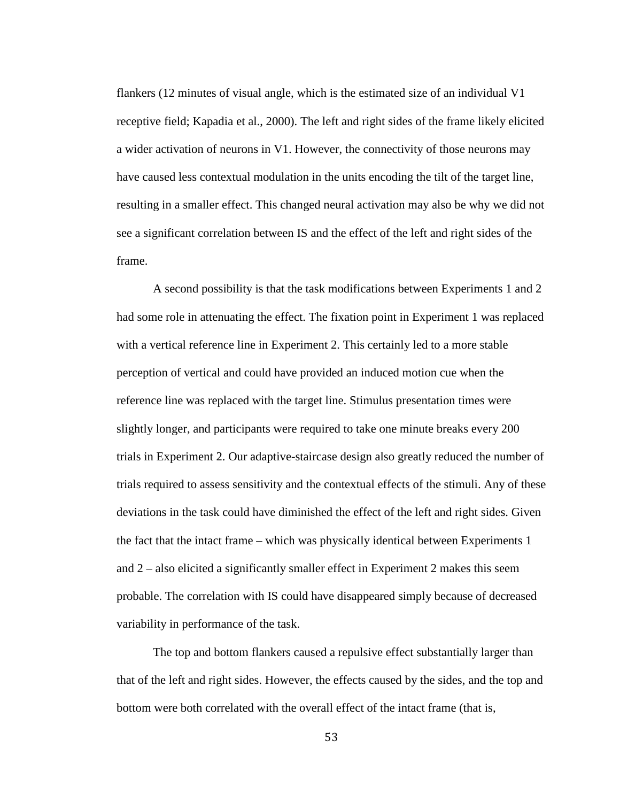flankers (12 minutes of visual angle, which is the estimated size of an individual V1 receptive field; Kapadia et al., 2000). The left and right sides of the frame likely elicited a wider activation of neurons in V1. However, the connectivity of those neurons may have caused less contextual modulation in the units encoding the tilt of the target line, resulting in a smaller effect. This changed neural activation may also be why we did not see a significant correlation between IS and the effect of the left and right sides of the frame.

A second possibility is that the task modifications between Experiments 1 and 2 had some role in attenuating the effect. The fixation point in Experiment 1 was replaced with a vertical reference line in Experiment 2. This certainly led to a more stable perception of vertical and could have provided an induced motion cue when the reference line was replaced with the target line. Stimulus presentation times were slightly longer, and participants were required to take one minute breaks every 200 trials in Experiment 2. Our adaptive-staircase design also greatly reduced the number of trials required to assess sensitivity and the contextual effects of the stimuli. Any of these deviations in the task could have diminished the effect of the left and right sides. Given the fact that the intact frame – which was physically identical between Experiments 1 and 2 – also elicited a significantly smaller effect in Experiment 2 makes this seem probable. The correlation with IS could have disappeared simply because of decreased variability in performance of the task.

The top and bottom flankers caused a repulsive effect substantially larger than that of the left and right sides. However, the effects caused by the sides, and the top and bottom were both correlated with the overall effect of the intact frame (that is,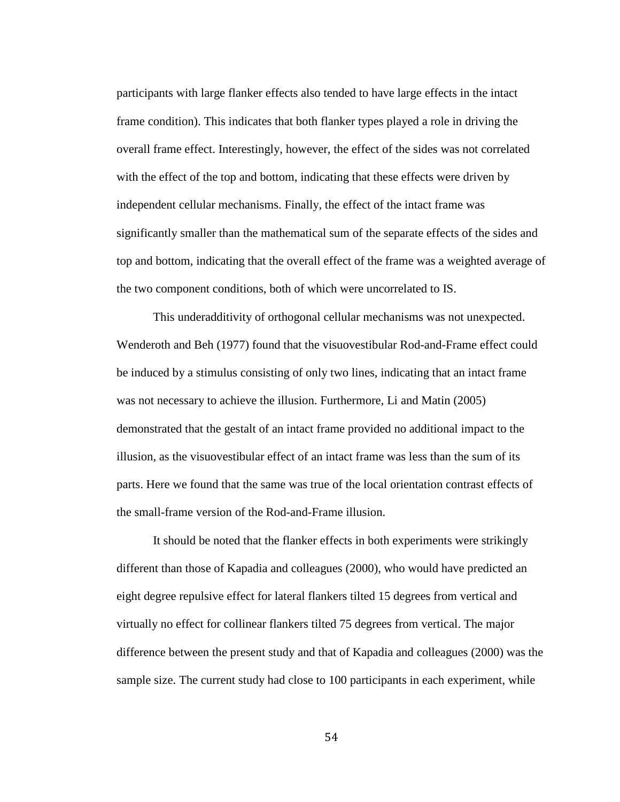participants with large flanker effects also tended to have large effects in the intact frame condition). This indicates that both flanker types played a role in driving the overall frame effect. Interestingly, however, the effect of the sides was not correlated with the effect of the top and bottom, indicating that these effects were driven by independent cellular mechanisms. Finally, the effect of the intact frame was significantly smaller than the mathematical sum of the separate effects of the sides and top and bottom, indicating that the overall effect of the frame was a weighted average of the two component conditions, both of which were uncorrelated to IS.

This underadditivity of orthogonal cellular mechanisms was not unexpected. Wenderoth and Beh (1977) found that the visuovestibular Rod-and-Frame effect could be induced by a stimulus consisting of only two lines, indicating that an intact frame was not necessary to achieve the illusion. Furthermore, Li and Matin (2005) demonstrated that the gestalt of an intact frame provided no additional impact to the illusion, as the visuovestibular effect of an intact frame was less than the sum of its parts. Here we found that the same was true of the local orientation contrast effects of the small-frame version of the Rod-and-Frame illusion.

It should be noted that the flanker effects in both experiments were strikingly different than those of Kapadia and colleagues (2000), who would have predicted an eight degree repulsive effect for lateral flankers tilted 15 degrees from vertical and virtually no effect for collinear flankers tilted 75 degrees from vertical. The major difference between the present study and that of Kapadia and colleagues (2000) was the sample size. The current study had close to 100 participants in each experiment, while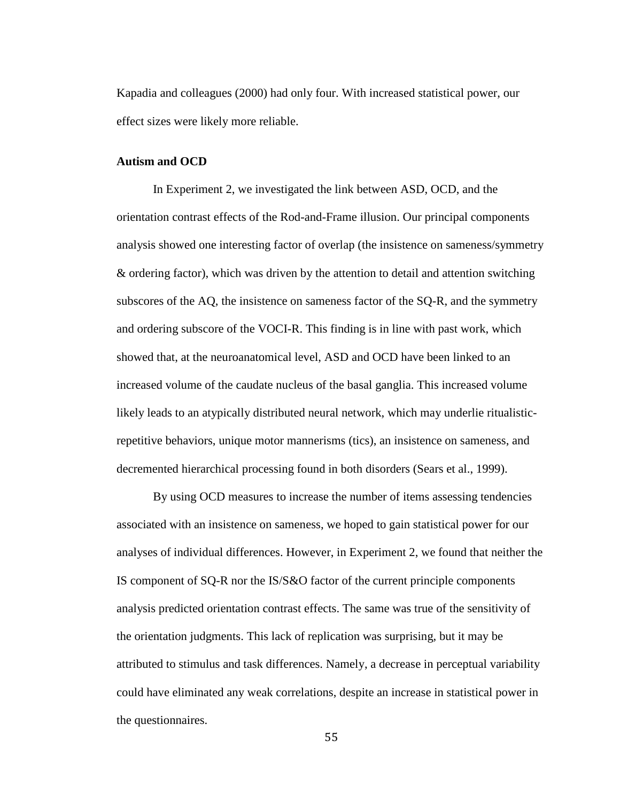Kapadia and colleagues (2000) had only four. With increased statistical power, our effect sizes were likely more reliable.

## **Autism and OCD**

In Experiment 2, we investigated the link between ASD, OCD, and the orientation contrast effects of the Rod-and-Frame illusion. Our principal components analysis showed one interesting factor of overlap (the insistence on sameness/symmetry & ordering factor), which was driven by the attention to detail and attention switching subscores of the AQ, the insistence on sameness factor of the SQ-R, and the symmetry and ordering subscore of the VOCI-R. This finding is in line with past work, which showed that, at the neuroanatomical level, ASD and OCD have been linked to an increased volume of the caudate nucleus of the basal ganglia. This increased volume likely leads to an atypically distributed neural network, which may underlie ritualisticrepetitive behaviors, unique motor mannerisms (tics), an insistence on sameness, and decremented hierarchical processing found in both disorders (Sears et al., 1999).

By using OCD measures to increase the number of items assessing tendencies associated with an insistence on sameness, we hoped to gain statistical power for our analyses of individual differences. However, in Experiment 2, we found that neither the IS component of SQ-R nor the IS/S&O factor of the current principle components analysis predicted orientation contrast effects. The same was true of the sensitivity of the orientation judgments. This lack of replication was surprising, but it may be attributed to stimulus and task differences. Namely, a decrease in perceptual variability could have eliminated any weak correlations, despite an increase in statistical power in the questionnaires.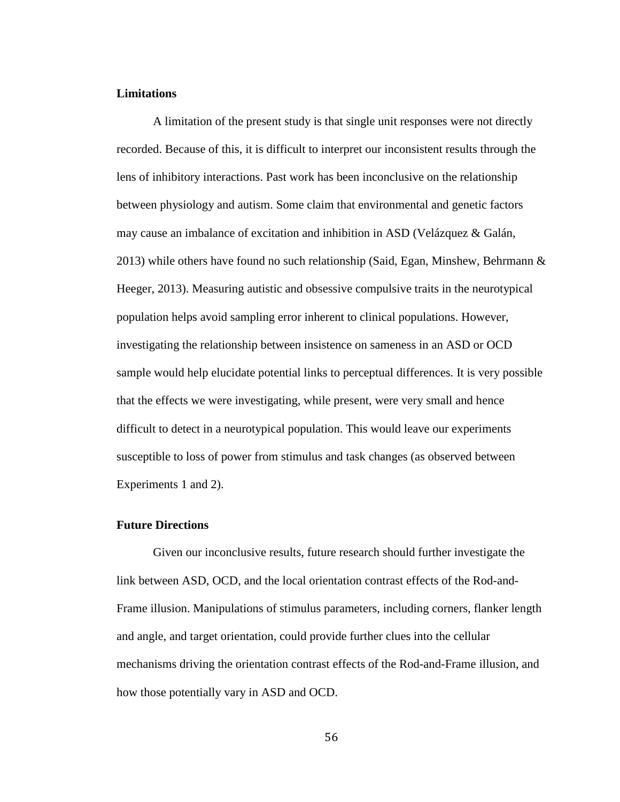### **Limitations**

A limitation of the present study is that single unit responses were not directly recorded. Because of this, it is difficult to interpret our inconsistent results through the lens of inhibitory interactions. Past work has been inconclusive on the relationship between physiology and autism. Some claim that environmental and genetic factors may cause an imbalance of excitation and inhibition in ASD (Velázquez & Galán, 2013) while others have found no such relationship (Said, Egan, Minshew, Behrmann & Heeger, 2013). Measuring autistic and obsessive compulsive traits in the neurotypical population helps avoid sampling error inherent to clinical populations. However, investigating the relationship between insistence on sameness in an ASD or OCD sample would help elucidate potential links to perceptual differences. It is very possible that the effects we were investigating, while present, were very small and hence difficult to detect in a neurotypical population. This would leave our experiments susceptible to loss of power from stimulus and task changes (as observed between Experiments 1 and 2).

#### **Future Directions**

Given our inconclusive results, future research should further investigate the link between ASD, OCD, and the local orientation contrast effects of the Rod-and-Frame illusion. Manipulations of stimulus parameters, including corners, flanker length and angle, and target orientation, could provide further clues into the cellular mechanisms driving the orientation contrast effects of the Rod-and-Frame illusion, and how those potentially vary in ASD and OCD.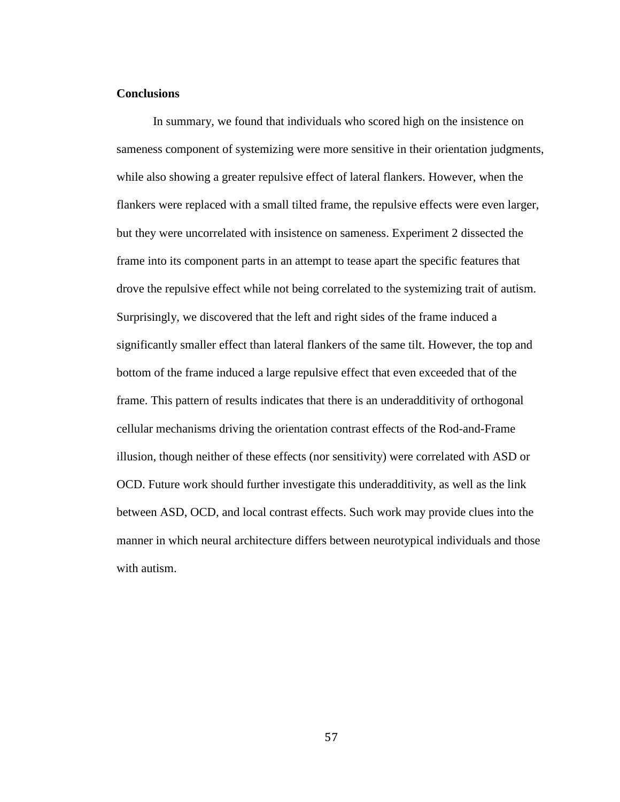### **Conclusions**

In summary, we found that individuals who scored high on the insistence on sameness component of systemizing were more sensitive in their orientation judgments, while also showing a greater repulsive effect of lateral flankers. However, when the flankers were replaced with a small tilted frame, the repulsive effects were even larger, but they were uncorrelated with insistence on sameness. Experiment 2 dissected the frame into its component parts in an attempt to tease apart the specific features that drove the repulsive effect while not being correlated to the systemizing trait of autism. Surprisingly, we discovered that the left and right sides of the frame induced a significantly smaller effect than lateral flankers of the same tilt. However, the top and bottom of the frame induced a large repulsive effect that even exceeded that of the frame. This pattern of results indicates that there is an underadditivity of orthogonal cellular mechanisms driving the orientation contrast effects of the Rod-and-Frame illusion, though neither of these effects (nor sensitivity) were correlated with ASD or OCD. Future work should further investigate this underadditivity, as well as the link between ASD, OCD, and local contrast effects. Such work may provide clues into the manner in which neural architecture differs between neurotypical individuals and those with autism.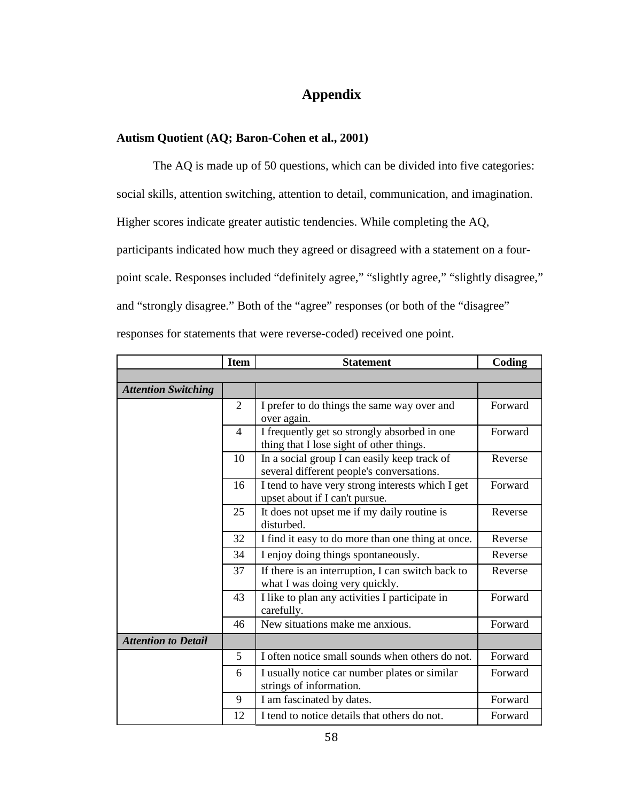# **Appendix**

# **Autism Quotient (AQ; Baron-Cohen et al., 2001)**

The AQ is made up of 50 questions, which can be divided into five categories: social skills, attention switching, attention to detail, communication, and imagination. Higher scores indicate greater autistic tendencies. While completing the AQ, participants indicated how much they agreed or disagreed with a statement on a fourpoint scale. Responses included "definitely agree," "slightly agree," "slightly disagree," and "strongly disagree." Both of the "agree" responses (or both of the "disagree" responses for statements that were reverse-coded) received one point.

|                            | <b>Item</b>    | <b>Statement</b>                                                                          | Coding  |
|----------------------------|----------------|-------------------------------------------------------------------------------------------|---------|
|                            |                |                                                                                           |         |
| <b>Attention Switching</b> |                |                                                                                           |         |
|                            | $\overline{2}$ | I prefer to do things the same way over and<br>over again.                                | Forward |
|                            | $\overline{4}$ | I frequently get so strongly absorbed in one<br>thing that I lose sight of other things.  | Forward |
|                            | 10             | In a social group I can easily keep track of<br>several different people's conversations. | Reverse |
|                            | 16             | I tend to have very strong interests which I get<br>upset about if I can't pursue.        | Forward |
|                            | 25             | It does not upset me if my daily routine is<br>disturbed.                                 | Reverse |
|                            | 32             | I find it easy to do more than one thing at once.                                         | Reverse |
|                            | 34             | I enjoy doing things spontaneously.                                                       | Reverse |
|                            | 37             | If there is an interruption, I can switch back to<br>what I was doing very quickly.       | Reverse |
|                            | 43             | I like to plan any activities I participate in<br>carefully.                              | Forward |
|                            | 46             | New situations make me anxious.                                                           | Forward |
| <b>Attention to Detail</b> |                |                                                                                           |         |
|                            | 5              | I often notice small sounds when others do not.                                           | Forward |
|                            | 6              | I usually notice car number plates or similar<br>strings of information.                  | Forward |
|                            | 9              | I am fascinated by dates.                                                                 | Forward |
|                            | 12             | I tend to notice details that others do not.                                              | Forward |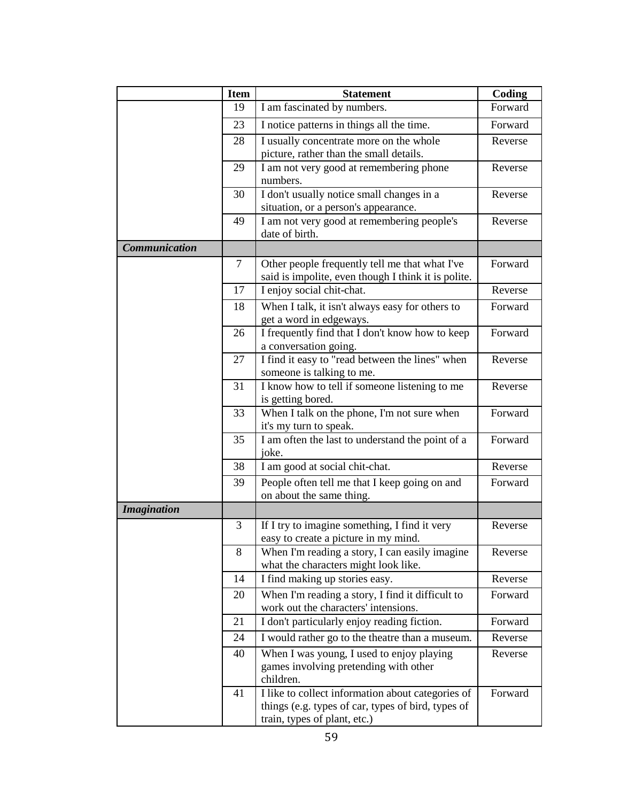|                      | <b>Item</b> | <b>Statement</b>                                                                                                                        | Coding  |
|----------------------|-------------|-----------------------------------------------------------------------------------------------------------------------------------------|---------|
|                      | 19          | I am fascinated by numbers.                                                                                                             | Forward |
|                      | 23          | I notice patterns in things all the time.                                                                                               | Forward |
|                      | 28          | I usually concentrate more on the whole<br>picture, rather than the small details.                                                      | Reverse |
|                      | 29          | I am not very good at remembering phone<br>numbers.                                                                                     | Reverse |
|                      | 30          | I don't usually notice small changes in a<br>situation, or a person's appearance.                                                       | Reverse |
|                      | 49          | I am not very good at remembering people's<br>date of birth.                                                                            | Reverse |
| <b>Communication</b> |             |                                                                                                                                         |         |
|                      | 7           | Other people frequently tell me that what I've<br>said is impolite, even though I think it is polite.                                   | Forward |
|                      | 17          | I enjoy social chit-chat.                                                                                                               | Reverse |
|                      | 18          | When I talk, it isn't always easy for others to<br>get a word in edgeways.                                                              | Forward |
|                      | 26          | I frequently find that I don't know how to keep<br>a conversation going.                                                                | Forward |
|                      | 27          | I find it easy to "read between the lines" when<br>someone is talking to me.                                                            | Reverse |
|                      | 31          | I know how to tell if someone listening to me<br>is getting bored.                                                                      | Reverse |
|                      | 33          | When I talk on the phone, I'm not sure when<br>it's my turn to speak.                                                                   | Forward |
|                      | 35          | I am often the last to understand the point of a<br>joke.                                                                               | Forward |
|                      | 38          | I am good at social chit-chat.                                                                                                          | Reverse |
|                      | 39          | People often tell me that I keep going on and<br>on about the same thing.                                                               | Forward |
| <b>Imagination</b>   |             |                                                                                                                                         |         |
|                      | 3           | If I try to imagine something, I find it very<br>easy to create a picture in my mind.                                                   | Reverse |
|                      | 8           | When I'm reading a story, I can easily imagine<br>what the characters might look like.                                                  | Reverse |
|                      | 14          | I find making up stories easy.                                                                                                          | Reverse |
|                      | 20          | When I'm reading a story, I find it difficult to<br>work out the characters' intensions.                                                | Forward |
|                      | 21          | I don't particularly enjoy reading fiction.                                                                                             | Forward |
|                      | 24          | I would rather go to the theatre than a museum.                                                                                         | Reverse |
|                      | 40          | When I was young, I used to enjoy playing<br>games involving pretending with other<br>children.                                         | Reverse |
|                      | 41          | I like to collect information about categories of<br>things (e.g. types of car, types of bird, types of<br>train, types of plant, etc.) | Forward |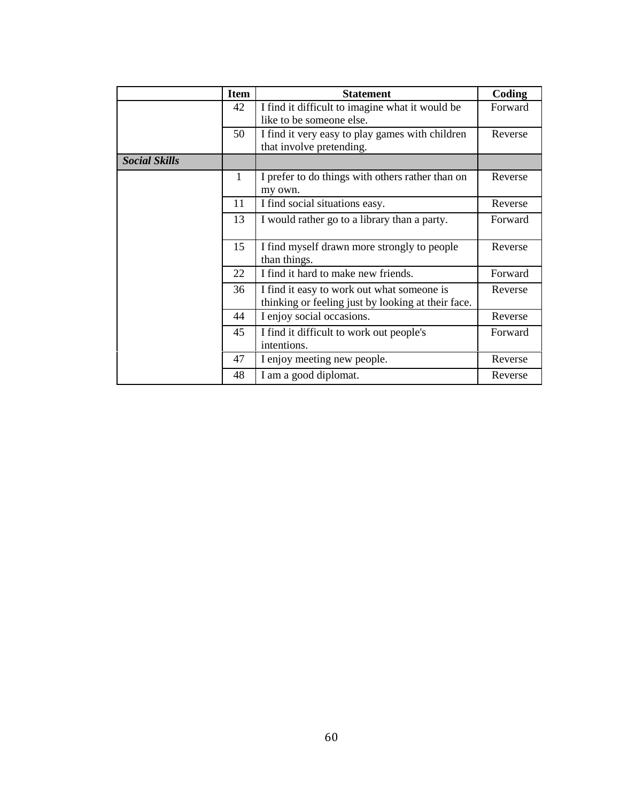|                      | <b>Item</b>  | <b>Statement</b>                                                                                 | Coding  |
|----------------------|--------------|--------------------------------------------------------------------------------------------------|---------|
|                      | 42           | I find it difficult to imagine what it would be<br>like to be someone else.                      | Forward |
|                      | 50           | I find it very easy to play games with children<br>that involve pretending.                      | Reverse |
| <b>Social Skills</b> |              |                                                                                                  |         |
|                      | $\mathbf{1}$ | I prefer to do things with others rather than on<br>my own.                                      | Reverse |
|                      | 11           | I find social situations easy.                                                                   | Reverse |
|                      | 13           | I would rather go to a library than a party.                                                     | Forward |
|                      | 15           | I find myself drawn more strongly to people<br>than things.                                      | Reverse |
|                      | 22           | I find it hard to make new friends.                                                              | Forward |
|                      | 36           | I find it easy to work out what someone is<br>thinking or feeling just by looking at their face. | Reverse |
|                      | 44           | I enjoy social occasions.                                                                        | Reverse |
|                      | 45           | I find it difficult to work out people's<br>intentions.                                          | Forward |
|                      | 47           | I enjoy meeting new people.                                                                      | Reverse |
|                      | 48           | I am a good diplomat.                                                                            | Reverse |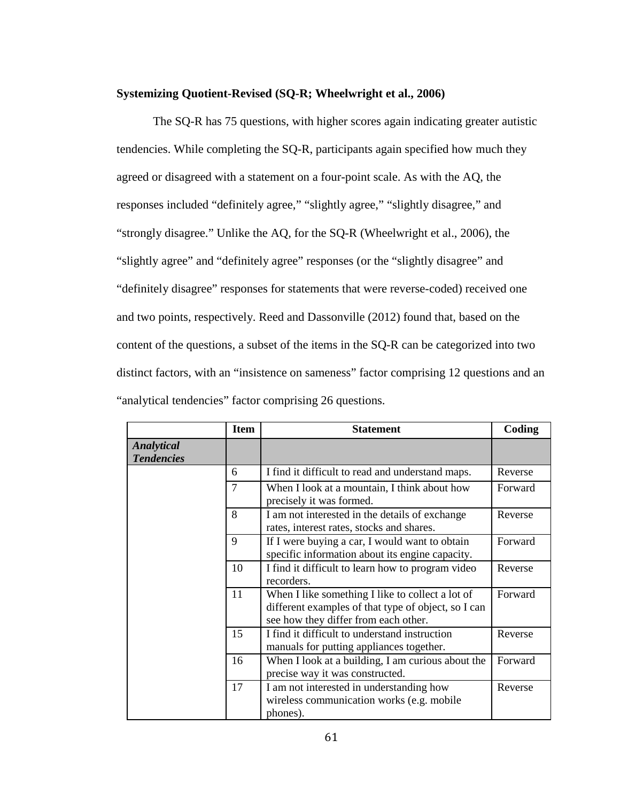#### **Systemizing Quotient-Revised (SQ-R; Wheelwright et al., 2006)**

The SQ-R has 75 questions, with higher scores again indicating greater autistic tendencies. While completing the SQ-R, participants again specified how much they agreed or disagreed with a statement on a four-point scale. As with the AQ, the responses included "definitely agree," "slightly agree," "slightly disagree," and "strongly disagree." Unlike the AQ, for the SQ-R (Wheelwright et al., 2006), the "slightly agree" and "definitely agree" responses (or the "slightly disagree" and "definitely disagree" responses for statements that were reverse-coded) received one and two points, respectively. Reed and Dassonville (2012) found that, based on the content of the questions, a subset of the items in the SQ-R can be categorized into two distinct factors, with an "insistence on sameness" factor comprising 12 questions and an "analytical tendencies" factor comprising 26 questions.

|                                 | <b>Item</b>    | <b>Statement</b>                                                                                                                                | Coding  |
|---------------------------------|----------------|-------------------------------------------------------------------------------------------------------------------------------------------------|---------|
| Analytical<br><b>Tendencies</b> |                |                                                                                                                                                 |         |
|                                 | 6              | I find it difficult to read and understand maps.                                                                                                | Reverse |
|                                 | $\overline{7}$ | When I look at a mountain, I think about how<br>precisely it was formed.                                                                        | Forward |
|                                 | 8              | I am not interested in the details of exchange<br>rates, interest rates, stocks and shares.                                                     | Reverse |
|                                 | $\mathbf Q$    | If I were buying a car, I would want to obtain<br>specific information about its engine capacity.                                               | Forward |
|                                 | 10             | I find it difficult to learn how to program video<br>recorders.                                                                                 | Reverse |
|                                 | 11             | When I like something I like to collect a lot of<br>different examples of that type of object, so I can<br>see how they differ from each other. | Forward |
|                                 | 15             | I find it difficult to understand instruction<br>manuals for putting appliances together.                                                       | Reverse |
|                                 | 16             | When I look at a building, I am curious about the<br>precise way it was constructed.                                                            | Forward |
|                                 | 17             | I am not interested in understanding how<br>wireless communication works (e.g. mobile)<br>phones).                                              | Reverse |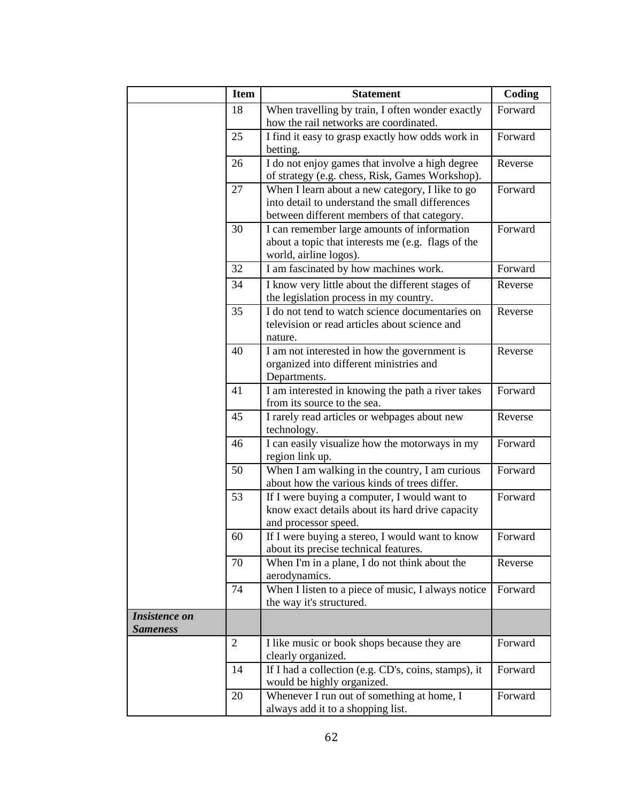|                                         | <b>Item</b>    | <b>Statement</b>                                                                        | Coding  |
|-----------------------------------------|----------------|-----------------------------------------------------------------------------------------|---------|
|                                         | 18             | When travelling by train, I often wonder exactly                                        | Forward |
|                                         |                | how the rail networks are coordinated.                                                  |         |
|                                         | 25             | I find it easy to grasp exactly how odds work in                                        | Forward |
|                                         |                | betting.                                                                                |         |
|                                         | 26             | I do not enjoy games that involve a high degree                                         | Reverse |
|                                         |                | of strategy (e.g. chess, Risk, Games Workshop).                                         |         |
|                                         | 27             | When I learn about a new category, I like to go                                         | Forward |
|                                         |                | into detail to understand the small differences                                         |         |
|                                         |                | between different members of that category.                                             |         |
|                                         | 30             | I can remember large amounts of information                                             | Forward |
|                                         |                | about a topic that interests me (e.g. flags of the                                      |         |
|                                         |                | world, airline logos).                                                                  |         |
|                                         | 32             | I am fascinated by how machines work.                                                   | Forward |
|                                         | 34             | I know very little about the different stages of                                        | Reverse |
|                                         |                | the legislation process in my country.                                                  |         |
|                                         | 35             | I do not tend to watch science documentaries on                                         | Reverse |
|                                         |                | television or read articles about science and                                           |         |
|                                         | 40             | nature.                                                                                 | Reverse |
|                                         |                | I am not interested in how the government is<br>organized into different ministries and |         |
|                                         |                | Departments.                                                                            |         |
|                                         | 41             | I am interested in knowing the path a river takes                                       | Forward |
|                                         |                | from its source to the sea.                                                             |         |
|                                         | 45             | I rarely read articles or webpages about new                                            | Reverse |
|                                         |                | technology.                                                                             |         |
|                                         | 46             | I can easily visualize how the motorways in my                                          | Forward |
|                                         |                | region link up.                                                                         |         |
|                                         | 50             | When I am walking in the country, I am curious                                          | Forward |
|                                         |                | about how the various kinds of trees differ.                                            |         |
|                                         | 53             | If I were buying a computer, I would want to                                            | Forward |
|                                         |                | know exact details about its hard drive capacity                                        |         |
|                                         |                | and processor speed.                                                                    |         |
|                                         | 60             | If I were buying a stereo, I would want to know                                         | Forward |
|                                         |                | about its precise technical features.                                                   |         |
|                                         | 70             | When I'm in a plane, I do not think about the                                           | Reverse |
|                                         |                | aerodynamics.                                                                           |         |
|                                         | 74             | When I listen to a piece of music, $\overline{I}$ always notice                         | Forward |
|                                         |                | the way it's structured.                                                                |         |
| <b>Insistence</b> on<br><b>Sameness</b> |                |                                                                                         |         |
|                                         | $\overline{2}$ | I like music or book shops because they are                                             | Forward |
|                                         |                | clearly organized.                                                                      |         |
|                                         | 14             | If I had a collection (e.g. CD's, coins, stamps), it                                    | Forward |
|                                         |                | would be highly organized.                                                              |         |
|                                         | 20             | Whenever I run out of something at home, I                                              | Forward |
|                                         |                | always add it to a shopping list.                                                       |         |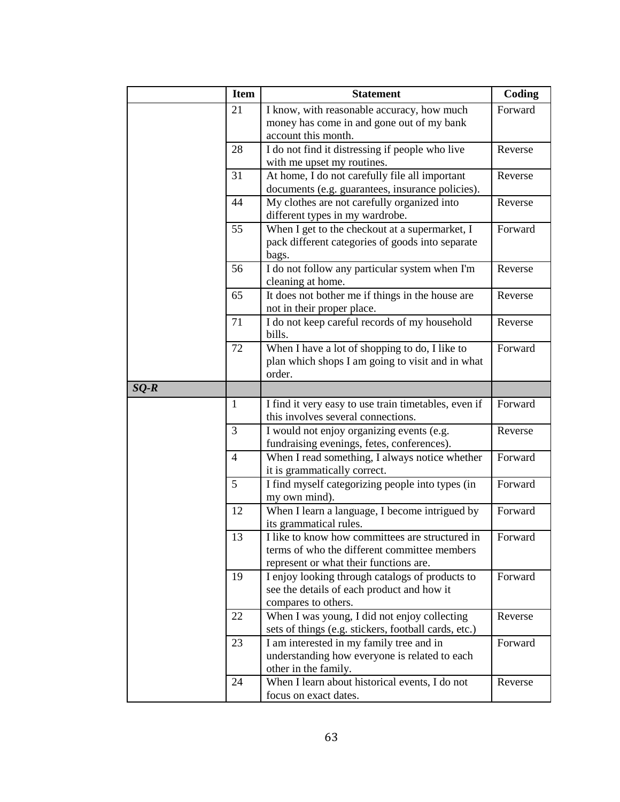|        | <b>Item</b>     | <b>Statement</b>                                                                                | Coding  |
|--------|-----------------|-------------------------------------------------------------------------------------------------|---------|
|        | 21              | I know, with reasonable accuracy, how much                                                      | Forward |
|        |                 | money has come in and gone out of my bank                                                       |         |
|        |                 | account this month.                                                                             |         |
|        | 28              | I do not find it distressing if people who live                                                 | Reverse |
|        |                 | with me upset my routines.                                                                      |         |
|        | 31              | At home, I do not carefully file all important                                                  | Reverse |
|        |                 | documents (e.g. guarantees, insurance policies).                                                |         |
|        | 44              | My clothes are not carefully organized into                                                     | Reverse |
|        |                 | different types in my wardrobe.                                                                 |         |
|        | 55              | When I get to the checkout at a supermarket, I                                                  | Forward |
|        |                 | pack different categories of goods into separate                                                |         |
|        |                 | bags.                                                                                           |         |
|        | 56              | I do not follow any particular system when I'm                                                  | Reverse |
|        |                 | cleaning at home.                                                                               |         |
|        | 65              | It does not bother me if things in the house are                                                | Reverse |
|        |                 | not in their proper place.                                                                      |         |
|        | 71              | I do not keep careful records of my household                                                   | Reverse |
|        |                 | bills.                                                                                          |         |
|        | 72              | When I have a lot of shopping to do, I like to                                                  | Forward |
|        |                 | plan which shops I am going to visit and in what                                                |         |
|        |                 | order.                                                                                          |         |
| $SQ-R$ |                 |                                                                                                 |         |
|        | $\mathbf{1}$    | I find it very easy to use train timetables, even if                                            | Forward |
|        |                 | this involves several connections.                                                              |         |
|        | 3               | I would not enjoy organizing events (e.g.                                                       | Reverse |
|        |                 | fundraising evenings, fetes, conferences).                                                      |         |
|        | $\overline{4}$  | When I read something, I always notice whether                                                  | Forward |
|        |                 | it is grammatically correct.                                                                    |         |
|        | $5\overline{)}$ | I find myself categorizing people into types (in                                                | Forward |
|        |                 | my own mind).                                                                                   |         |
|        | 12              | When I learn a language, I become intrigued by                                                  | Forward |
|        |                 | its grammatical rules.                                                                          |         |
|        | 13              | I like to know how committees are structured in<br>terms of who the different committee members | Forward |
|        |                 | represent or what their functions are.                                                          |         |
|        | 19              | I enjoy looking through catalogs of products to                                                 | Forward |
|        |                 | see the details of each product and how it                                                      |         |
|        |                 | compares to others.                                                                             |         |
|        | 22              | When I was young, I did not enjoy collecting                                                    | Reverse |
|        |                 | sets of things (e.g. stickers, football cards, etc.)                                            |         |
|        | 23              | I am interested in my family tree and in                                                        | Forward |
|        |                 | understanding how everyone is related to each                                                   |         |
|        |                 | other in the family.                                                                            |         |
|        | 24              | When I learn about historical events, I do not                                                  | Reverse |
|        |                 | focus on exact dates.                                                                           |         |
|        |                 |                                                                                                 |         |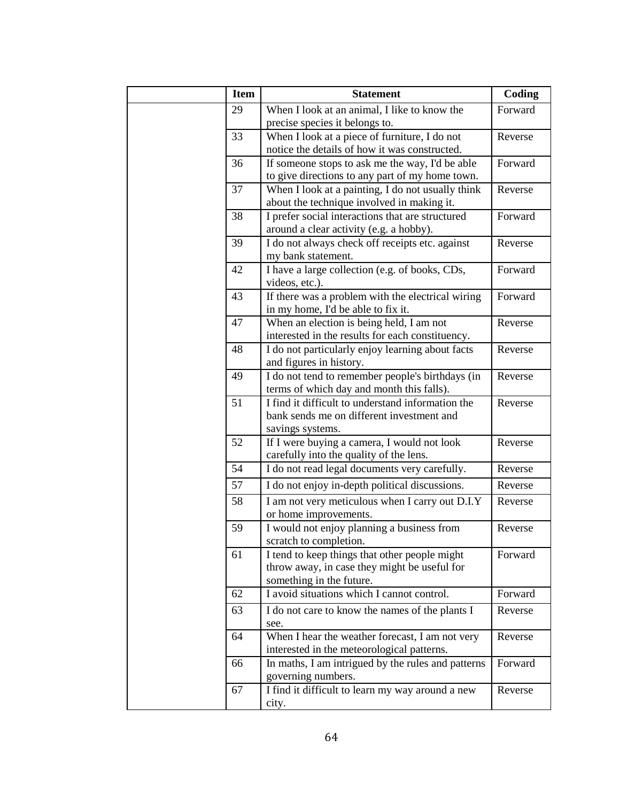| <b>Item</b> | <b>Statement</b>                                   | Coding  |
|-------------|----------------------------------------------------|---------|
| 29          | When I look at an animal, I like to know the       | Forward |
|             | precise species it belongs to.                     |         |
| 33          | When I look at a piece of furniture, I do not      | Reverse |
|             | notice the details of how it was constructed.      |         |
| 36          | If someone stops to ask me the way, I'd be able    | Forward |
|             | to give directions to any part of my home town.    |         |
| 37          | When I look at a painting, I do not usually think  | Reverse |
|             | about the technique involved in making it.         |         |
| 38          | I prefer social interactions that are structured   | Forward |
|             | around a clear activity (e.g. a hobby).            |         |
| 39          | I do not always check off receipts etc. against    | Reverse |
|             | my bank statement.                                 |         |
| 42          | I have a large collection (e.g. of books, CDs,     | Forward |
|             | videos, etc.).                                     |         |
| 43          | If there was a problem with the electrical wiring  | Forward |
|             | in my home, I'd be able to fix it.                 |         |
| 47          | When an election is being held, I am not           | Reverse |
|             | interested in the results for each constituency.   |         |
| 48          | I do not particularly enjoy learning about facts   | Reverse |
|             | and figures in history.                            |         |
| 49          | I do not tend to remember people's birthdays (in   | Reverse |
|             | terms of which day and month this falls).          |         |
| 51          | I find it difficult to understand information the  | Reverse |
|             | bank sends me on different investment and          |         |
|             | savings systems.                                   |         |
| 52          | If I were buying a camera, I would not look        | Reverse |
|             | carefully into the quality of the lens.            |         |
| 54          | I do not read legal documents very carefully.      | Reverse |
| 57          | I do not enjoy in-depth political discussions.     | Reverse |
| 58          | I am not very meticulous when I carry out D.I.Y    | Reverse |
|             | or home improvements.                              |         |
| 59          | I would not enjoy planning a business from         | Reverse |
|             | scratch to completion.                             |         |
| 61          | I tend to keep things that other people might      | Forward |
|             | throw away, in case they might be useful for       |         |
|             | something in the future.                           |         |
| 62          | I avoid situations which I cannot control.         | Forward |
| 63          | I do not care to know the names of the plants I    | Reverse |
|             | see.                                               |         |
| 64          | When I hear the weather forecast, I am not very    | Reverse |
|             | interested in the meteorological patterns.         |         |
| 66          | In maths, I am intrigued by the rules and patterns | Forward |
|             | governing numbers.                                 |         |
| 67          | I find it difficult to learn my way around a new   | Reverse |
|             | city.                                              |         |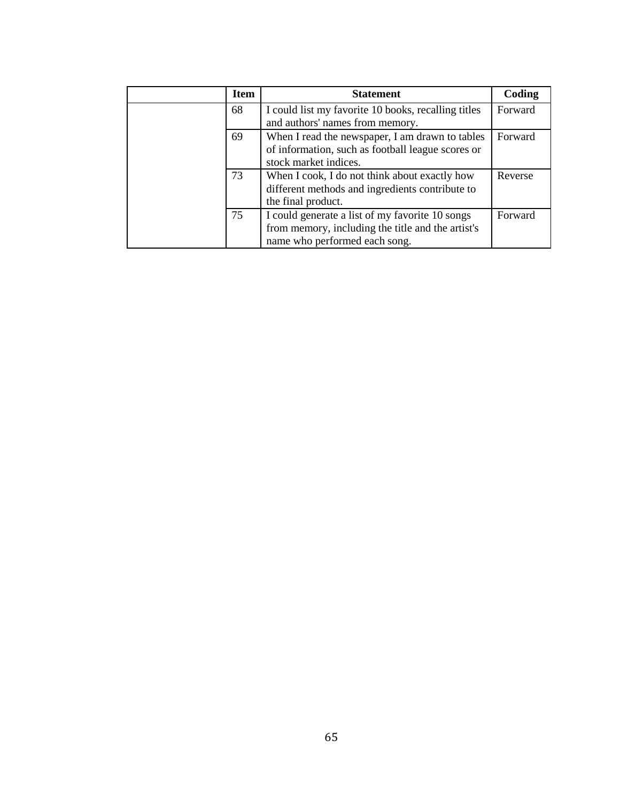|  | <b>Item</b> | <b>Statement</b>                                                                                                                      | Coding  |
|--|-------------|---------------------------------------------------------------------------------------------------------------------------------------|---------|
|  | 68          | I could list my favorite 10 books, recalling titles<br>and authors' names from memory.                                                | Forward |
|  | 69          | When I read the newspaper, I am drawn to tables<br>of information, such as football league scores or<br>stock market indices.         | Forward |
|  | 73          | When I cook, I do not think about exactly how<br>different methods and ingredients contribute to<br>the final product.                | Reverse |
|  | 75          | I could generate a list of my favorite 10 songs<br>from memory, including the title and the artist's<br>name who performed each song. | Forward |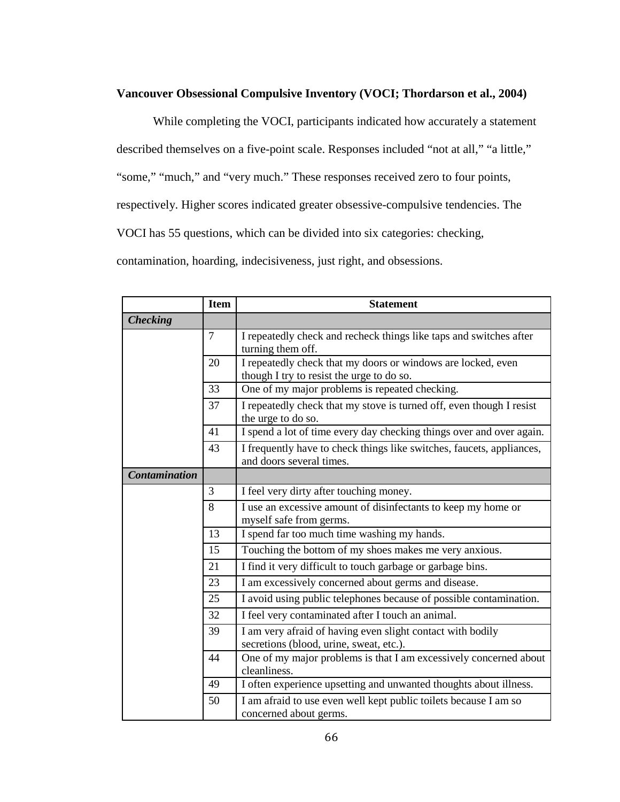## **Vancouver Obsessional Compulsive Inventory (VOCI; Thordarson et al., 2004)**

While completing the VOCI, participants indicated how accurately a statement described themselves on a five-point scale. Responses included "not at all," "a little," "some," "much," and "very much." These responses received zero to four points, respectively. Higher scores indicated greater obsessive-compulsive tendencies. The VOCI has 55 questions, which can be divided into six categories: checking, contamination, hoarding, indecisiveness, just right, and obsessions.

|                      | <b>Item</b> | <b>Statement</b>                                                                                          |  |
|----------------------|-------------|-----------------------------------------------------------------------------------------------------------|--|
| <b>Checking</b>      |             |                                                                                                           |  |
|                      | $\tau$      | I repeatedly check and recheck things like taps and switches after<br>turning them off.                   |  |
| 20                   |             | I repeatedly check that my doors or windows are locked, even<br>though I try to resist the urge to do so. |  |
|                      | 33          | One of my major problems is repeated checking.                                                            |  |
|                      | 37          | I repeatedly check that my stove is turned off, even though I resist<br>the urge to do so.                |  |
|                      | 41          | I spend a lot of time every day checking things over and over again.                                      |  |
|                      | 43          | I frequently have to check things like switches, faucets, appliances,<br>and doors several times.         |  |
| <b>Contamination</b> |             |                                                                                                           |  |
|                      | 3           | I feel very dirty after touching money.                                                                   |  |
|                      | 8           | I use an excessive amount of disinfectants to keep my home or<br>myself safe from germs.                  |  |
| 13                   |             | I spend far too much time washing my hands.                                                               |  |
|                      | 15          | Touching the bottom of my shoes makes me very anxious.                                                    |  |
|                      | 21          | I find it very difficult to touch garbage or garbage bins.                                                |  |
|                      | 23          | I am excessively concerned about germs and disease.                                                       |  |
|                      | 25          | I avoid using public telephones because of possible contamination.                                        |  |
|                      | 32          | I feel very contaminated after I touch an animal.                                                         |  |
|                      | 39          | I am very afraid of having even slight contact with bodily<br>secretions (blood, urine, sweat, etc.).     |  |
|                      | 44          | One of my major problems is that I am excessively concerned about<br>cleanliness.                         |  |
|                      | 49          | I often experience upsetting and unwanted thoughts about illness.                                         |  |
|                      | 50          | I am afraid to use even well kept public toilets because I am so<br>concerned about germs.                |  |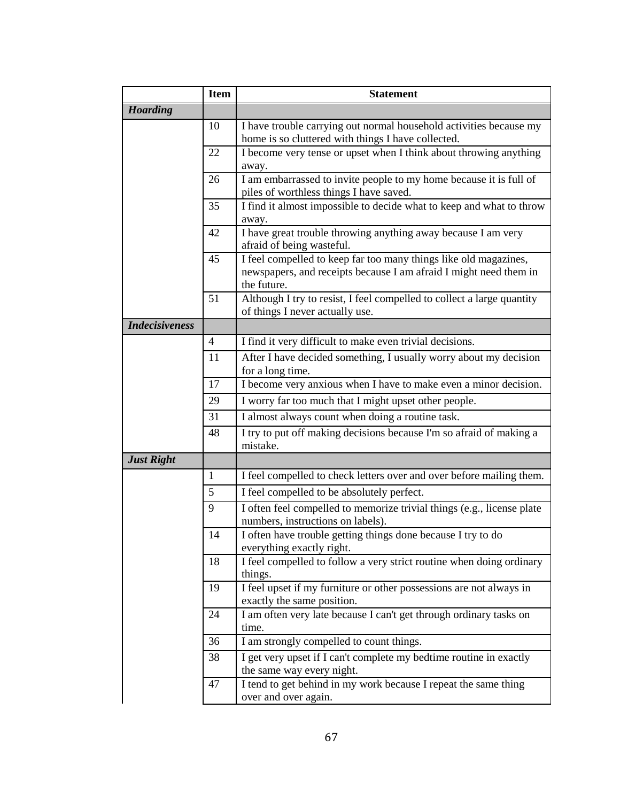|                       | <b>Item</b>    | <b>Statement</b>                                                                                                                                     |
|-----------------------|----------------|------------------------------------------------------------------------------------------------------------------------------------------------------|
| <b>Hoarding</b>       |                |                                                                                                                                                      |
|                       | 10             | I have trouble carrying out normal household activities because my<br>home is so cluttered with things I have collected.                             |
|                       | 22             | I become very tense or upset when I think about throwing anything<br>away.                                                                           |
|                       | 26             | I am embarrassed to invite people to my home because it is full of<br>piles of worthless things I have saved.                                        |
|                       | 35             | I find it almost impossible to decide what to keep and what to throw<br>away.                                                                        |
|                       | 42             | I have great trouble throwing anything away because I am very<br>afraid of being wasteful.                                                           |
|                       | 45             | I feel compelled to keep far too many things like old magazines,<br>newspapers, and receipts because I am afraid I might need them in<br>the future. |
|                       | 51             | Although I try to resist, I feel compelled to collect a large quantity<br>of things I never actually use.                                            |
| <b>Indecisiveness</b> |                |                                                                                                                                                      |
|                       | $\overline{4}$ | I find it very difficult to make even trivial decisions.                                                                                             |
|                       | 11             | After I have decided something, I usually worry about my decision<br>for a long time.                                                                |
|                       | 17             | I become very anxious when I have to make even a minor decision.                                                                                     |
|                       | 29             | I worry far too much that I might upset other people.                                                                                                |
|                       | 31             | I almost always count when doing a routine task.                                                                                                     |
|                       | 48             | I try to put off making decisions because I'm so afraid of making a<br>mistake.                                                                      |
| <b>Just Right</b>     |                |                                                                                                                                                      |
|                       | $\mathbf{1}$   | I feel compelled to check letters over and over before mailing them.                                                                                 |
|                       | 5              | I feel compelled to be absolutely perfect.                                                                                                           |
|                       | 9              | I often feel compelled to memorize trivial things (e.g., license plate<br>numbers, instructions on labels).                                          |
|                       | 14             | I often have trouble getting things done because I try to do<br>everything exactly right.                                                            |
|                       | 18             | I feel compelled to follow a very strict routine when doing ordinary<br>things.                                                                      |
|                       | 19             | I feel upset if my furniture or other possessions are not always in<br>exactly the same position.                                                    |
|                       | 24             | I am often very late because I can't get through ordinary tasks on<br>time.                                                                          |
|                       | 36             | I am strongly compelled to count things.                                                                                                             |
|                       | 38             | I get very upset if I can't complete my bedtime routine in exactly<br>the same way every night.                                                      |
|                       | 47             | I tend to get behind in my work because I repeat the same thing<br>over and over again.                                                              |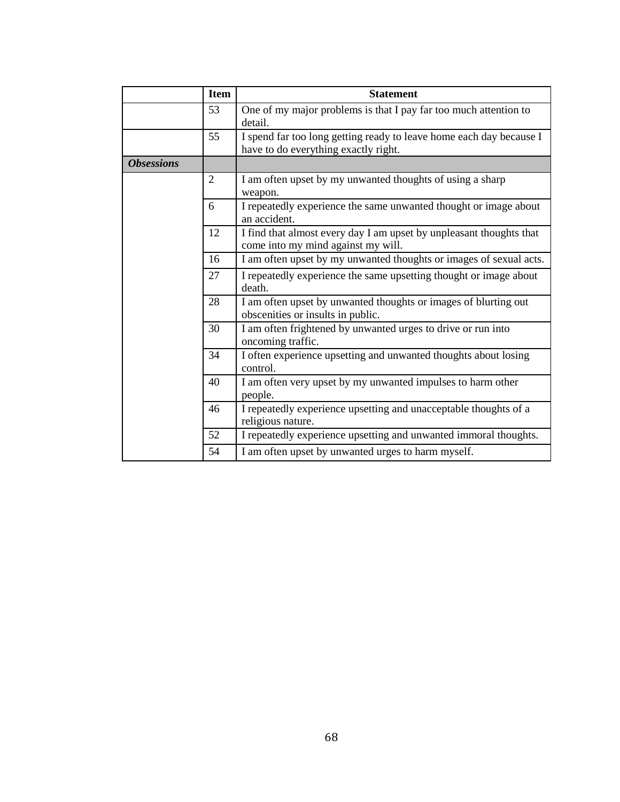|                   | <b>Item</b>    | <b>Statement</b>                                                                                            |
|-------------------|----------------|-------------------------------------------------------------------------------------------------------------|
|                   | 53             | One of my major problems is that I pay far too much attention to<br>detail.                                 |
|                   | 55             | I spend far too long getting ready to leave home each day because I<br>have to do everything exactly right. |
| <b>Obsessions</b> |                |                                                                                                             |
|                   | $\overline{c}$ | I am often upset by my unwanted thoughts of using a sharp<br>weapon.                                        |
|                   | 6              | I repeatedly experience the same unwanted thought or image about<br>an accident.                            |
|                   | 12             | I find that almost every day I am upset by unpleasant thoughts that<br>come into my mind against my will.   |
|                   | 16             | I am often upset by my unwanted thoughts or images of sexual acts.                                          |
|                   | 27             | I repeatedly experience the same upsetting thought or image about<br>death.                                 |
|                   | 28             | I am often upset by unwanted thoughts or images of blurting out<br>obscenities or insults in public.        |
|                   | 30             | I am often frightened by unwanted urges to drive or run into<br>oncoming traffic.                           |
|                   | 34             | I often experience upsetting and unwanted thoughts about losing<br>control.                                 |
|                   | 40             | I am often very upset by my unwanted impulses to harm other<br>people.                                      |
|                   | 46             | I repeatedly experience upsetting and unacceptable thoughts of a<br>religious nature.                       |
|                   | 52             | I repeatedly experience upsetting and unwanted immoral thoughts.                                            |
| 54                |                | I am often upset by unwanted urges to harm myself.                                                          |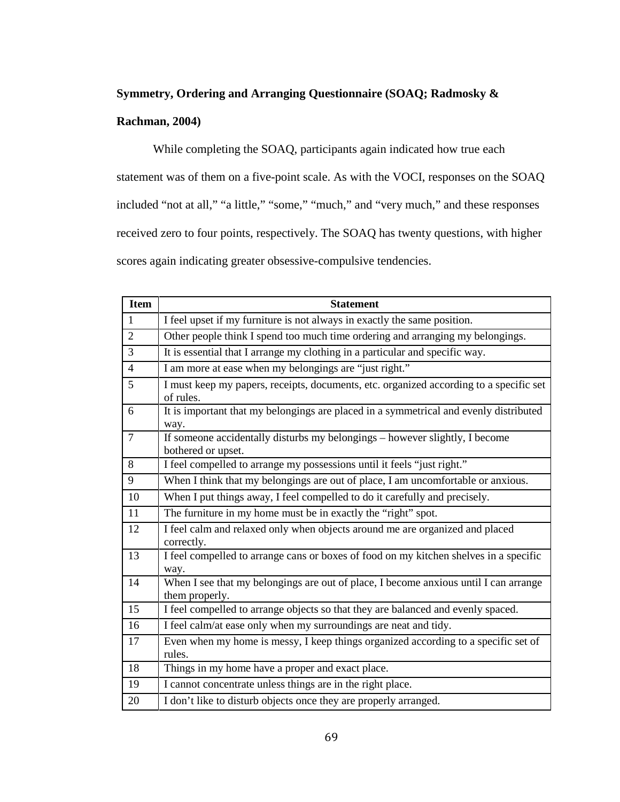## **Symmetry, Ordering and Arranging Questionnaire (SOAQ; Radmosky &**

#### **Rachman, 2004)**

While completing the SOAQ, participants again indicated how true each statement was of them on a five-point scale. As with the VOCI, responses on the SOAQ included "not at all," "a little," "some," "much," and "very much," and these responses received zero to four points, respectively. The SOAQ has twenty questions, with higher scores again indicating greater obsessive-compulsive tendencies.

| Item           | <b>Statement</b>                                                                                       |
|----------------|--------------------------------------------------------------------------------------------------------|
| $\mathbf{1}$   | I feel upset if my furniture is not always in exactly the same position.                               |
| $\overline{2}$ | Other people think I spend too much time ordering and arranging my belongings.                         |
| $\overline{3}$ | It is essential that I arrange my clothing in a particular and specific way.                           |
| $\overline{4}$ | I am more at ease when my belongings are "just right."                                                 |
| $\overline{5}$ | I must keep my papers, receipts, documents, etc. organized according to a specific set<br>of rules.    |
| 6              | It is important that my belongings are placed in a symmetrical and evenly distributed<br>way.          |
| $\overline{7}$ | If someone accidentally disturbs my belongings - however slightly, I become<br>bothered or upset.      |
| 8              | I feel compelled to arrange my possessions until it feels "just right."                                |
| 9              | When I think that my belongings are out of place, I am uncomfortable or anxious.                       |
| 10             | When I put things away, I feel compelled to do it carefully and precisely.                             |
| 11             | The furniture in my home must be in exactly the "right" spot.                                          |
| 12             | I feel calm and relaxed only when objects around me are organized and placed<br>correctly.             |
| 13             | I feel compelled to arrange cans or boxes of food on my kitchen shelves in a specific<br>way.          |
| 14             | When I see that my belongings are out of place, I become anxious until I can arrange<br>them properly. |
| 15             | I feel compelled to arrange objects so that they are balanced and evenly spaced.                       |
| 16             | I feel calm/at ease only when my surroundings are neat and tidy.                                       |
| 17             | Even when my home is messy, I keep things organized according to a specific set of<br>rules.           |
| 18             | Things in my home have a proper and exact place.                                                       |
| 19             | I cannot concentrate unless things are in the right place.                                             |
| 20             | I don't like to disturb objects once they are properly arranged.                                       |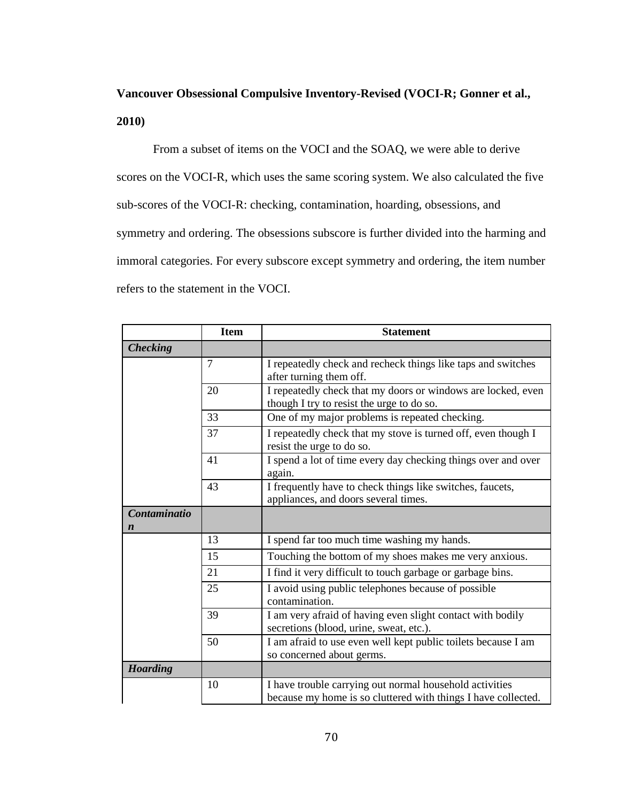# **Vancouver Obsessional Compulsive Inventory-Revised (VOCI-R; Gonner et al., 2010)**

From a subset of items on the VOCI and the SOAQ, we were able to derive scores on the VOCI-R, which uses the same scoring system. We also calculated the five sub-scores of the VOCI-R: checking, contamination, hoarding, obsessions, and symmetry and ordering. The obsessions subscore is further divided into the harming and immoral categories. For every subscore except symmetry and ordering, the item number refers to the statement in the VOCI.

|                                  | <b>Item</b>    | <b>Statement</b>                                                                                                         |
|----------------------------------|----------------|--------------------------------------------------------------------------------------------------------------------------|
| <b>Checking</b>                  |                |                                                                                                                          |
|                                  | $\overline{7}$ | I repeatedly check and recheck things like taps and switches<br>after turning them off.                                  |
|                                  | 20             | I repeatedly check that my doors or windows are locked, even<br>though I try to resist the urge to do so.                |
|                                  | 33             | One of my major problems is repeated checking.                                                                           |
|                                  | 37             | I repeatedly check that my stove is turned off, even though I<br>resist the urge to do so.                               |
|                                  | 41             | I spend a lot of time every day checking things over and over<br>again.                                                  |
|                                  | 43             | I frequently have to check things like switches, faucets,<br>appliances, and doors several times.                        |
| Contaminatio<br>$\boldsymbol{n}$ |                |                                                                                                                          |
|                                  | 13             | I spend far too much time washing my hands.                                                                              |
|                                  | 15             | Touching the bottom of my shoes makes me very anxious.                                                                   |
|                                  | 21             | I find it very difficult to touch garbage or garbage bins.                                                               |
|                                  | 25             | I avoid using public telephones because of possible<br>contamination.                                                    |
|                                  | 39             | I am very afraid of having even slight contact with bodily<br>secretions (blood, urine, sweat, etc.).                    |
|                                  | 50             | I am afraid to use even well kept public toilets because I am<br>so concerned about germs.                               |
| <b>Hoarding</b>                  |                |                                                                                                                          |
|                                  | 10             | I have trouble carrying out normal household activities<br>because my home is so cluttered with things I have collected. |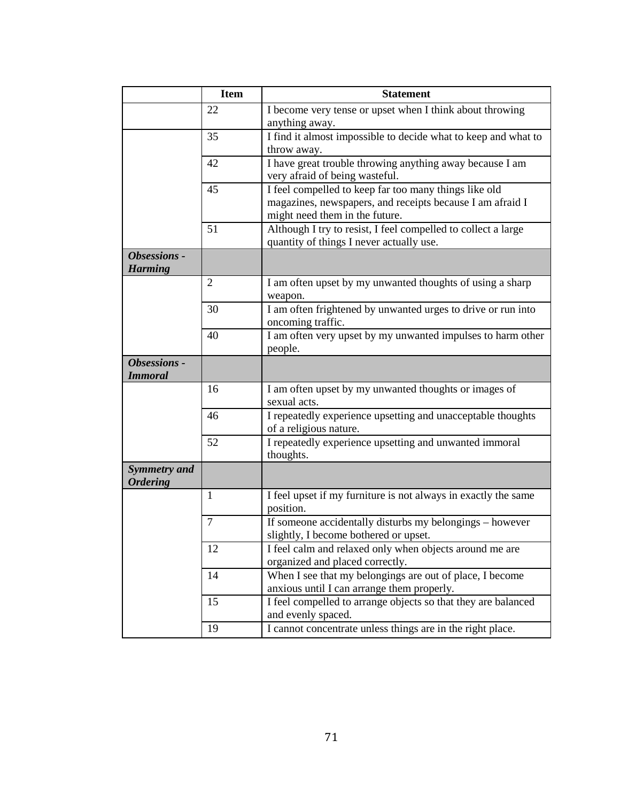|                                        | <b>Item</b>    | <b>Statement</b>                                                                                                                                     |
|----------------------------------------|----------------|------------------------------------------------------------------------------------------------------------------------------------------------------|
|                                        | 22             | I become very tense or upset when I think about throwing<br>anything away.                                                                           |
|                                        | 35             | I find it almost impossible to decide what to keep and what to<br>throw away.                                                                        |
|                                        | 42             | I have great trouble throwing anything away because I am<br>very afraid of being wasteful.                                                           |
|                                        | 45             | I feel compelled to keep far too many things like old<br>magazines, newspapers, and receipts because I am afraid I<br>might need them in the future. |
|                                        | 51             | Although I try to resist, I feel compelled to collect a large<br>quantity of things I never actually use.                                            |
| Obsessions -<br><b>Harming</b>         |                |                                                                                                                                                      |
|                                        | $\overline{2}$ | I am often upset by my unwanted thoughts of using a sharp<br>weapon.                                                                                 |
|                                        | 30             | I am often frightened by unwanted urges to drive or run into<br>oncoming traffic.                                                                    |
|                                        | 40             | I am often very upset by my unwanted impulses to harm other<br>people.                                                                               |
| Obsessions -<br><b>Immoral</b>         |                |                                                                                                                                                      |
|                                        | 16             | I am often upset by my unwanted thoughts or images of<br>sexual acts.                                                                                |
|                                        | 46             | I repeatedly experience upsetting and unacceptable thoughts<br>of a religious nature.                                                                |
|                                        | 52             | I repeatedly experience upsetting and unwanted immoral<br>thoughts.                                                                                  |
| <b>Symmetry and</b><br><b>Ordering</b> |                |                                                                                                                                                      |
|                                        | 1              | I feel upset if my furniture is not always in exactly the same<br>position.                                                                          |
|                                        | $\overline{7}$ | If someone accidentally disturbs my belongings - however<br>slightly, I become bothered or upset.                                                    |
|                                        | 12             | I feel calm and relaxed only when objects around me are<br>organized and placed correctly.                                                           |
|                                        | 14             | When I see that my belongings are out of place, I become<br>anxious until I can arrange them properly.                                               |
|                                        | 15             | I feel compelled to arrange objects so that they are balanced<br>and evenly spaced.                                                                  |
|                                        | 19             | I cannot concentrate unless things are in the right place.                                                                                           |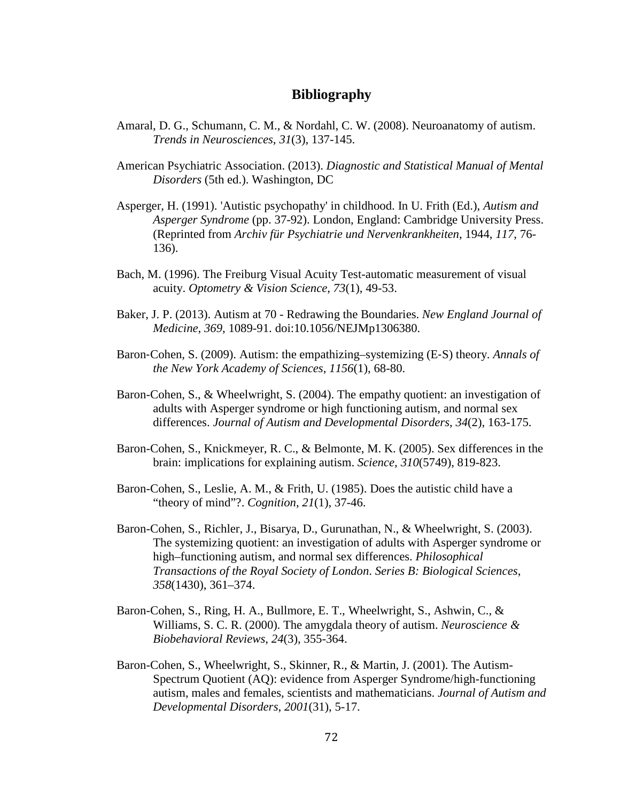## **Bibliography**

- Amaral, D. G., Schumann, C. M., & Nordahl, C. W. (2008). Neuroanatomy of autism. *Trends in Neurosciences*, *31*(3), 137-145.
- American Psychiatric Association. (2013). *Diagnostic and Statistical Manual of Mental Disorders* (5th ed.). Washington, DC
- Asperger, H. (1991). 'Autistic psychopathy' in childhood. In U. Frith (Ed.), *Autism and Asperger Syndrome* (pp. 37-92). London, England: Cambridge University Press. (Reprinted from *Archiv für Psychiatrie und Nervenkrankheiten*, 1944, *117*, 76- 136).
- Bach, M. (1996). The Freiburg Visual Acuity Test-automatic measurement of visual acuity. *Optometry & Vision Science*, *73*(1), 49-53.
- Baker, J. P. (2013). Autism at 70 Redrawing the Boundaries. *New England Journal of Medicine*, *369*, 1089-91. doi:10.1056/NEJMp1306380.
- Baron‐Cohen, S. (2009). Autism: the empathizing–systemizing (E‐S) theory. *Annals of the New York Academy of Sciences*, *1156*(1), 68-80.
- Baron-Cohen, S., & Wheelwright, S. (2004). The empathy quotient: an investigation of adults with Asperger syndrome or high functioning autism, and normal sex differences. *Journal of Autism and Developmental Disorders*, *34*(2), 163-175.
- Baron-Cohen, S., Knickmeyer, R. C., & Belmonte, M. K. (2005). Sex differences in the brain: implications for explaining autism. *Science*, *310*(5749), 819-823.
- Baron-Cohen, S., Leslie, A. M., & Frith, U. (1985). Does the autistic child have a "theory of mind"?. *Cognition*, *21*(1), 37-46.
- Baron-Cohen, S., Richler, J., Bisarya, D., Gurunathan, N., & Wheelwright, S. (2003). The systemizing quotient: an investigation of adults with Asperger syndrome or high–functioning autism, and normal sex differences. *Philosophical Transactions of the Royal Society of London*. *Series B: Biological Sciences*, *358*(1430), 361–374.
- Baron-Cohen, S., Ring, H. A., Bullmore, E. T., Wheelwright, S., Ashwin, C., & Williams, S. C. R. (2000). The amygdala theory of autism. *Neuroscience & Biobehavioral Reviews*, *24*(3), 355-364.
- Baron-Cohen, S., Wheelwright, S., Skinner, R., & Martin, J. (2001). The Autism-Spectrum Quotient (AQ): evidence from Asperger Syndrome/high-functioning autism, males and females, scientists and mathematicians. *Journal of Autism and Developmental Disorders*, *2001*(31), 5-17.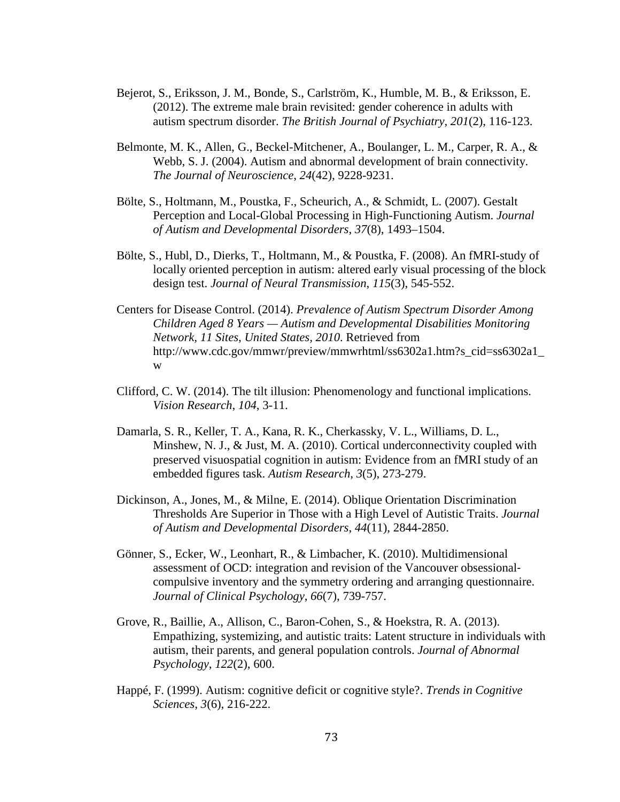- Bejerot, S., Eriksson, J. M., Bonde, S., Carlström, K., Humble, M. B., & Eriksson, E. (2012). The extreme male brain revisited: gender coherence in adults with autism spectrum disorder. *The British Journal of Psychiatry*, *201*(2), 116-123.
- Belmonte, M. K., Allen, G., Beckel-Mitchener, A., Boulanger, L. M., Carper, R. A., & Webb, S. J. (2004). Autism and abnormal development of brain connectivity. *The Journal of Neuroscience*, *24*(42), 9228-9231.
- Bölte, S., Holtmann, M., Poustka, F., Scheurich, A., & Schmidt, L. (2007). Gestalt Perception and Local-Global Processing in High-Functioning Autism. *Journal of Autism and Developmental Disorders*, *37*(8), 1493–1504.
- Bölte, S., Hubl, D., Dierks, T., Holtmann, M., & Poustka, F. (2008). An fMRI-study of locally oriented perception in autism: altered early visual processing of the block design test. *Journal of Neural Transmission*, *115*(3), 545-552.
- Centers for Disease Control. (2014). *Prevalence of Autism Spectrum Disorder Among Children Aged 8 Years — Autism and Developmental Disabilities Monitoring Network, 11 Sites, United States, 2010*. Retrieved from http://www.cdc.gov/mmwr/preview/mmwrhtml/ss6302a1.htm?s\_cid=ss6302a1\_ w
- Clifford, C. W. (2014). The tilt illusion: Phenomenology and functional implications. *Vision Research*, *104*, 3-11.
- Damarla, S. R., Keller, T. A., Kana, R. K., Cherkassky, V. L., Williams, D. L., Minshew, N. J., & Just, M. A. (2010). Cortical underconnectivity coupled with preserved visuospatial cognition in autism: Evidence from an fMRI study of an embedded figures task. *Autism Research*, *3*(5), 273-279.
- Dickinson, A., Jones, M., & Milne, E. (2014). Oblique Orientation Discrimination Thresholds Are Superior in Those with a High Level of Autistic Traits. *Journal of Autism and Developmental Disorders*, *44*(11), 2844-2850.
- Gönner, S., Ecker, W., Leonhart, R., & Limbacher, K. (2010). Multidimensional assessment of OCD: integration and revision of the Vancouver obsessional‐ compulsive inventory and the symmetry ordering and arranging questionnaire. *Journal of Clinical Psychology*, *66*(7), 739-757.
- Grove, R., Baillie, A., Allison, C., Baron-Cohen, S., & Hoekstra, R. A. (2013). Empathizing, systemizing, and autistic traits: Latent structure in individuals with autism, their parents, and general population controls. *Journal of Abnormal Psychology*, *122*(2), 600.
- Happé, F. (1999). Autism: cognitive deficit or cognitive style?. *Trends in Cognitive Sciences*, *3*(6), 216-222.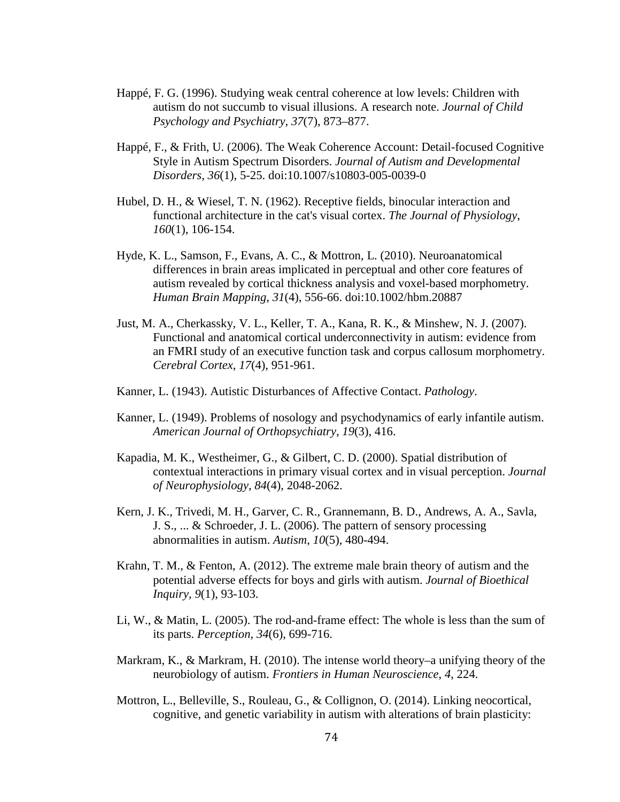- Happé, F. G. (1996). Studying weak central coherence at low levels: Children with autism do not succumb to visual illusions. A research note. *Journal of Child Psychology and Psychiatry*, *37*(7), 873–877.
- Happé, F., & Frith, U. (2006). The Weak Coherence Account: Detail-focused Cognitive Style in Autism Spectrum Disorders. *Journal of Autism and Developmental Disorders*, *36*(1), 5-25. doi:10.1007/s10803-005-0039-0
- Hubel, D. H., & Wiesel, T. N. (1962). Receptive fields, binocular interaction and functional architecture in the cat's visual cortex. *The Journal of Physiology*, *160*(1), 106-154.
- Hyde, K. L., Samson, F., Evans, A. C., & Mottron, L. (2010). Neuroanatomical differences in brain areas implicated in perceptual and other core features of autism revealed by cortical thickness analysis and voxel-based morphometry. *Human Brain Mapping*, *31*(4), 556-66. doi:10.1002/hbm.20887
- Just, M. A., Cherkassky, V. L., Keller, T. A., Kana, R. K., & Minshew, N. J. (2007). Functional and anatomical cortical underconnectivity in autism: evidence from an FMRI study of an executive function task and corpus callosum morphometry. *Cerebral Cortex*, *17*(4), 951-961.
- Kanner, L. (1943). Autistic Disturbances of Affective Contact. *Pathology*.
- Kanner, L. (1949). Problems of nosology and psychodynamics of early infantile autism. *American Journal of Orthopsychiatry*, *19*(3), 416.
- Kapadia, M. K., Westheimer, G., & Gilbert, C. D. (2000). Spatial distribution of contextual interactions in primary visual cortex and in visual perception. *Journal of Neurophysiology*, *84*(4), 2048-2062.
- Kern, J. K., Trivedi, M. H., Garver, C. R., Grannemann, B. D., Andrews, A. A., Savla, J. S., ... & Schroeder, J. L. (2006). The pattern of sensory processing abnormalities in autism. *Autism*, *10*(5), 480-494.
- Krahn, T. M., & Fenton, A. (2012). The extreme male brain theory of autism and the potential adverse effects for boys and girls with autism. *Journal of Bioethical Inquiry*, *9*(1), 93-103.
- Li, W., & Matin, L. (2005). The rod-and-frame effect: The whole is less than the sum of its parts. *Perception*, *34*(6), 699-716.
- Markram, K., & Markram, H. (2010). The intense world theory–a unifying theory of the neurobiology of autism. *Frontiers in Human Neuroscience*, *4*, 224.
- Mottron, L., Belleville, S., Rouleau, G., & Collignon, O. (2014). Linking neocortical, cognitive, and genetic variability in autism with alterations of brain plasticity: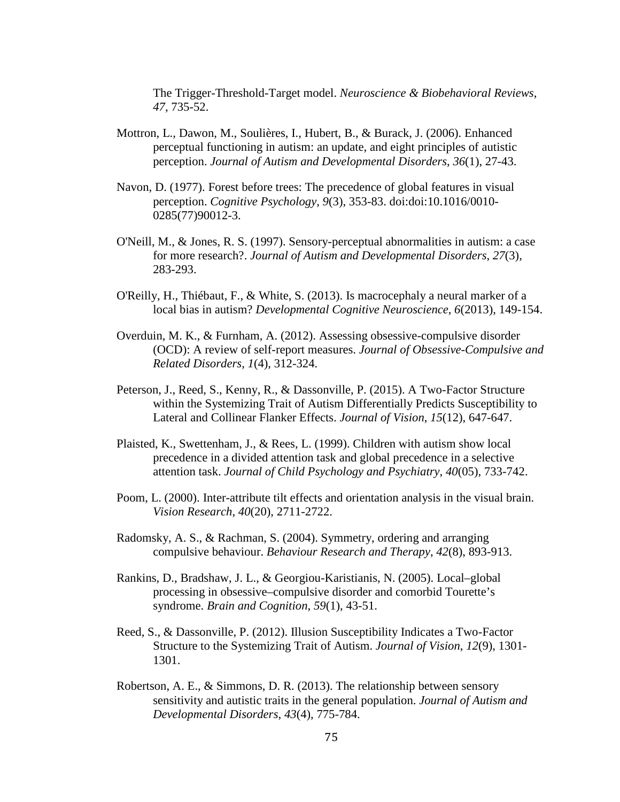The Trigger-Threshold-Target model. *Neuroscience & Biobehavioral Reviews*, *47*, 735-52.

- Mottron, L., Dawon, M., Soulières, I., Hubert, B., & Burack, J. (2006). Enhanced perceptual functioning in autism: an update, and eight principles of autistic perception. *Journal of Autism and Developmental Disorders*, *36*(1), 27-43.
- Navon, D. (1977). Forest before trees: The precedence of global features in visual perception. *Cognitive Psychology*, *9*(3), 353-83. doi:doi:10.1016/0010- 0285(77)90012-3.
- O'Neill, M., & Jones, R. S. (1997). Sensory-perceptual abnormalities in autism: a case for more research?. *Journal of Autism and Developmental Disorders*, *27*(3), 283-293.
- O'Reilly, H., Thiébaut, F., & White, S. (2013). Is macrocephaly a neural marker of a local bias in autism? *Developmental Cognitive Neuroscience*, *6*(2013), 149-154.
- Overduin, M. K., & Furnham, A. (2012). Assessing obsessive-compulsive disorder (OCD): A review of self-report measures. *Journal of Obsessive-Compulsive and Related Disorders*, *1*(4), 312-324.
- Peterson, J., Reed, S., Kenny, R., & Dassonville, P. (2015). A Two-Factor Structure within the Systemizing Trait of Autism Differentially Predicts Susceptibility to Lateral and Collinear Flanker Effects. *Journal of Vision*, *15*(12), 647-647.
- Plaisted, K., Swettenham, J., & Rees, L. (1999). Children with autism show local precedence in a divided attention task and global precedence in a selective attention task. *Journal of Child Psychology and Psychiatry*, *40*(05), 733-742.
- Poom, L. (2000). Inter-attribute tilt effects and orientation analysis in the visual brain. *Vision Research*, *40*(20), 2711-2722.
- Radomsky, A. S., & Rachman, S. (2004). Symmetry, ordering and arranging compulsive behaviour. *Behaviour Research and Therapy*, *42*(8), 893-913.
- Rankins, D., Bradshaw, J. L., & Georgiou-Karistianis, N. (2005). Local–global processing in obsessive–compulsive disorder and comorbid Tourette's syndrome. *Brain and Cognition*, *59*(1), 43-51.
- Reed, S., & Dassonville, P. (2012). Illusion Susceptibility Indicates a Two-Factor Structure to the Systemizing Trait of Autism. *Journal of Vision*, *12*(9), 1301- 1301.
- Robertson, A. E., & Simmons, D. R. (2013). The relationship between sensory sensitivity and autistic traits in the general population. *Journal of Autism and Developmental Disorders*, *43*(4), 775-784.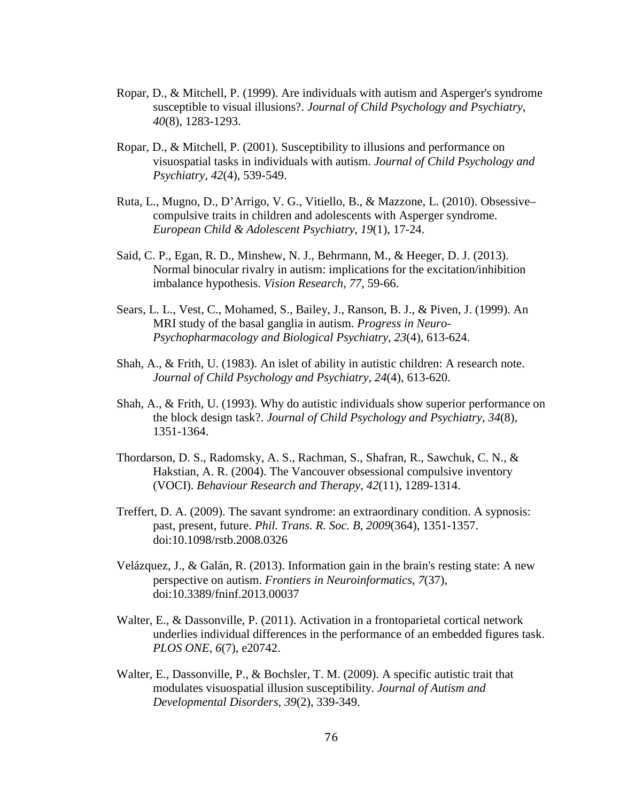- Ropar, D., & Mitchell, P. (1999). Are individuals with autism and Asperger's syndrome susceptible to visual illusions?. *Journal of Child Psychology and Psychiatry*, *40*(8), 1283-1293.
- Ropar, D., & Mitchell, P. (2001). Susceptibility to illusions and performance on visuospatial tasks in individuals with autism. *Journal of Child Psychology and Psychiatry*, *42*(4), 539-549.
- Ruta, L., Mugno, D., D'Arrigo, V. G., Vitiello, B., & Mazzone, L. (2010). Obsessive– compulsive traits in children and adolescents with Asperger syndrome. *European Child & Adolescent Psychiatry*, *19*(1), 17-24.
- Said, C. P., Egan, R. D., Minshew, N. J., Behrmann, M., & Heeger, D. J. (2013). Normal binocular rivalry in autism: implications for the excitation/inhibition imbalance hypothesis. *Vision Research*, *77*, 59-66.
- Sears, L. L., Vest, C., Mohamed, S., Bailey, J., Ranson, B. J., & Piven, J. (1999). An MRI study of the basal ganglia in autism. *Progress in Neuro-Psychopharmacology and Biological Psychiatry*, *23*(4), 613-624.
- Shah, A., & Frith, U. (1983). An islet of ability in autistic children: A research note. *Journal of Child Psychology and Psychiatry*, *24*(4), 613-620.
- Shah, A., & Frith, U. (1993). Why do autistic individuals show superior performance on the block design task?. *Journal of Child Psychology and Psychiatry*, *34*(8), 1351-1364.
- Thordarson, D. S., Radomsky, A. S., Rachman, S., Shafran, R., Sawchuk, C. N., & Hakstian, A. R. (2004). The Vancouver obsessional compulsive inventory (VOCI). *Behaviour Research and Therapy*, *42*(11), 1289-1314.
- Treffert, D. A. (2009). The savant syndrome: an extraordinary condition. A sypnosis: past, present, future. *Phil. Trans. R. Soc. B*, *2009*(364), 1351-1357. doi:10.1098/rstb.2008.0326
- Velázquez, J., & Galán, R. (2013). Information gain in the brain's resting state: A new perspective on autism. *Frontiers in Neuroinformatics*, *7*(37), doi:10.3389/fninf.2013.00037
- Walter, E., & Dassonville, P. (2011). Activation in a frontoparietal cortical network underlies individual differences in the performance of an embedded figures task. *PLOS ONE*, *6*(7), e20742.
- Walter, E., Dassonville, P., & Bochsler, T. M. (2009). A specific autistic trait that modulates visuospatial illusion susceptibility. *Journal of Autism and Developmental Disorders*, *39*(2), 339-349.